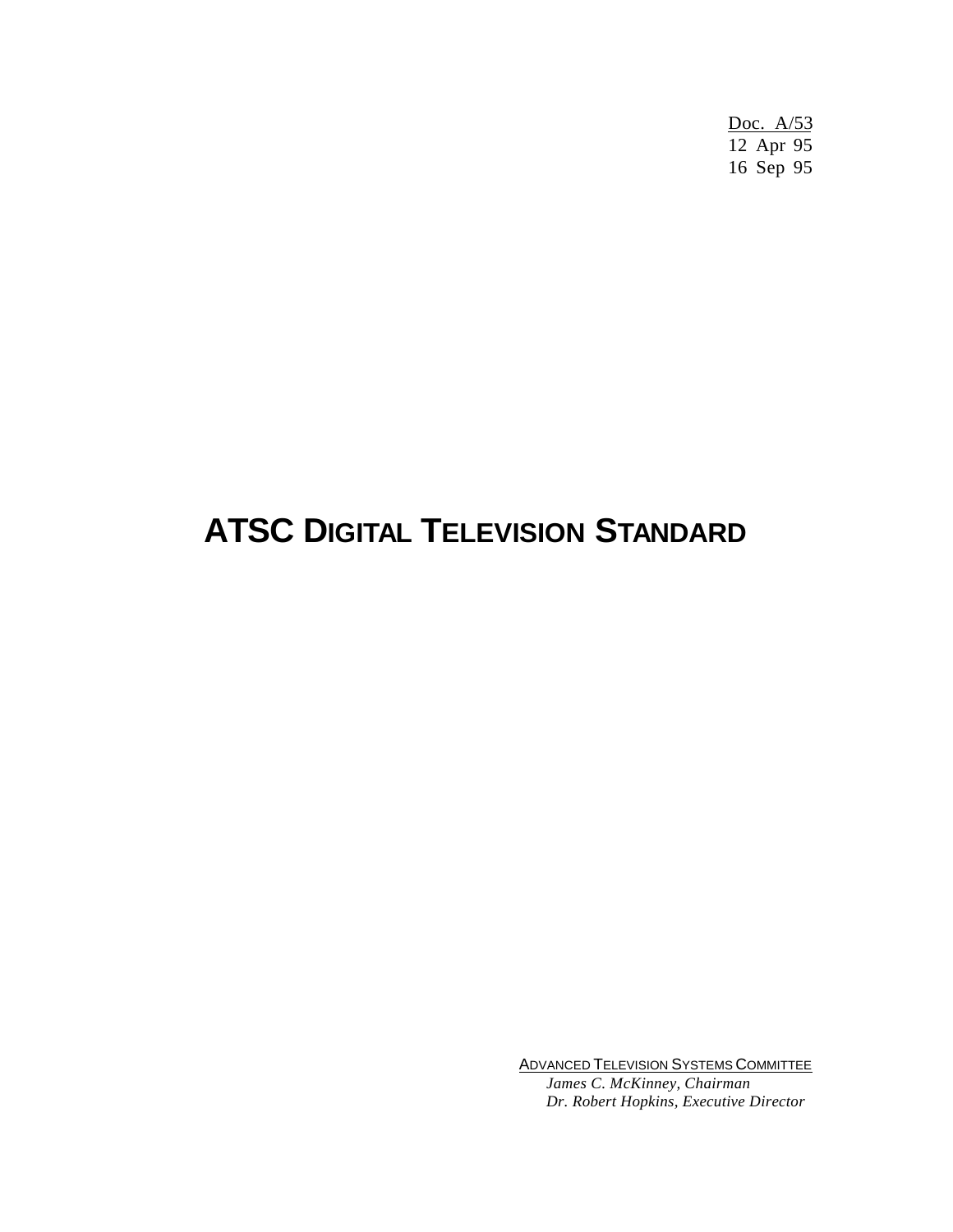Doc. A/53 12 Apr 95 16 Sep 95

# **ATSC DIGITAL TELEVISION STANDARD**

ADVANCED TELEVISION SYSTEMS COMMITTEE *James C. McKinney, Chairman Dr. Robert Hopkins, Executive Director*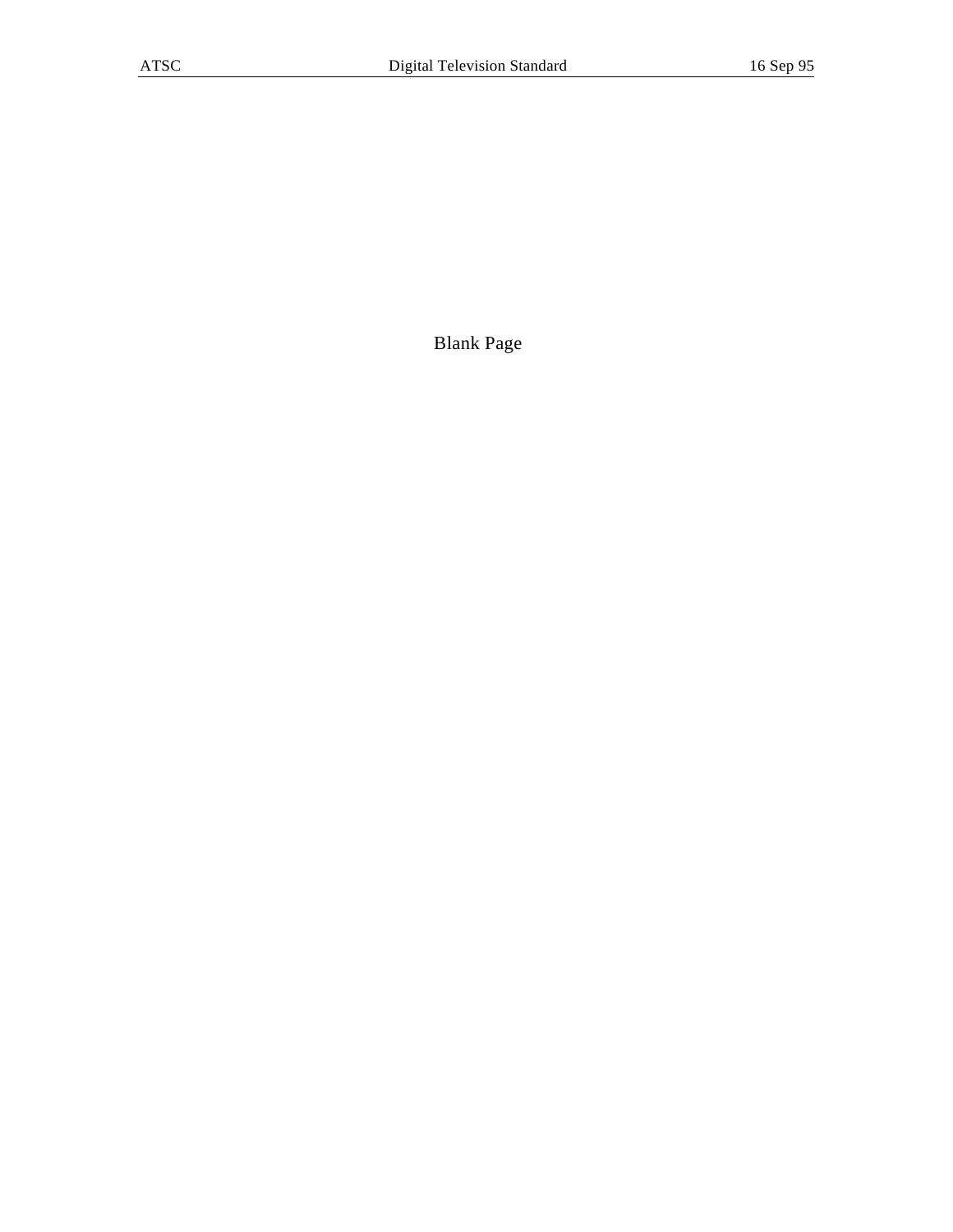Blank Page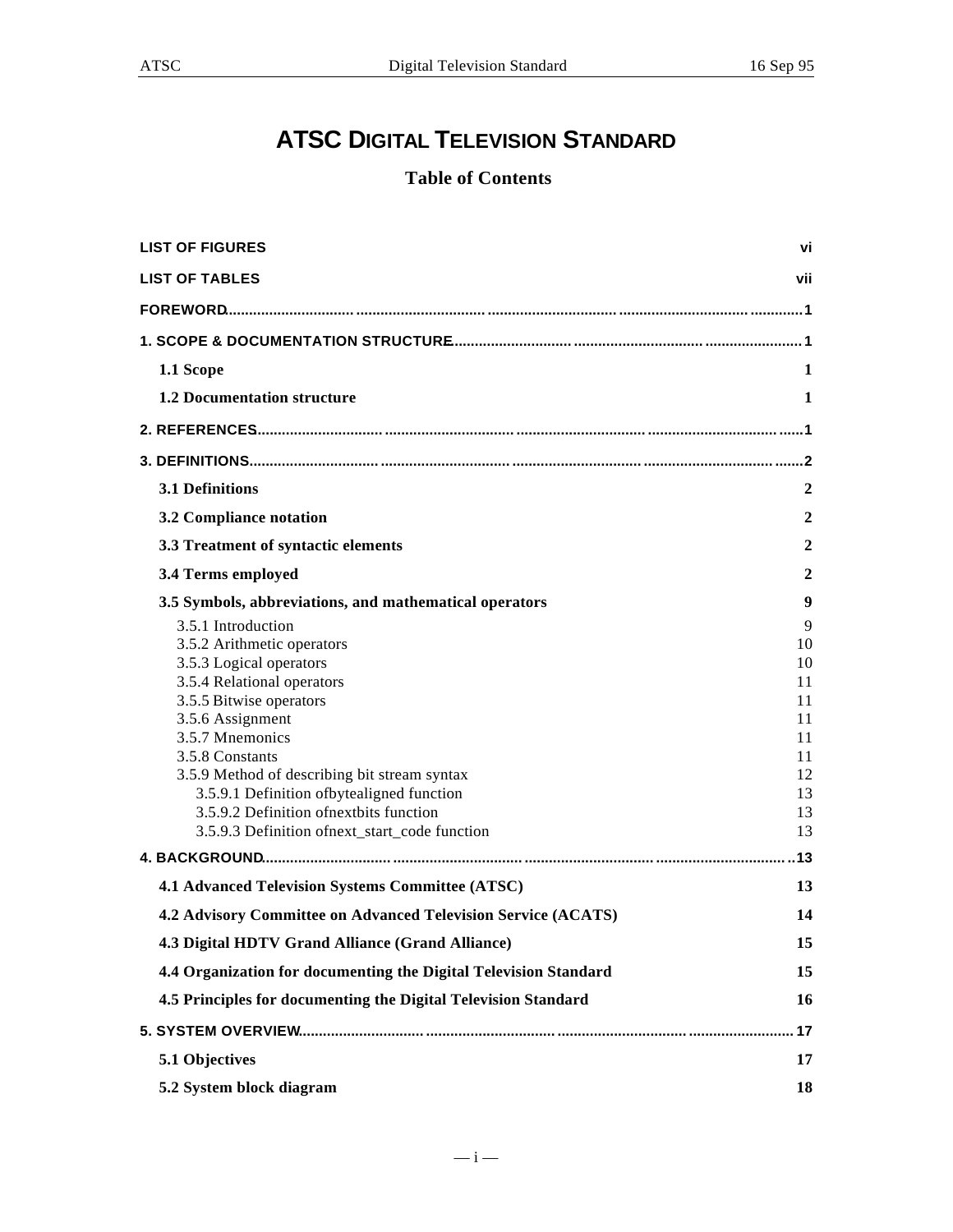# **ATSC DIGITAL TELEVISION STANDARD**

# **Table of Contents**

| <b>LIST OF FIGURES</b>                                           | vi               |
|------------------------------------------------------------------|------------------|
| <b>LIST OF TABLES</b>                                            | vii              |
|                                                                  |                  |
|                                                                  |                  |
| 1.1 Scope                                                        | 1                |
| <b>1.2 Documentation structure</b>                               | 1                |
|                                                                  |                  |
|                                                                  |                  |
| 3.1 Definitions                                                  | $\boldsymbol{2}$ |
| 3.2 Compliance notation                                          | $\overline{2}$   |
| 3.3 Treatment of syntactic elements                              | 2                |
| 3.4 Terms employed                                               | $\overline{2}$   |
| 3.5 Symbols, abbreviations, and mathematical operators           | 9                |
| 3.5.1 Introduction                                               | 9                |
| 3.5.2 Arithmetic operators                                       | 10               |
| 3.5.3 Logical operators                                          | 10               |
| 3.5.4 Relational operators                                       | 11               |
| 3.5.5 Bitwise operators                                          | 11               |
| 3.5.6 Assignment                                                 | 11               |
| 3.5.7 Mnemonics                                                  | 11               |
| 3.5.8 Constants                                                  | 11               |
| 3.5.9 Method of describing bit stream syntax                     | 12               |
| 3.5.9.1 Definition ofbytealigned function                        | 13               |
| 3.5.9.2 Definition of next bits function                         | 13               |
| 3.5.9.3 Definition of next_start_code function                   | 13               |
|                                                                  |                  |
| 4.1 Advanced Television Systems Committee (ATSC)                 | 13               |
| 4.2 Advisory Committee on Advanced Television Service (ACATS)    | 14               |
| 4.3 Digital HDTV Grand Alliance (Grand Alliance)                 | 15               |
| 4.4 Organization for documenting the Digital Television Standard | 15               |
| 4.5 Principles for documenting the Digital Television Standard   | 16               |
|                                                                  |                  |
| 5.1 Objectives                                                   | 17               |
| 5.2 System block diagram                                         | 18               |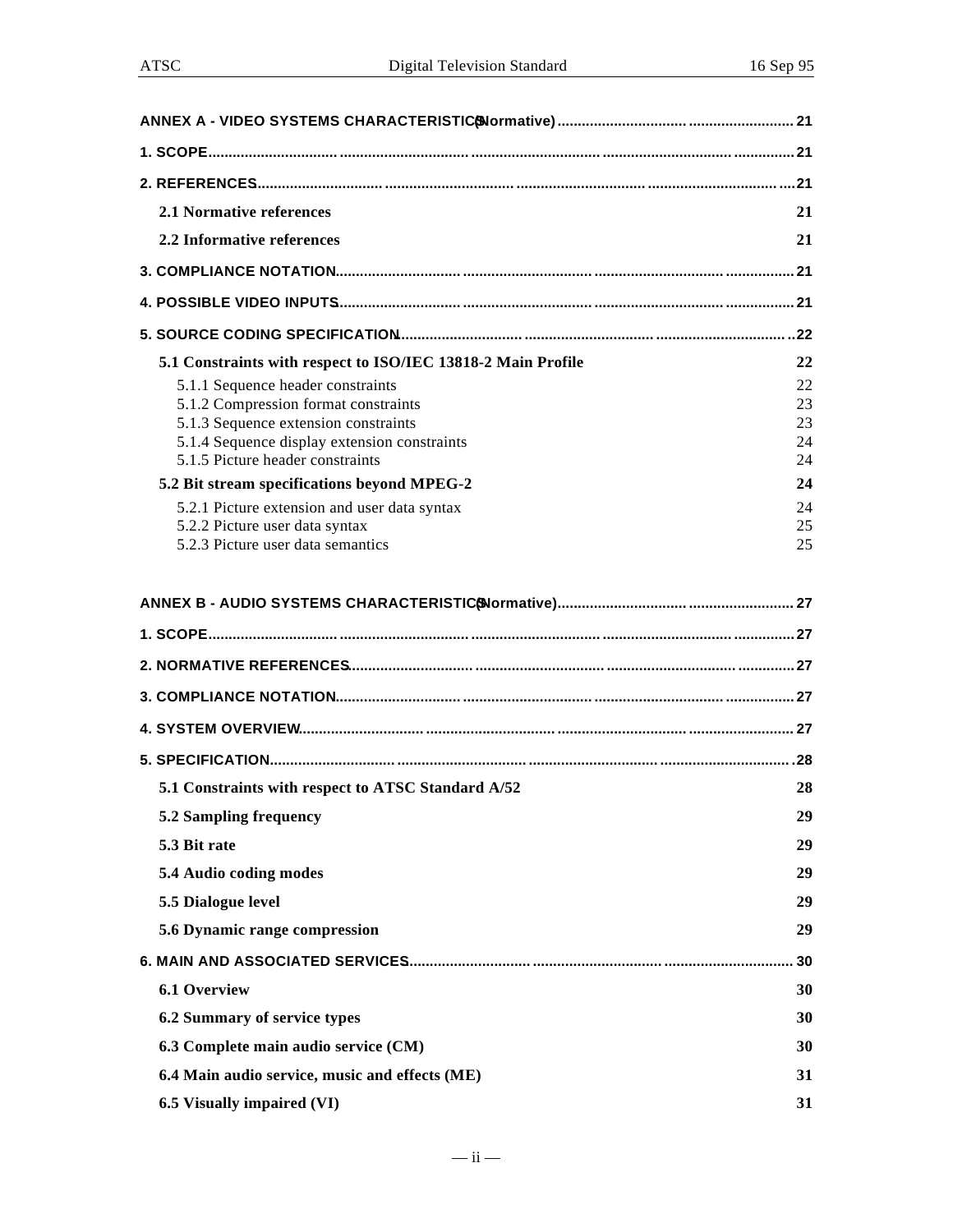| 2.1 Normative references                                                     | 21       |
|------------------------------------------------------------------------------|----------|
| 2.2 Informative references                                                   | 21       |
|                                                                              |          |
|                                                                              |          |
|                                                                              |          |
| 5.1 Constraints with respect to ISO/IEC 13818-2 Main Profile                 | 22       |
| 5.1.1 Sequence header constraints                                            | 22       |
| 5.1.2 Compression format constraints<br>5.1.3 Sequence extension constraints | 23<br>23 |
| 5.1.4 Sequence display extension constraints                                 | 24       |
| 5.1.5 Picture header constraints                                             | 24       |
| 5.2 Bit stream specifications beyond MPEG-2                                  | 24       |
| 5.2.1 Picture extension and user data syntax                                 | 24       |
| 5.2.2 Picture user data syntax<br>5.2.3 Picture user data semantics          | 25<br>25 |
|                                                                              |          |
|                                                                              |          |
|                                                                              |          |
|                                                                              |          |
|                                                                              |          |
|                                                                              |          |
|                                                                              |          |
| 5.1 Constraints with respect to ATSC Standard A/52                           | 28       |
| 5.2 Sampling frequency                                                       | 29       |
| 5.3 Bit rate                                                                 | 29       |
| 5.4 Audio coding modes                                                       | 29       |
| 5.5 Dialogue level                                                           | 29       |
| 5.6 Dynamic range compression                                                | 29       |
|                                                                              | 30       |
| <b>6.1 Overview</b>                                                          | 30       |
| 6.2 Summary of service types                                                 | 30       |
| 6.3 Complete main audio service (CM)                                         | 30       |
| 6.4 Main audio service, music and effects (ME)                               | 31       |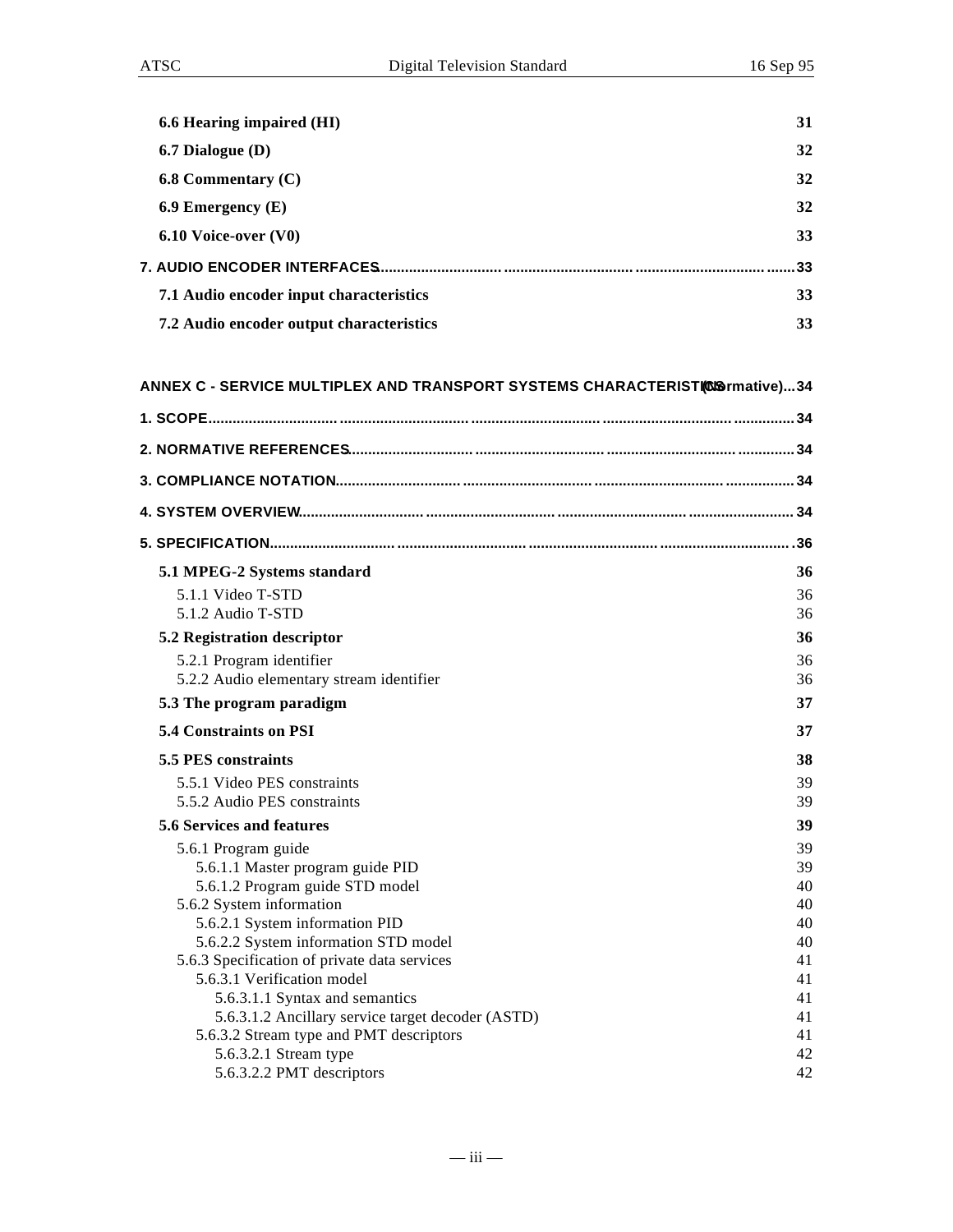| 6.6 Hearing impaired (HI)                | 31 |
|------------------------------------------|----|
| $6.7$ Dialogue $(D)$                     | 32 |
| 6.8 Commentary $(C)$                     | 32 |
| 6.9 Emergency $(E)$                      | 32 |
| $6.10$ Voice-over $(V0)$                 | 33 |
| 7. AUDIO ENCODER INTERFACES.             | 33 |
| 7.1 Audio encoder input characteristics  | 33 |
| 7.2 Audio encoder output characteristics | 33 |

| ANNEX C - SERVICE MULTIPLEX AND TRANSPORT SYSTEMS CHARACTERIST(6%)rmative)34 |    |
|------------------------------------------------------------------------------|----|
|                                                                              |    |
|                                                                              |    |
|                                                                              |    |
|                                                                              |    |
|                                                                              |    |
| 5.1 MPEG-2 Systems standard                                                  | 36 |
| 5.1.1 Video T-STD                                                            | 36 |
| 5.1.2 Audio T-STD                                                            | 36 |
| 5.2 Registration descriptor                                                  | 36 |
| 5.2.1 Program identifier                                                     | 36 |
| 5.2.2 Audio elementary stream identifier                                     | 36 |
| 5.3 The program paradigm                                                     | 37 |
| 5.4 Constraints on PSI                                                       | 37 |
| 5.5 PES constraints                                                          | 38 |
| 5.5.1 Video PES constraints                                                  | 39 |
| 5.5.2 Audio PES constraints                                                  | 39 |
| 5.6 Services and features                                                    | 39 |
| 5.6.1 Program guide                                                          | 39 |
| 5.6.1.1 Master program guide PID                                             | 39 |
| 5.6.1.2 Program guide STD model                                              | 40 |
| 5.6.2 System information                                                     | 40 |
| 5.6.2.1 System information PID                                               | 40 |
| 5.6.2.2 System information STD model                                         | 40 |
| 5.6.3 Specification of private data services                                 | 41 |
| 5.6.3.1 Verification model                                                   | 41 |
| 5.6.3.1.1 Syntax and semantics                                               | 41 |
| 5.6.3.1.2 Ancillary service target decoder (ASTD)                            | 41 |
| 5.6.3.2 Stream type and PMT descriptors                                      | 41 |
| 5.6.3.2.1 Stream type                                                        | 42 |
| 5.6.3.2.2 PMT descriptors                                                    | 42 |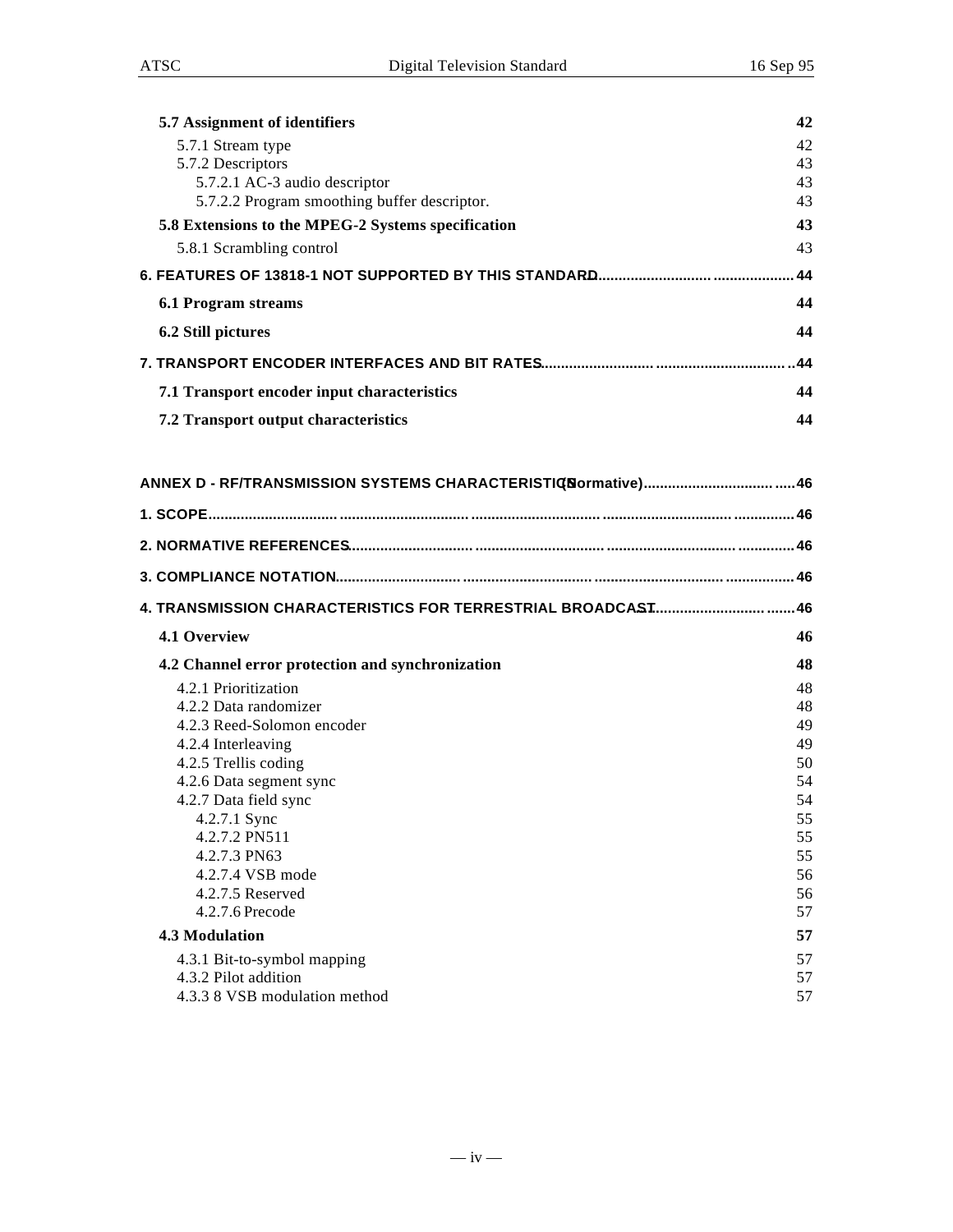|                                                       | 42       |
|-------------------------------------------------------|----------|
| 5.7.1 Stream type                                     | 42       |
| 5.7.2 Descriptors                                     | 43       |
| 5.7.2.1 AC-3 audio descriptor                         | 43       |
| 5.7.2.2 Program smoothing buffer descriptor.          | 43       |
| 5.8 Extensions to the MPEG-2 Systems specification    | 43       |
| 5.8.1 Scrambling control                              | 43       |
|                                                       |          |
| <b>6.1 Program streams</b>                            | 44       |
| 6.2 Still pictures                                    | 44       |
|                                                       | . 44     |
| 7.1 Transport encoder input characteristics           | 44       |
| 7.2 Transport output characteristics                  | 44       |
|                                                       |          |
|                                                       |          |
|                                                       |          |
|                                                       |          |
|                                                       |          |
| 4.1 Overview                                          | 46       |
|                                                       |          |
| 4.2 Channel error protection and synchronization      | 48       |
| 4.2.1 Prioritization                                  | 48       |
| 4.2.2 Data randomizer                                 | 48       |
| 4.2.3 Reed-Solomon encoder                            | 49       |
| 4.2.4 Interleaving                                    | 49       |
| 4.2.5 Trellis coding                                  | 50       |
| 4.2.6 Data segment sync                               | 54       |
| 4.2.7 Data field sync                                 | 54       |
| 4.2.7.1 Sync                                          | 55       |
| 4.2.7.2 PN511                                         | 55       |
| 4.2.7.3 PN63                                          | 55       |
| 4.2.7.4 VSB mode<br>4.2.7.5 Reserved                  | 56<br>56 |
| 4.2.7.6 Precode                                       | 57       |
| <b>4.3 Modulation</b>                                 | 57       |
| 4.3.1 Bit-to-symbol mapping                           | 57       |
| 4.3.2 Pilot addition<br>4.3.3 8 VSB modulation method | 57       |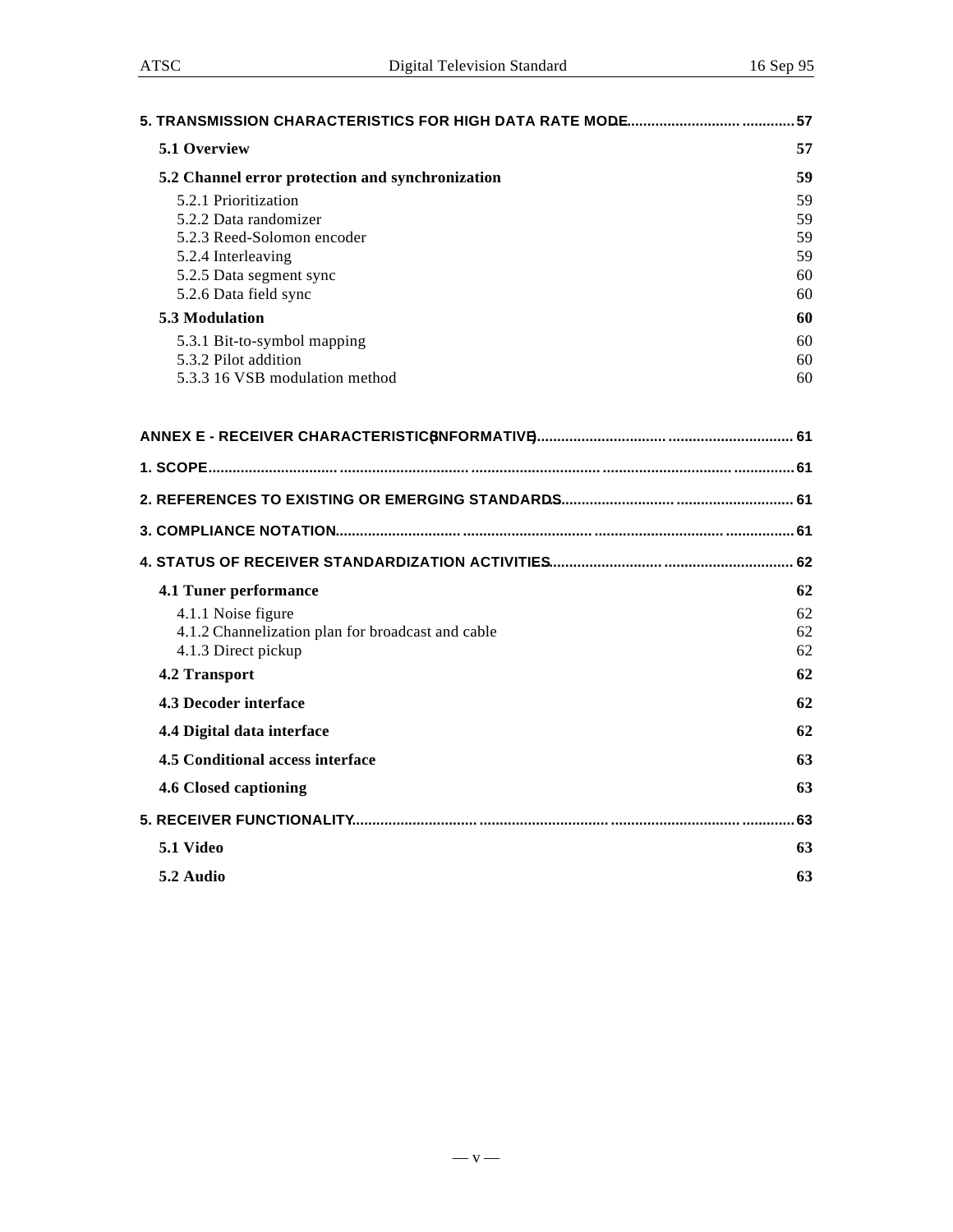| 5.1 Overview<br>5.2 Channel error protection and synchronization<br>5.2.1 Prioritization<br>5.2.2 Data randomizer<br>5.2.3 Reed-Solomon encoder<br>5.2.4 Interleaving<br>5.2.5 Data segment sync<br>5.2.6 Data field sync<br>5.3 Modulation<br>5.3.1 Bit-to-symbol mapping<br>5.3.2 Pilot addition<br>5.3.3 16 VSB modulation method<br><b>4.1 Tuner performance</b><br>4.1.1 Noise figure<br>4.1.2 Channelization plan for broadcast and cable<br>4.1.3 Direct pickup<br>4.2 Transport<br>4.3 Decoder interface<br>4.4 Digital data interface<br><b>4.5 Conditional access interface</b><br>4.6 Closed captioning<br>5.1 Video |    |
|---------------------------------------------------------------------------------------------------------------------------------------------------------------------------------------------------------------------------------------------------------------------------------------------------------------------------------------------------------------------------------------------------------------------------------------------------------------------------------------------------------------------------------------------------------------------------------------------------------------------------------|----|
|                                                                                                                                                                                                                                                                                                                                                                                                                                                                                                                                                                                                                                 | 57 |
|                                                                                                                                                                                                                                                                                                                                                                                                                                                                                                                                                                                                                                 | 59 |
|                                                                                                                                                                                                                                                                                                                                                                                                                                                                                                                                                                                                                                 | 59 |
|                                                                                                                                                                                                                                                                                                                                                                                                                                                                                                                                                                                                                                 | 59 |
|                                                                                                                                                                                                                                                                                                                                                                                                                                                                                                                                                                                                                                 | 59 |
|                                                                                                                                                                                                                                                                                                                                                                                                                                                                                                                                                                                                                                 | 59 |
|                                                                                                                                                                                                                                                                                                                                                                                                                                                                                                                                                                                                                                 | 60 |
|                                                                                                                                                                                                                                                                                                                                                                                                                                                                                                                                                                                                                                 | 60 |
|                                                                                                                                                                                                                                                                                                                                                                                                                                                                                                                                                                                                                                 | 60 |
|                                                                                                                                                                                                                                                                                                                                                                                                                                                                                                                                                                                                                                 | 60 |
|                                                                                                                                                                                                                                                                                                                                                                                                                                                                                                                                                                                                                                 | 60 |
|                                                                                                                                                                                                                                                                                                                                                                                                                                                                                                                                                                                                                                 | 60 |
|                                                                                                                                                                                                                                                                                                                                                                                                                                                                                                                                                                                                                                 |    |
|                                                                                                                                                                                                                                                                                                                                                                                                                                                                                                                                                                                                                                 |    |
|                                                                                                                                                                                                                                                                                                                                                                                                                                                                                                                                                                                                                                 |    |
|                                                                                                                                                                                                                                                                                                                                                                                                                                                                                                                                                                                                                                 |    |
|                                                                                                                                                                                                                                                                                                                                                                                                                                                                                                                                                                                                                                 |    |
|                                                                                                                                                                                                                                                                                                                                                                                                                                                                                                                                                                                                                                 | 62 |
|                                                                                                                                                                                                                                                                                                                                                                                                                                                                                                                                                                                                                                 | 62 |
|                                                                                                                                                                                                                                                                                                                                                                                                                                                                                                                                                                                                                                 | 62 |
|                                                                                                                                                                                                                                                                                                                                                                                                                                                                                                                                                                                                                                 | 62 |
|                                                                                                                                                                                                                                                                                                                                                                                                                                                                                                                                                                                                                                 | 62 |
|                                                                                                                                                                                                                                                                                                                                                                                                                                                                                                                                                                                                                                 | 62 |
|                                                                                                                                                                                                                                                                                                                                                                                                                                                                                                                                                                                                                                 | 62 |
|                                                                                                                                                                                                                                                                                                                                                                                                                                                                                                                                                                                                                                 | 63 |
|                                                                                                                                                                                                                                                                                                                                                                                                                                                                                                                                                                                                                                 | 63 |
|                                                                                                                                                                                                                                                                                                                                                                                                                                                                                                                                                                                                                                 |    |
|                                                                                                                                                                                                                                                                                                                                                                                                                                                                                                                                                                                                                                 | 63 |
| 5.2 Audio                                                                                                                                                                                                                                                                                                                                                                                                                                                                                                                                                                                                                       | 63 |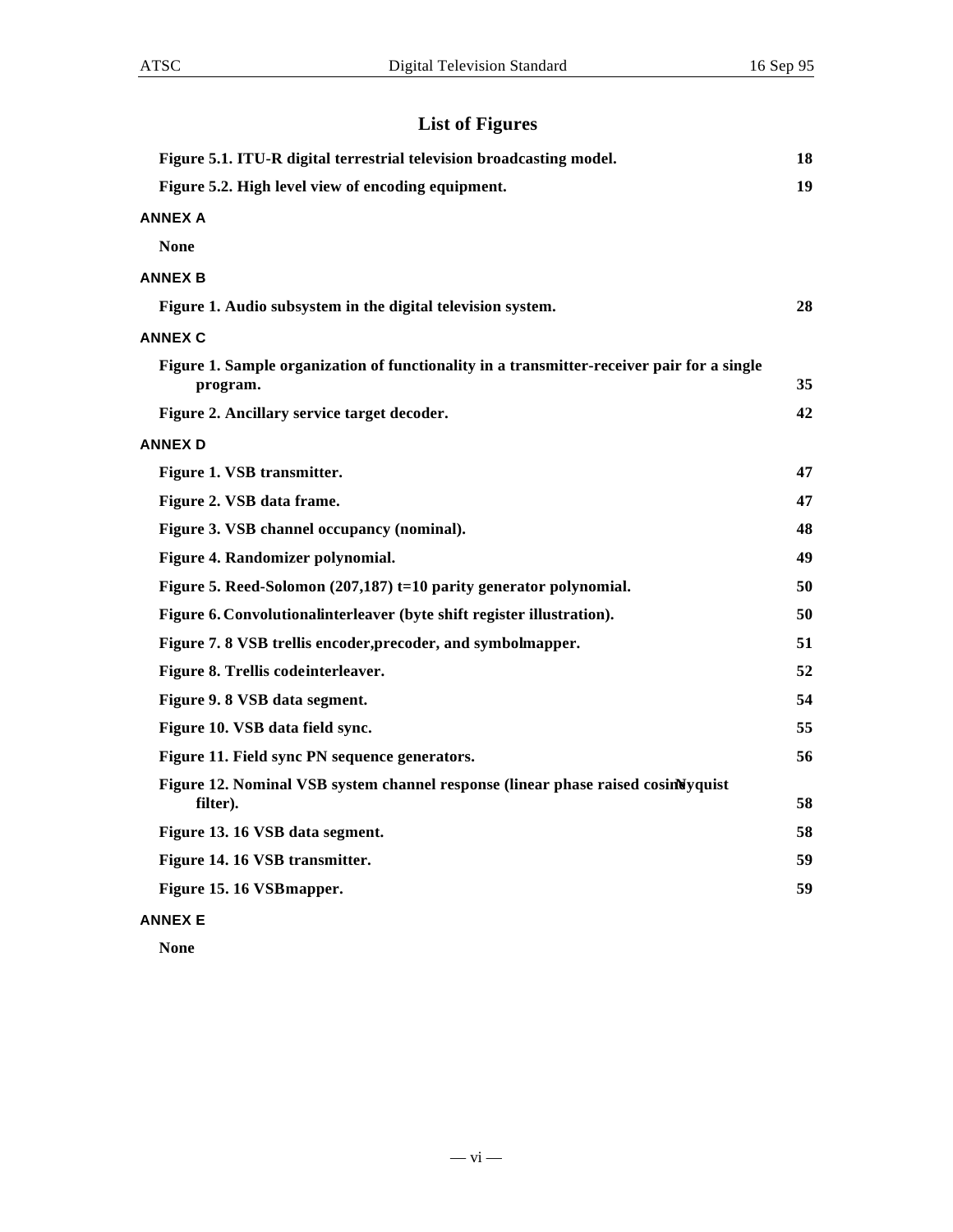# **List of Figures**

| Figure 5.1. ITU-R digital terrestrial television broadcasting model.                                   | 18 |
|--------------------------------------------------------------------------------------------------------|----|
| Figure 5.2. High level view of encoding equipment.                                                     | 19 |
| <b>ANNEX A</b>                                                                                         |    |
| <b>None</b>                                                                                            |    |
| <b>ANNEX B</b>                                                                                         |    |
| Figure 1. Audio subsystem in the digital television system.                                            | 28 |
| <b>ANNEX C</b>                                                                                         |    |
| Figure 1. Sample organization of functionality in a transmitter-receiver pair for a single<br>program. | 35 |
| Figure 2. Ancillary service target decoder.                                                            | 42 |
| <b>ANNEX D</b>                                                                                         |    |
| Figure 1. VSB transmitter.                                                                             | 47 |
| Figure 2. VSB data frame.                                                                              | 47 |
| Figure 3. VSB channel occupancy (nominal).                                                             | 48 |
| Figure 4. Randomizer polynomial.                                                                       | 49 |
| Figure 5. Reed-Solomon (207,187) t=10 parity generator polynomial.                                     | 50 |
| Figure 6. Convolutional interleaver (byte shift register illustration).                                | 50 |
| Figure 7.8 VSB trellis encoder, precoder, and symbolmapper.                                            | 51 |
| Figure 8. Trellis codeinterleaver.                                                                     | 52 |
| Figure 9.8 VSB data segment.                                                                           | 54 |
| Figure 10. VSB data field sync.                                                                        | 55 |
| Figure 11. Field sync PN sequence generators.                                                          | 56 |
| Figure 12. Nominal VSB system channel response (linear phase raised cosin Nyquist<br>filter).          | 58 |
| Figure 13. 16 VSB data segment.                                                                        | 58 |
| Figure 14. 16 VSB transmitter.                                                                         | 59 |
| Figure 15. 16 VSB mapper.                                                                              | 59 |
| <b>ANNEX E</b>                                                                                         |    |

**None**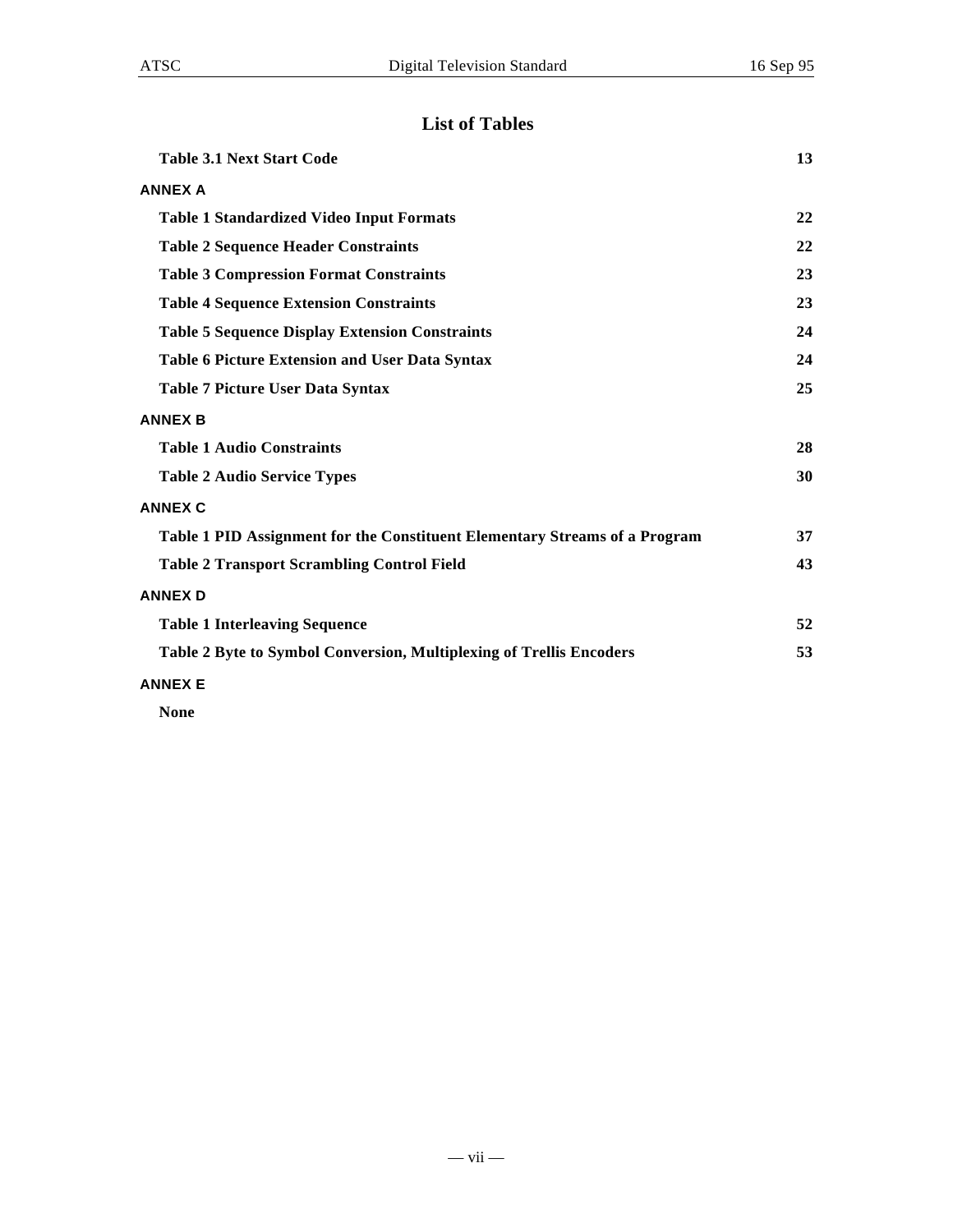# **List of Tables**

| <b>Table 3.1 Next Start Code</b>                                           | 13 |
|----------------------------------------------------------------------------|----|
| <b>ANNEX A</b>                                                             |    |
| <b>Table 1 Standardized Video Input Formats</b>                            | 22 |
| <b>Table 2 Sequence Header Constraints</b>                                 | 22 |
| <b>Table 3 Compression Format Constraints</b>                              | 23 |
| <b>Table 4 Sequence Extension Constraints</b>                              | 23 |
| <b>Table 5 Sequence Display Extension Constraints</b>                      | 24 |
| <b>Table 6 Picture Extension and User Data Syntax</b>                      | 24 |
| <b>Table 7 Picture User Data Syntax</b>                                    | 25 |
| <b>ANNEX B</b>                                                             |    |
| <b>Table 1 Audio Constraints</b>                                           | 28 |
| <b>Table 2 Audio Service Types</b>                                         | 30 |
| <b>ANNEX C</b>                                                             |    |
| Table 1 PID Assignment for the Constituent Elementary Streams of a Program | 37 |
| <b>Table 2 Transport Scrambling Control Field</b>                          | 43 |
| <b>ANNEX D</b>                                                             |    |
| <b>Table 1 Interleaving Sequence</b>                                       | 52 |
| Table 2 Byte to Symbol Conversion, Multiplexing of Trellis Encoders        | 53 |
| <b>ANNEX E</b>                                                             |    |
|                                                                            |    |

**None**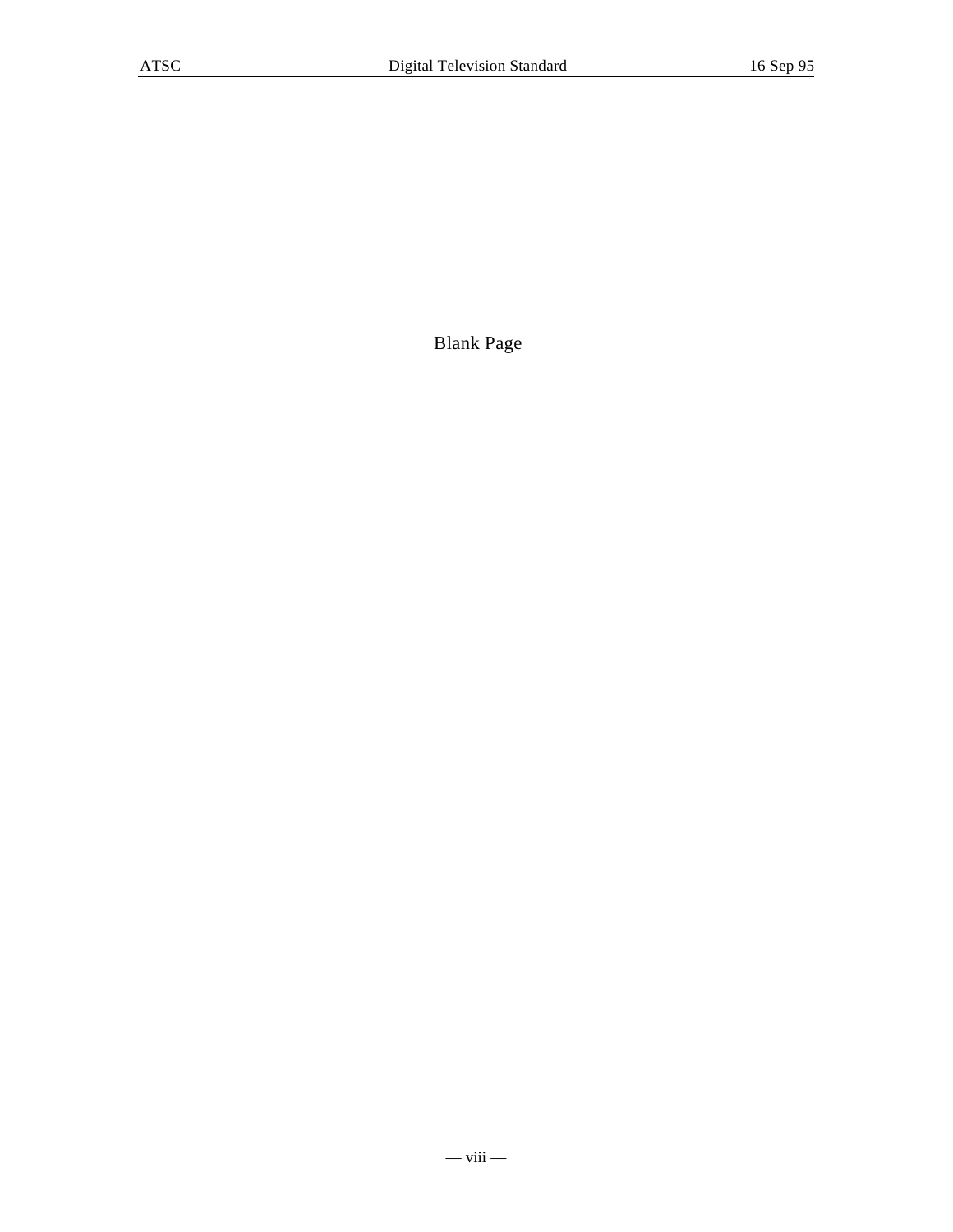Blank Page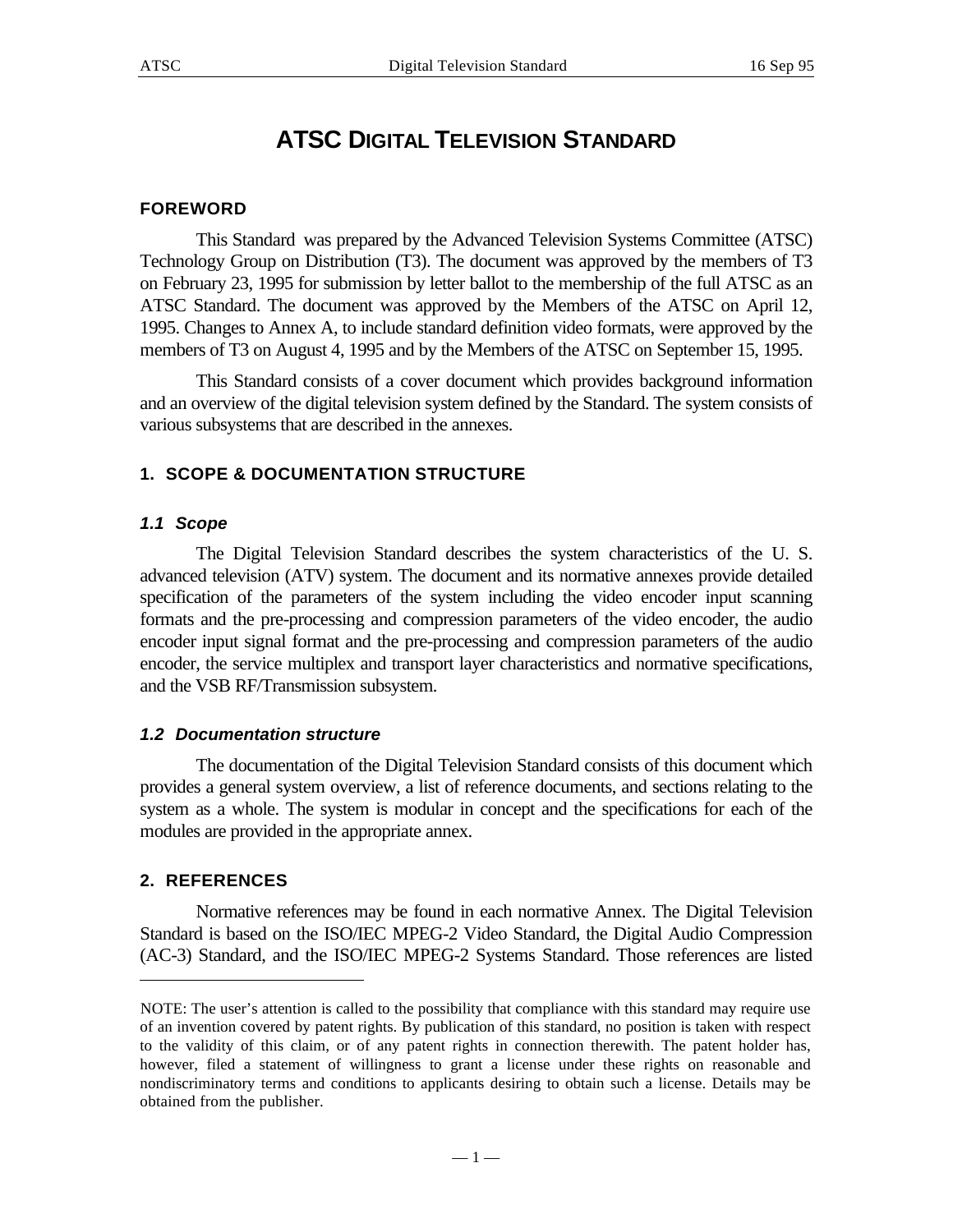# **ATSC DIGITAL TELEVISION STANDARD**

#### **FOREWORD**

This Standard was prepared by the Advanced Television Systems Committee (ATSC) Technology Group on Distribution (T3). The document was approved by the members of T3 on February 23, 1995 for submission by letter ballot to the membership of the full ATSC as an ATSC Standard. The document was approved by the Members of the ATSC on April 12, 1995. Changes to Annex A, to include standard definition video formats, were approved by the members of T3 on August 4, 1995 and by the Members of the ATSC on September 15, 1995.

This Standard consists of a cover document which provides background information and an overview of the digital television system defined by the Standard. The system consists of various subsystems that are described in the annexes.

#### **1. SCOPE & DOCUMENTATION STRUCTURE**

#### *1.1 Scope*

The Digital Television Standard describes the system characteristics of the U. S. advanced television (ATV) system. The document and its normative annexes provide detailed specification of the parameters of the system including the video encoder input scanning formats and the pre-processing and compression parameters of the video encoder, the audio encoder input signal format and the pre-processing and compression parameters of the audio encoder, the service multiplex and transport layer characteristics and normative specifications, and the VSB RF/Transmission subsystem.

#### *1.2 Documentation structure*

The documentation of the Digital Television Standard consists of this document which provides a general system overview, a list of reference documents, and sections relating to the system as a whole. The system is modular in concept and the specifications for each of the modules are provided in the appropriate annex.

#### **2. REFERENCES**

 $\overline{a}$ 

Normative references may be found in each normative Annex. The Digital Television Standard is based on the ISO/IEC MPEG-2 Video Standard, the Digital Audio Compression (AC-3) Standard, and the ISO/IEC MPEG-2 Systems Standard. Those references are listed

NOTE: The user's attention is called to the possibility that compliance with this standard may require use of an invention covered by patent rights. By publication of this standard, no position is taken with respect to the validity of this claim, or of any patent rights in connection therewith. The patent holder has, however, filed a statement of willingness to grant a license under these rights on reasonable and nondiscriminatory terms and conditions to applicants desiring to obtain such a license. Details may be obtained from the publisher.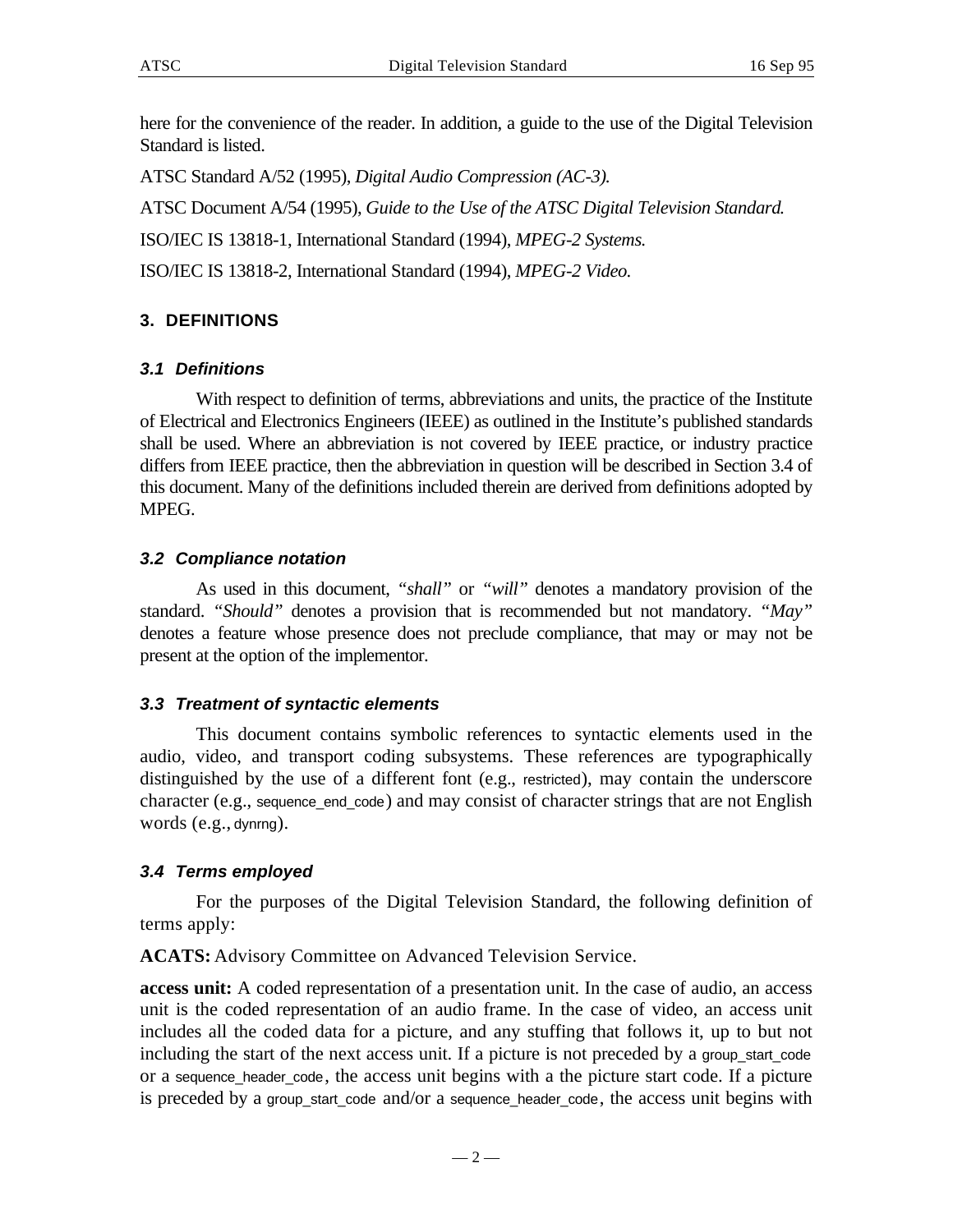here for the convenience of the reader. In addition, a guide to the use of the Digital Television Standard is listed.

ATSC Standard A/52 (1995), *Digital Audio Compression (AC-3)*.

ATSC Document A/54 (1995), *Guide to the Use of the ATSC Digital Television Standard*.

ISO/IEC IS 13818-1, International Standard (1994), *MPEG-2 Systems*.

ISO/IEC IS 13818-2, International Standard (1994), *MPEG-2 Video*.

# **3. DEFINITIONS**

# *3.1 Definitions*

With respect to definition of terms, abbreviations and units, the practice of the Institute of Electrical and Electronics Engineers (IEEE) as outlined in the Institute's published standards shall be used. Where an abbreviation is not covered by IEEE practice, or industry practice differs from IEEE practice, then the abbreviation in question will be described in Section 3.4 of this document. Many of the definitions included therein are derived from definitions adopted by MPEG.

# *3.2 Compliance notation*

As used in this document, *"shall"* or *"will"* denotes a mandatory provision of the standard. *"Should"* denotes a provision that is recommended but not mandatory. *"May"* denotes a feature whose presence does not preclude compliance, that may or may not be present at the option of the implementor.

# *3.3 Treatment of syntactic elements*

This document contains symbolic references to syntactic elements used in the audio, video, and transport coding subsystems. These references are typographically distinguished by the use of a different font (e.g., restricted), may contain the underscore character (e.g., sequence\_end\_code) and may consist of character strings that are not English words (e.g., dynrng).

# *3.4 Terms employed*

For the purposes of the Digital Television Standard, the following definition of terms apply:

**ACATS:** Advisory Committee on Advanced Television Service.

**access unit:** A coded representation of a presentation unit. In the case of audio, an access unit is the coded representation of an audio frame. In the case of video, an access unit includes all the coded data for a picture, and any stuffing that follows it, up to but not including the start of the next access unit. If a picture is not preceded by a group\_start\_code or a sequence\_header\_code, the access unit begins with a the picture start code. If a picture is preceded by a group\_start\_code and/or a sequence\_header\_code, the access unit begins with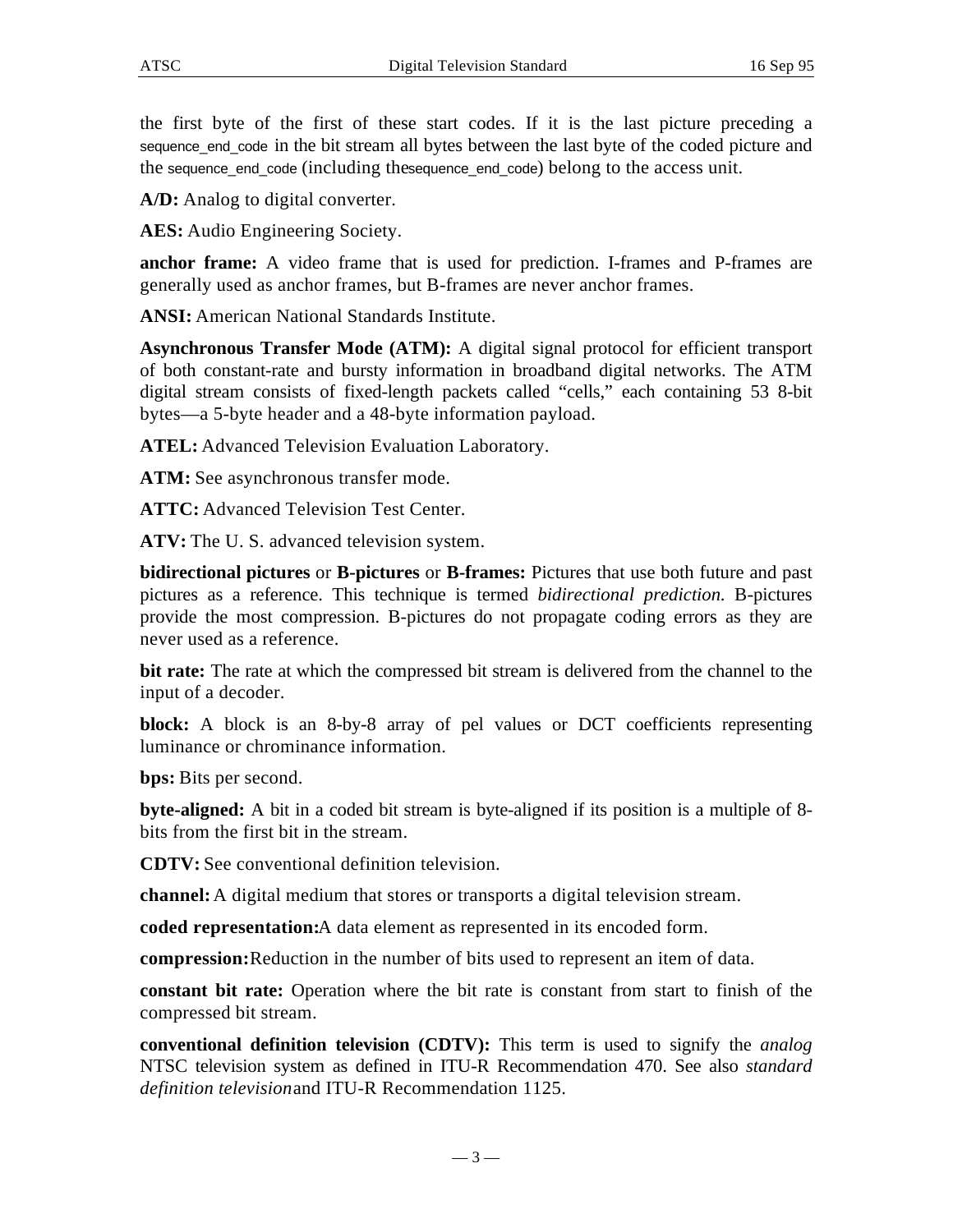the first byte of the first of these start codes. If it is the last picture preceding a sequence\_end\_code in the bit stream all bytes between the last byte of the coded picture and the sequence end code (including the sequence end code) belong to the access unit.

**A/D:** Analog to digital converter.

**AES:** Audio Engineering Society.

**anchor frame:** A video frame that is used for prediction. I-frames and P-frames are generally used as anchor frames, but B-frames are never anchor frames.

**ANSI:** American National Standards Institute.

**Asynchronous Transfer Mode (ATM):** A digital signal protocol for efficient transport of both constant-rate and bursty information in broadband digital networks. The ATM digital stream consists of fixed-length packets called "cells," each containing 53 8-bit bytes—a 5-byte header and a 48-byte information payload.

**ATEL:** Advanced Television Evaluation Laboratory.

**ATM:** See asynchronous transfer mode.

**ATTC:** Advanced Television Test Center.

**ATV:** The U. S. advanced television system.

**bidirectional pictures** or **B-pictures** or **B-frames:** Pictures that use both future and past pictures as a reference. This technique is termed *bidirectional prediction*. B-pictures provide the most compression. B-pictures do not propagate coding errors as they are never used as a reference.

**bit rate:** The rate at which the compressed bit stream is delivered from the channel to the input of a decoder.

**block:** A block is an 8-by-8 array of pel values or DCT coefficients representing luminance or chrominance information.

**bps:** Bits per second.

**byte-aligned:** A bit in a coded bit stream is byte-aligned if its position is a multiple of 8 bits from the first bit in the stream.

**CDTV:** See conventional definition television.

**channel:** A digital medium that stores or transports a digital television stream.

**coded representation:** A data element as represented in its encoded form.

**compression:** Reduction in the number of bits used to represent an item of data.

**constant bit rate:** Operation where the bit rate is constant from start to finish of the compressed bit stream.

**conventional definition television (CDTV):** This term is used to signify the *analog* NTSC television system as defined in ITU-R Recommendation 470. See also *standard definition television* and ITU-R Recommendation 1125.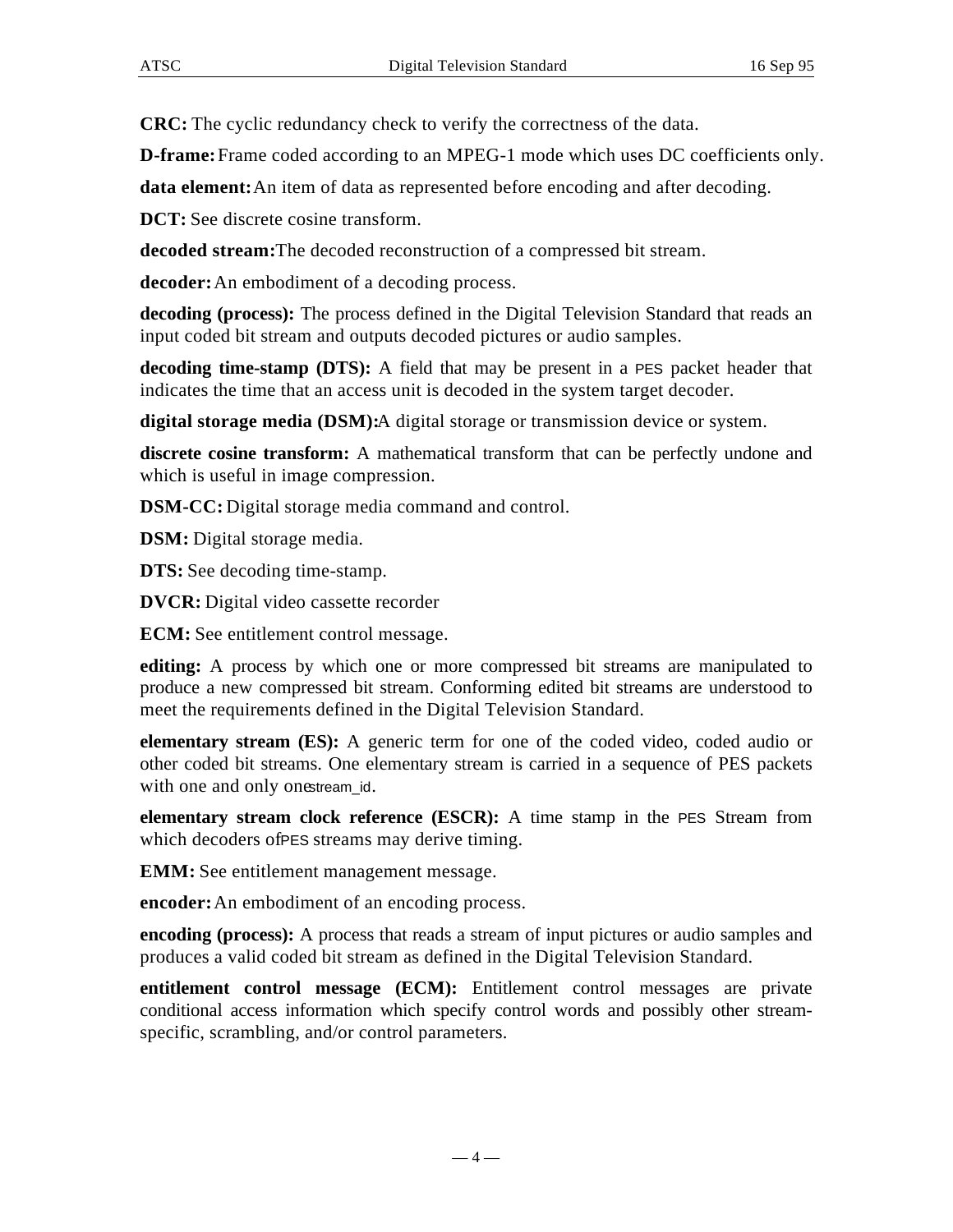**CRC:** The cyclic redundancy check to verify the correctness of the data.

**D-frame:** Frame coded according to an MPEG-1 mode which uses DC coefficients only.

**data element:** An item of data as represented before encoding and after decoding.

**DCT:** See discrete cosine transform.

**decoded stream:** The decoded reconstruction of a compressed bit stream.

**decoder:** An embodiment of a decoding process.

**decoding (process):** The process defined in the Digital Television Standard that reads an input coded bit stream and outputs decoded pictures or audio samples.

**decoding time-stamp (DTS):** A field that may be present in a PES packet header that indicates the time that an access unit is decoded in the system target decoder.

**digital storage media (DSM):** A digital storage or transmission device or system.

**discrete cosine transform:** A mathematical transform that can be perfectly undone and which is useful in image compression.

**DSM-CC:** Digital storage media command and control.

**DSM:** Digital storage media.

**DTS:** See decoding time-stamp.

**DVCR:** Digital video cassette recorder

**ECM:** See entitlement control message.

**editing:** A process by which one or more compressed bit streams are manipulated to produce a new compressed bit stream. Conforming edited bit streams are understood to meet the requirements defined in the Digital Television Standard.

**elementary stream (ES):** A generic term for one of the coded video, coded audio or other coded bit streams. One elementary stream is carried in a sequence of PES packets with one and only one stream\_id.

**elementary stream clock reference (ESCR):** A time stamp in the PES Stream from which decoders of PES streams may derive timing.

**EMM:** See entitlement management message.

**encoder:** An embodiment of an encoding process.

**encoding (process):** A process that reads a stream of input pictures or audio samples and produces a valid coded bit stream as defined in the Digital Television Standard.

**entitlement control message (ECM):** Entitlement control messages are private conditional access information which specify control words and possibly other streamspecific, scrambling, and/or control parameters.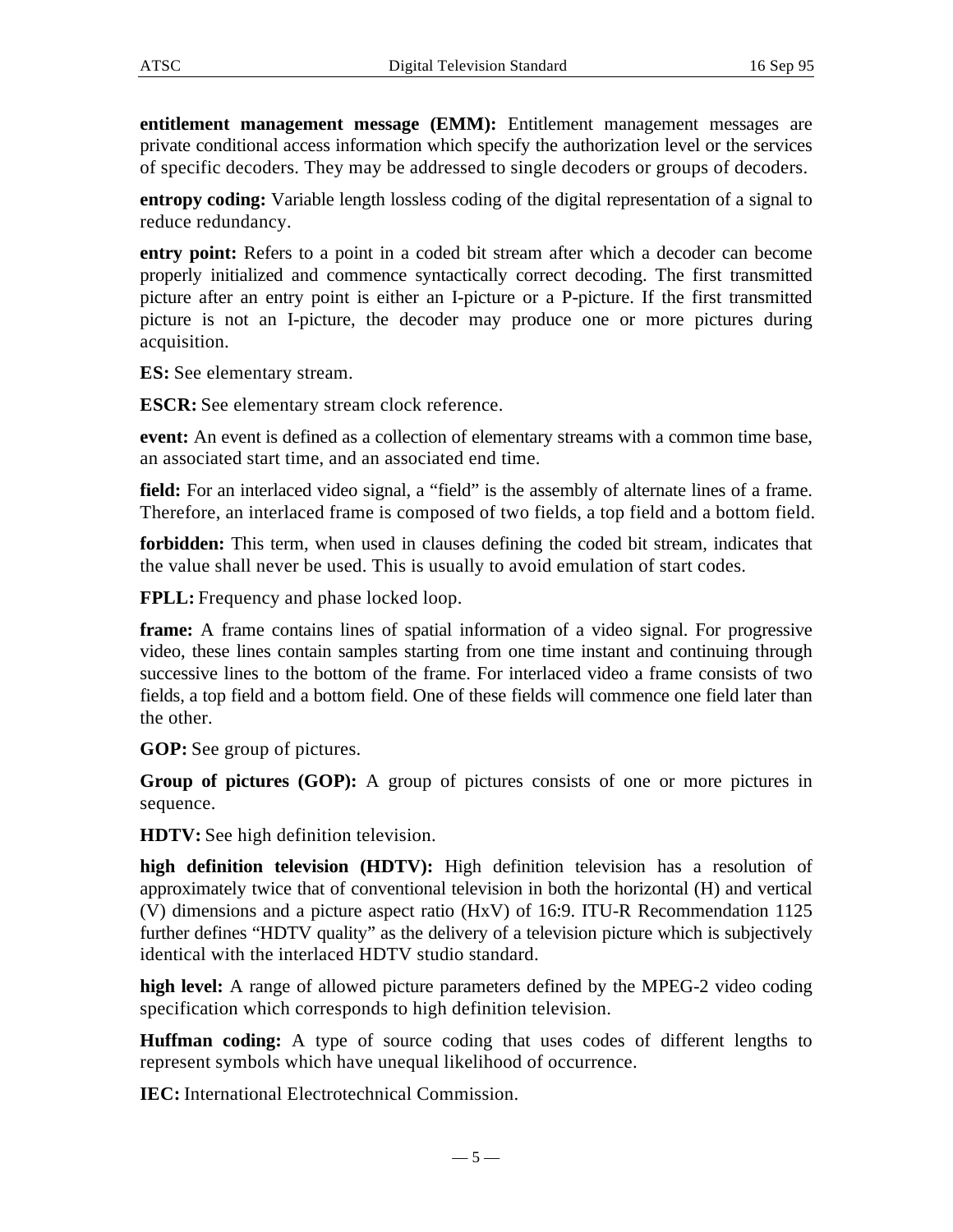**entitlement management message (EMM):** Entitlement management messages are private conditional access information which specify the authorization level or the services of specific decoders. They may be addressed to single decoders or groups of decoders.

**entropy coding:** Variable length lossless coding of the digital representation of a signal to reduce redundancy.

**entry point:** Refers to a point in a coded bit stream after which a decoder can become properly initialized and commence syntactically correct decoding. The first transmitted picture after an entry point is either an I-picture or a P-picture. If the first transmitted picture is not an I-picture, the decoder may produce one or more pictures during acquisition.

**ES:** See elementary stream.

**ESCR:** See elementary stream clock reference.

**event:** An event is defined as a collection of elementary streams with a common time base, an associated start time, and an associated end time.

**field:** For an interlaced video signal, a "field" is the assembly of alternate lines of a frame. Therefore, an interlaced frame is composed of two fields, a top field and a bottom field.

**forbidden:** This term, when used in clauses defining the coded bit stream, indicates that the value shall never be used. This is usually to avoid emulation of start codes.

**FPLL:** Frequency and phase locked loop.

**frame:** A frame contains lines of spatial information of a video signal. For progressive video, these lines contain samples starting from one time instant and continuing through successive lines to the bottom of the frame. For interlaced video a frame consists of two fields, a top field and a bottom field. One of these fields will commence one field later than the other.

**GOP:** See group of pictures.

**Group of pictures (GOP):** A group of pictures consists of one or more pictures in sequence.

**HDTV:** See high definition television.

**high definition television (HDTV):** High definition television has a resolution of approximately twice that of conventional television in both the horizontal (H) and vertical (V) dimensions and a picture aspect ratio (HxV) of 16:9. ITU-R Recommendation 1125 further defines "HDTV quality" as the delivery of a television picture which is subjectively identical with the interlaced HDTV studio standard.

**high level:** A range of allowed picture parameters defined by the MPEG-2 video coding specification which corresponds to high definition television.

**Huffman coding:** A type of source coding that uses codes of different lengths to represent symbols which have unequal likelihood of occurrence.

**IEC:** International Electrotechnical Commission.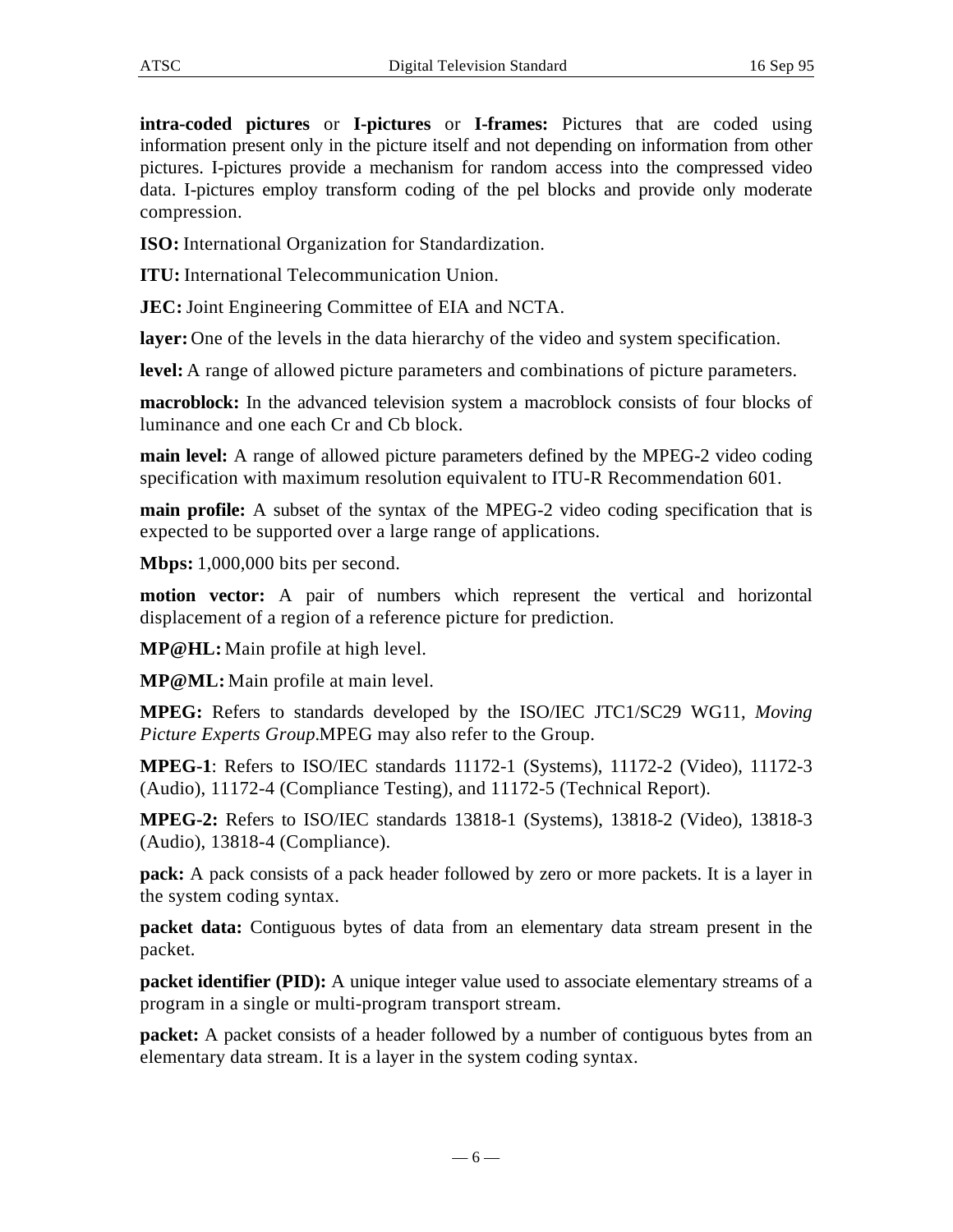**intra-coded pictures** or **I-pictures** or **I-frames:** Pictures that are coded using information present only in the picture itself and not depending on information from other pictures. I-pictures provide a mechanism for random access into the compressed video data. I-pictures employ transform coding of the pel blocks and provide only moderate compression.

**ISO:** International Organization for Standardization.

**ITU:** International Telecommunication Union.

**JEC:** Joint Engineering Committee of EIA and NCTA.

**layer:** One of the levels in the data hierarchy of the video and system specification.

**level:** A range of allowed picture parameters and combinations of picture parameters.

**macroblock:** In the advanced television system a macroblock consists of four blocks of luminance and one each Cr and Cb block.

**main level:** A range of allowed picture parameters defined by the MPEG-2 video coding specification with maximum resolution equivalent to ITU-R Recommendation 601.

**main profile:** A subset of the syntax of the MPEG-2 video coding specification that is expected to be supported over a large range of applications.

**Mbps:** 1,000,000 bits per second.

**motion vector:** A pair of numbers which represent the vertical and horizontal displacement of a region of a reference picture for prediction.

**MP@HL:** Main profile at high level.

**MP@ML:** Main profile at main level.

**MPEG:** Refers to standards developed by the ISO/IEC JTC1/SC29 WG11, *Moving Picture Experts Group.* MPEG may also refer to the Group.

**MPEG-1**: Refers to ISO/IEC standards 11172-1 (Systems), 11172-2 (Video), 11172-3 (Audio), 11172-4 (Compliance Testing), and 11172-5 (Technical Report).

**MPEG-2:** Refers to ISO/IEC standards 13818-1 (Systems), 13818-2 (Video), 13818-3 (Audio), 13818-4 (Compliance).

**pack:** A pack consists of a pack header followed by zero or more packets. It is a layer in the system coding syntax.

**packet data:** Contiguous bytes of data from an elementary data stream present in the packet.

**packet identifier (PID):** A unique integer value used to associate elementary streams of a program in a single or multi-program transport stream.

**packet:** A packet consists of a header followed by a number of contiguous bytes from an elementary data stream. It is a layer in the system coding syntax.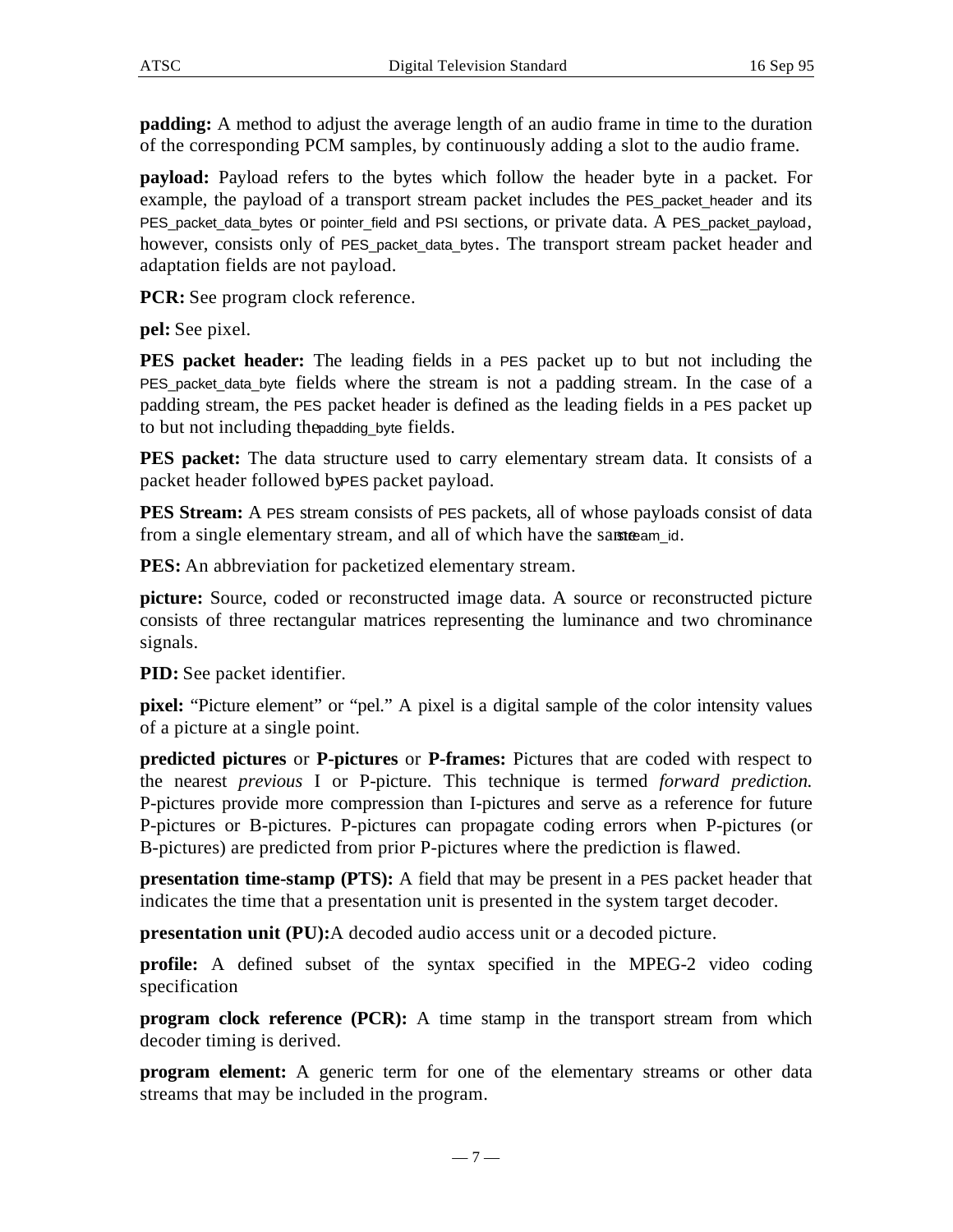**padding:** A method to adjust the average length of an audio frame in time to the duration of the corresponding PCM samples, by continuously adding a slot to the audio frame.

**payload:** Payload refers to the bytes which follow the header byte in a packet. For example, the payload of a transport stream packet includes the PES packet header and its PES\_packet\_data\_bytes or pointer\_field and PSI sections, or private data. A PES\_packet\_payload, however, consists only of PES packet data bytes. The transport stream packet header and adaptation fields are not payload.

**PCR:** See program clock reference.

**pel:** See pixel.

**PES packet header:** The leading fields in a PES packet up to but not including the PES\_packet\_data\_byte fields where the stream is not a padding stream. In the case of a padding stream, the PES packet header is defined as the leading fields in a PES packet up to but not including the padding\_byte fields.

**PES packet:** The data structure used to carry elementary stream data. It consists of a packet header followed by PES packet payload.

**PES Stream:** A PES stream consists of PES packets, all of whose payloads consist of data from a single elementary stream, and all of which have the same amid.

**PES:** An abbreviation for packetized elementary stream.

**picture:** Source, coded or reconstructed image data. A source or reconstructed picture consists of three rectangular matrices representing the luminance and two chrominance signals.

**PID:** See packet identifier.

**pixel:** "Picture element" or "pel." A pixel is a digital sample of the color intensity values of a picture at a single point.

**predicted pictures** or **P-pictures** or **P-frames:** Pictures that are coded with respect to the nearest *previous* I or P-picture. This technique is termed *forward prediction*. P-pictures provide more compression than I-pictures and serve as a reference for future P-pictures or B-pictures. P-pictures can propagate coding errors when P-pictures (or B-pictures) are predicted from prior P-pictures where the prediction is flawed.

**presentation time-stamp (PTS):** A field that may be present in a PES packet header that indicates the time that a presentation unit is presented in the system target decoder.

**presentation unit (PU):** A decoded audio access unit or a decoded picture.

**profile:** A defined subset of the syntax specified in the MPEG-2 video coding specification

**program clock reference (PCR):** A time stamp in the transport stream from which decoder timing is derived.

**program element:** A generic term for one of the elementary streams or other data streams that may be included in the program.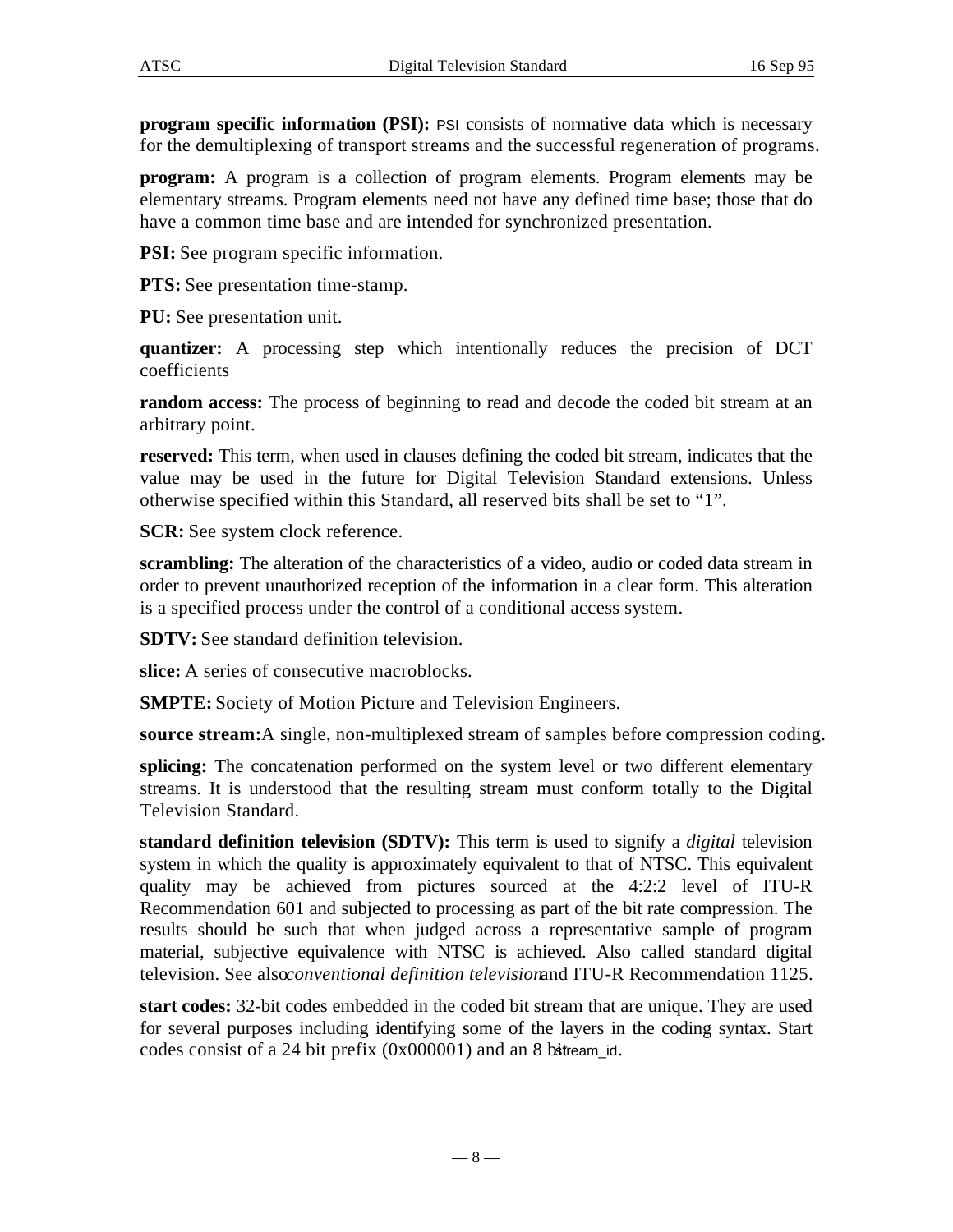**program specific information (PSI):** PSI consists of normative data which is necessary for the demultiplexing of transport streams and the successful regeneration of programs.

**program:** A program is a collection of program elements. Program elements may be elementary streams. Program elements need not have any defined time base; those that do have a common time base and are intended for synchronized presentation.

**PSI:** See program specific information.

**PTS:** See presentation time-stamp.

**PU:** See presentation unit.

**quantizer:** A processing step which intentionally reduces the precision of DCT coefficients

**random access:** The process of beginning to read and decode the coded bit stream at an arbitrary point.

**reserved:** This term, when used in clauses defining the coded bit stream, indicates that the value may be used in the future for Digital Television Standard extensions. Unless otherwise specified within this Standard, all reserved bits shall be set to "1".

**SCR:** See system clock reference.

**scrambling:** The alteration of the characteristics of a video, audio or coded data stream in order to prevent unauthorized reception of the information in a clear form. This alteration is a specified process under the control of a conditional access system.

**SDTV:** See standard definition television.

**slice:** A series of consecutive macroblocks.

**SMPTE:** Society of Motion Picture and Television Engineers.

**source stream:** A single, non-multiplexed stream of samples before compression coding.

**splicing:** The concatenation performed on the system level or two different elementary streams. It is understood that the resulting stream must conform totally to the Digital Television Standard.

**standard definition television (SDTV):** This term is used to signify a *digital* television system in which the quality is approximately equivalent to that of NTSC. This equivalent quality may be achieved from pictures sourced at the 4:2:2 level of ITU-R Recommendation 601 and subjected to processing as part of the bit rate compression. The results should be such that when judged across a representative sample of program material, subjective equivalence with NTSC is achieved. Also called standard digital television. See also*conventional definition television* and ITU-R Recommendation 1125.

**start codes:** 32-bit codes embedded in the coded bit stream that are unique. They are used for several purposes including identifying some of the layers in the coding syntax. Start codes consist of a 24 bit prefix  $(0x000001)$  and an 8 bit ream\_id.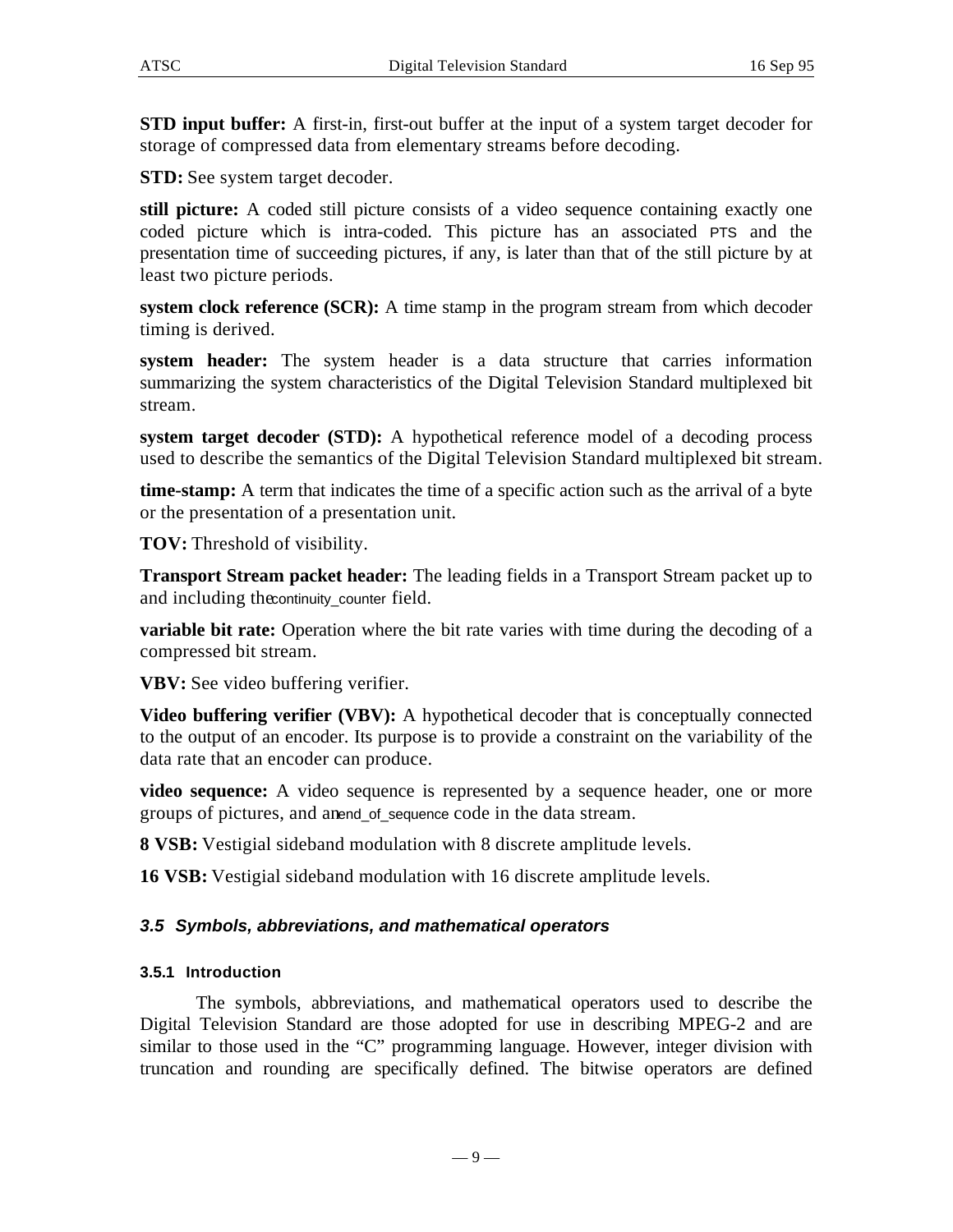**STD input buffer:** A first-in, first-out buffer at the input of a system target decoder for storage of compressed data from elementary streams before decoding.

**STD:** See system target decoder.

**still picture:** A coded still picture consists of a video sequence containing exactly one coded picture which is intra-coded. This picture has an associated PTS and the presentation time of succeeding pictures, if any, is later than that of the still picture by at least two picture periods.

**system clock reference (SCR):** A time stamp in the program stream from which decoder timing is derived.

**system header:** The system header is a data structure that carries information summarizing the system characteristics of the Digital Television Standard multiplexed bit stream.

**system target decoder (STD):** A hypothetical reference model of a decoding process used to describe the semantics of the Digital Television Standard multiplexed bit stream.

**time-stamp:** A term that indicates the time of a specific action such as the arrival of a byte or the presentation of a presentation unit.

**TOV:** Threshold of visibility.

**Transport Stream packet header:** The leading fields in a Transport Stream packet up to and including the continuity\_counter field.

**variable bit rate:** Operation where the bit rate varies with time during the decoding of a compressed bit stream.

**VBV:** See video buffering verifier.

**Video buffering verifier (VBV):** A hypothetical decoder that is conceptually connected to the output of an encoder. Its purpose is to provide a constraint on the variability of the data rate that an encoder can produce.

**video sequence:** A video sequence is represented by a sequence header, one or more groups of pictures, and anend\_of\_sequence code in the data stream.

**8 VSB:** Vestigial sideband modulation with 8 discrete amplitude levels.

**16 VSB:** Vestigial sideband modulation with 16 discrete amplitude levels.

# *3.5 Symbols, abbreviations, and mathematical operators*

# **3.5.1 Introduction**

The symbols, abbreviations, and mathematical operators used to describe the Digital Television Standard are those adopted for use in describing MPEG-2 and are similar to those used in the "C" programming language. However, integer division with truncation and rounding are specifically defined. The bitwise operators are defined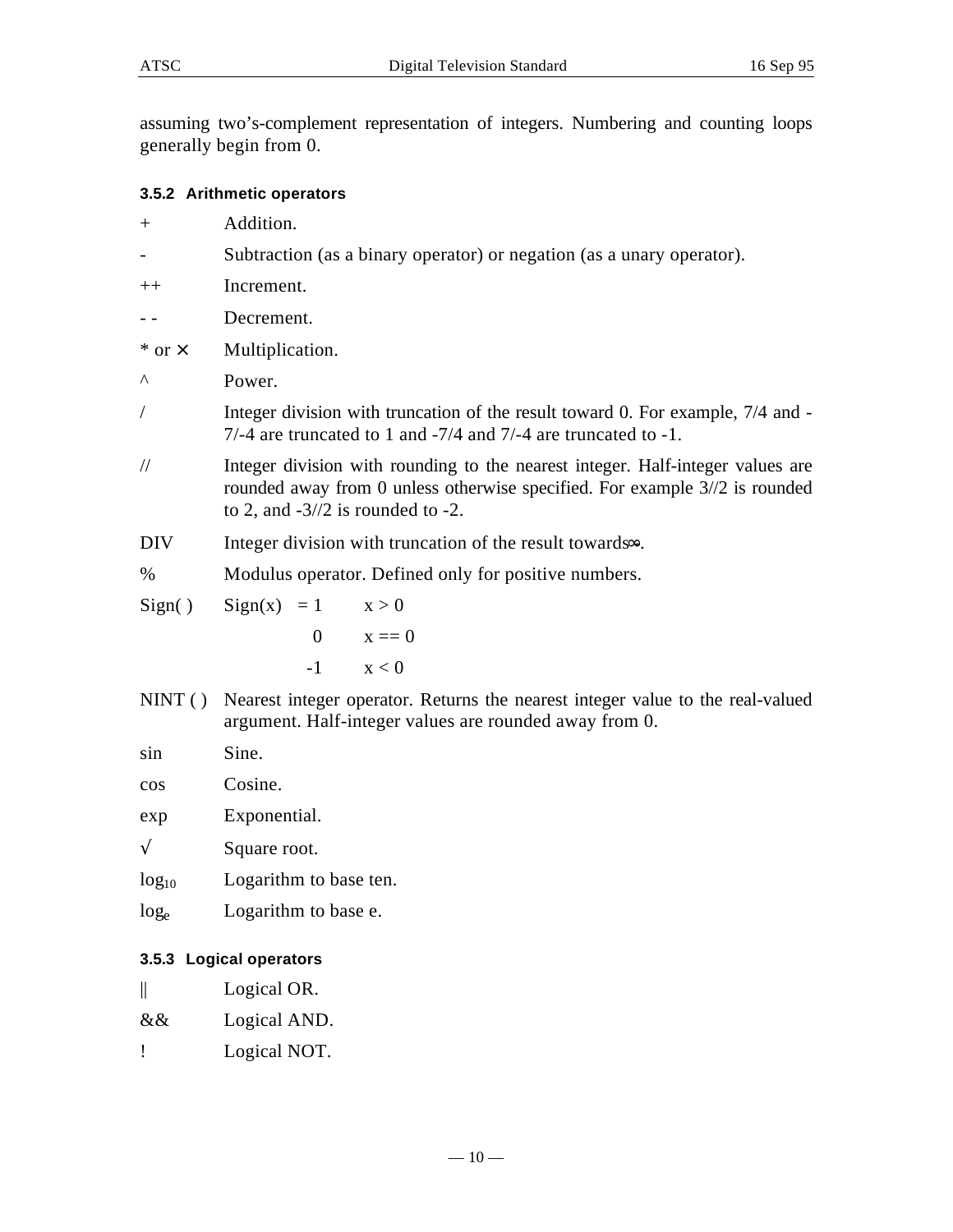assuming two's-complement representation of integers. Numbering and counting loops generally begin from 0.

#### **3.5.2 Arithmetic operators**

| $^{+}$          | Addition.                                                                                                                                                                                              |  |
|-----------------|--------------------------------------------------------------------------------------------------------------------------------------------------------------------------------------------------------|--|
|                 | Subtraction (as a binary operator) or negation (as a unary operator).                                                                                                                                  |  |
| $++$            | Increment.                                                                                                                                                                                             |  |
|                 | Decrement.                                                                                                                                                                                             |  |
| $*$ or $\times$ | Multiplication.                                                                                                                                                                                        |  |
| Λ               | Power.                                                                                                                                                                                                 |  |
| $\sqrt{2}$      | Integer division with truncation of the result toward 0. For example, 7/4 and -<br>$7/-4$ are truncated to 1 and $-7/4$ and $7/-4$ are truncated to $-1$ .                                             |  |
| $\frac{1}{2}$   | Integer division with rounding to the nearest integer. Half-integer values are<br>rounded away from 0 unless otherwise specified. For example 3//2 is rounded<br>to 2, and $-3/2$ is rounded to $-2$ . |  |
| DIV             | Integer division with truncation of the result towards.                                                                                                                                                |  |
| %               | Modulus operator. Defined only for positive numbers.                                                                                                                                                   |  |
| Sign()          | $Sign(x) = 1$<br>x > 0                                                                                                                                                                                 |  |
|                 | $\overline{0}$<br>$x == 0$                                                                                                                                                                             |  |
|                 | $-1 \qquad x < 0$                                                                                                                                                                                      |  |
| NINT()          | Nearest integer operator. Returns the nearest integer value to the real-valued<br>argument. Half-integer values are rounded away from 0.                                                               |  |
| sin             | Sine.                                                                                                                                                                                                  |  |
| $\cos$          | Cosine.                                                                                                                                                                                                |  |
| exp             | Exponential.                                                                                                                                                                                           |  |
| $\sqrt{ }$      | Square root.                                                                                                                                                                                           |  |
| $log_{10}$      | Logarithm to base ten.                                                                                                                                                                                 |  |
| $log_e$         | Logarithm to base e.                                                                                                                                                                                   |  |
|                 | 3.5.3 Logical operators                                                                                                                                                                                |  |

# $\|$  Logical OR

| LOGICAL UN. |
|-------------|
|             |

- && Logical AND.
- ! Logical NOT.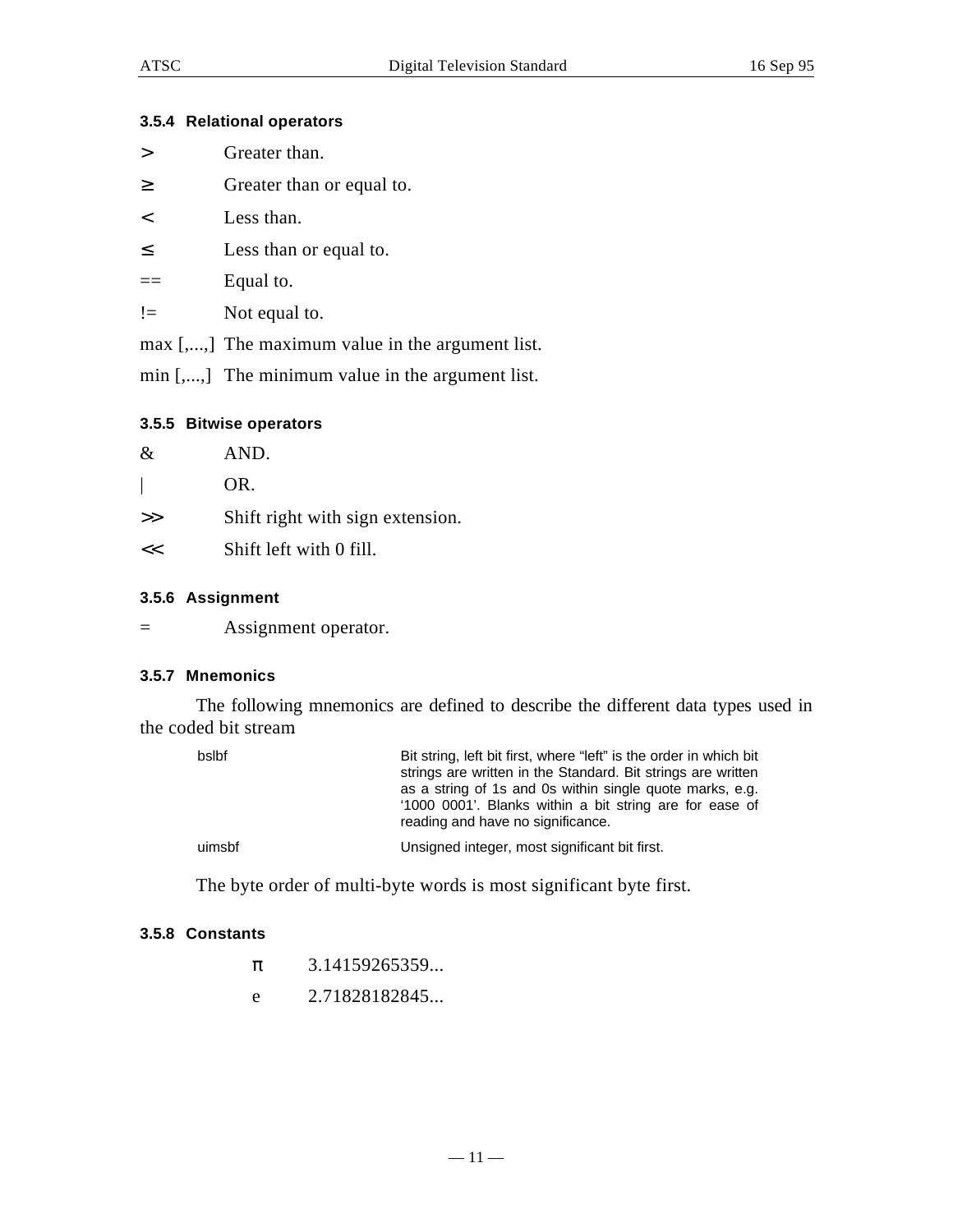#### **3.5.4 Relational operators**

- ≥ Greater than or equal to.
- < Less than.
- $\leq$  Less than or equal to.

 $==$  Equal to.

!= Not equal to.

max [,...,] The maximum value in the argument list.

min [,...,] The minimum value in the argument list.

#### **3.5.5 Bitwise operators**

| OR.

>> Shift right with sign extension.

<< Shift left with 0 fill.

#### **3.5.6 Assignment**

= Assignment operator.

#### **3.5.7 Mnemonics**

The following mnemonics are defined to describe the different data types used in the coded bit stream.

| bslbf  | Bit string, left bit first, where "left" is the order in which bit<br>strings are written in the Standard. Bit strings are written<br>as a string of 1s and 0s within single quote marks, e.g.<br>'1000 0001'. Blanks within a bit string are for ease of<br>reading and have no significance. |
|--------|------------------------------------------------------------------------------------------------------------------------------------------------------------------------------------------------------------------------------------------------------------------------------------------------|
| uimsbf | Unsigned integer, most significant bit first.                                                                                                                                                                                                                                                  |

The byte order of multi-byte words is most significant byte first.

#### **3.5.8 Constants**

| $\pi$ | 3.14159265359 |
|-------|---------------|
|       |               |

e 2.71828182845...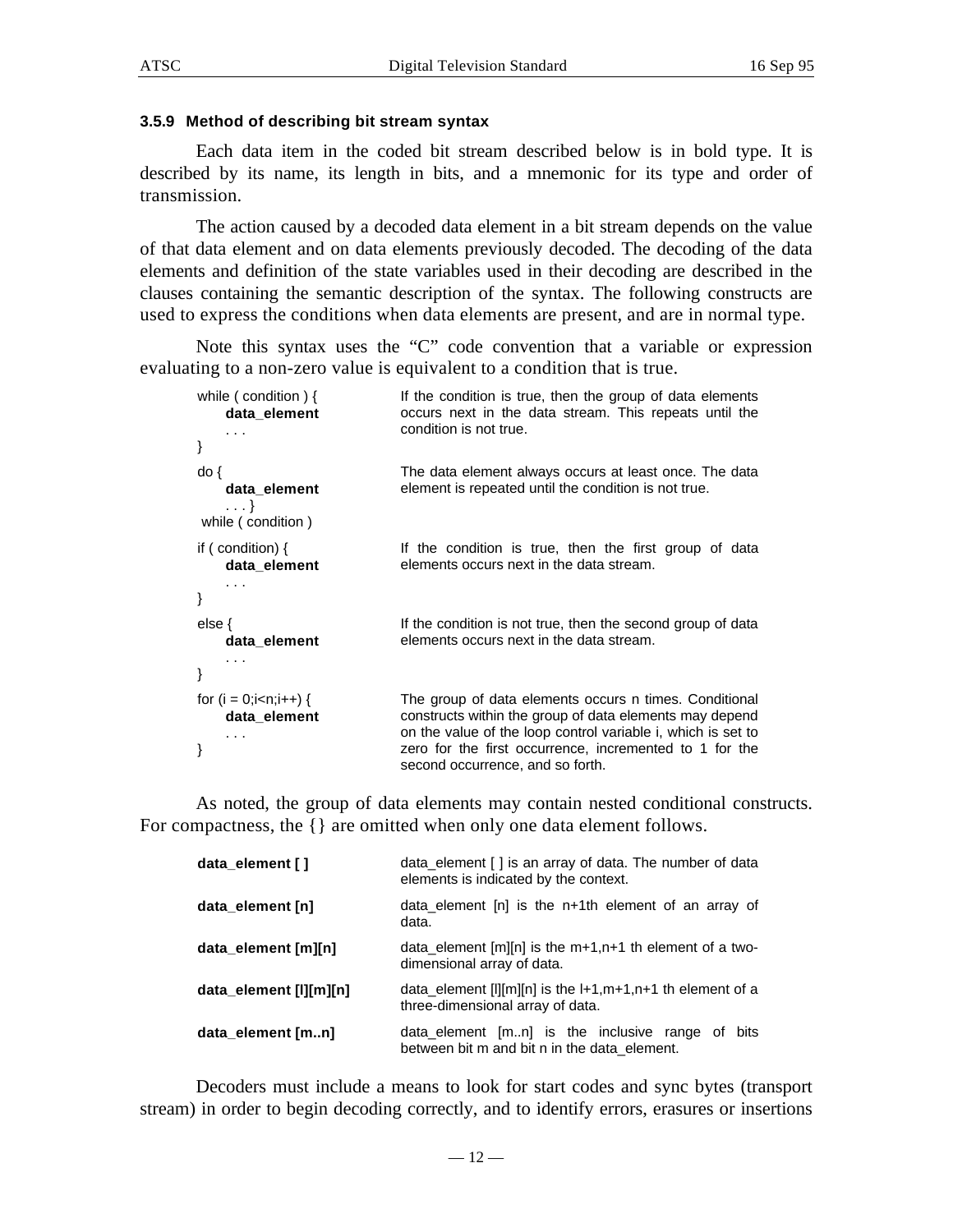#### **3.5.9 Method of describing bit stream syntax**

Each data item in the coded bit stream described below is in bold type. It is described by its name, its length in bits, and a mnemonic for its type and order of transmission.

The action caused by a decoded data element in a bit stream depends on the value of that data element and on data elements previously decoded. The decoding of the data elements and definition of the state variables used in their decoding are described in the clauses containing the semantic description of the syntax. The following constructs are used to express the conditions when data elements are present, and are in normal type.

Note this syntax uses the "C" code convention that a variable or expression evaluating to a non-zero value is equivalent to a condition that is true.

| while $($ condition $)$ $\{$<br>data element<br><sup>}</sup>     | If the condition is true, then the group of data elements<br>occurs next in the data stream. This repeats until the<br>condition is not true.                                                                                                                                    |
|------------------------------------------------------------------|----------------------------------------------------------------------------------------------------------------------------------------------------------------------------------------------------------------------------------------------------------------------------------|
| $do$ {<br>data_element<br>$\ldots$ }<br>while (condition)        | The data element always occurs at least once. The data<br>element is repeated until the condition is not true.                                                                                                                                                                   |
| if (condition) {<br>data element<br>ł                            | If the condition is true, then the first group of data<br>elements occurs next in the data stream.                                                                                                                                                                               |
| else $\{$<br>data element<br>}                                   | If the condition is not true, then the second group of data<br>elements occurs next in the data stream.                                                                                                                                                                          |
| for $(i = 0; i < n; i++)$ {<br>data_element<br>.<br><sup>}</sup> | The group of data elements occurs n times. Conditional<br>constructs within the group of data elements may depend<br>on the value of the loop control variable i, which is set to<br>zero for the first occurrence, incremented to 1 for the<br>second occurrence, and so forth. |

As noted, the group of data elements may contain nested conditional constructs. For compactness, the {} are omitted when only one data element follows.

| data element []        | data element $\lceil \cdot \rceil$ is an array of data. The number of data<br>elements is indicated by the context.                  |  |
|------------------------|--------------------------------------------------------------------------------------------------------------------------------------|--|
| data_element [n]       | data_element $[n]$ is the $n+1$ th element of an array of<br>data.                                                                   |  |
| data_element [m][n]    | data_element $[m][n]$ is the $m+1,n+1$ th element of a two-<br>dimensional array of data.                                            |  |
| data_element [l][m][n] | data element $\lfloor \frac{n}{n} \rfloor$ is the $\lfloor +1, m+1, n+1 \rfloor$ th element of a<br>three-dimensional array of data. |  |
| data_element [mn]      | data element [mn] is the inclusive range of<br>bits<br>between bit m and bit n in the data element.                                  |  |

Decoders must include a means to look for start codes and sync bytes (transport stream) in order to begin decoding correctly, and to identify errors, erasures or insertions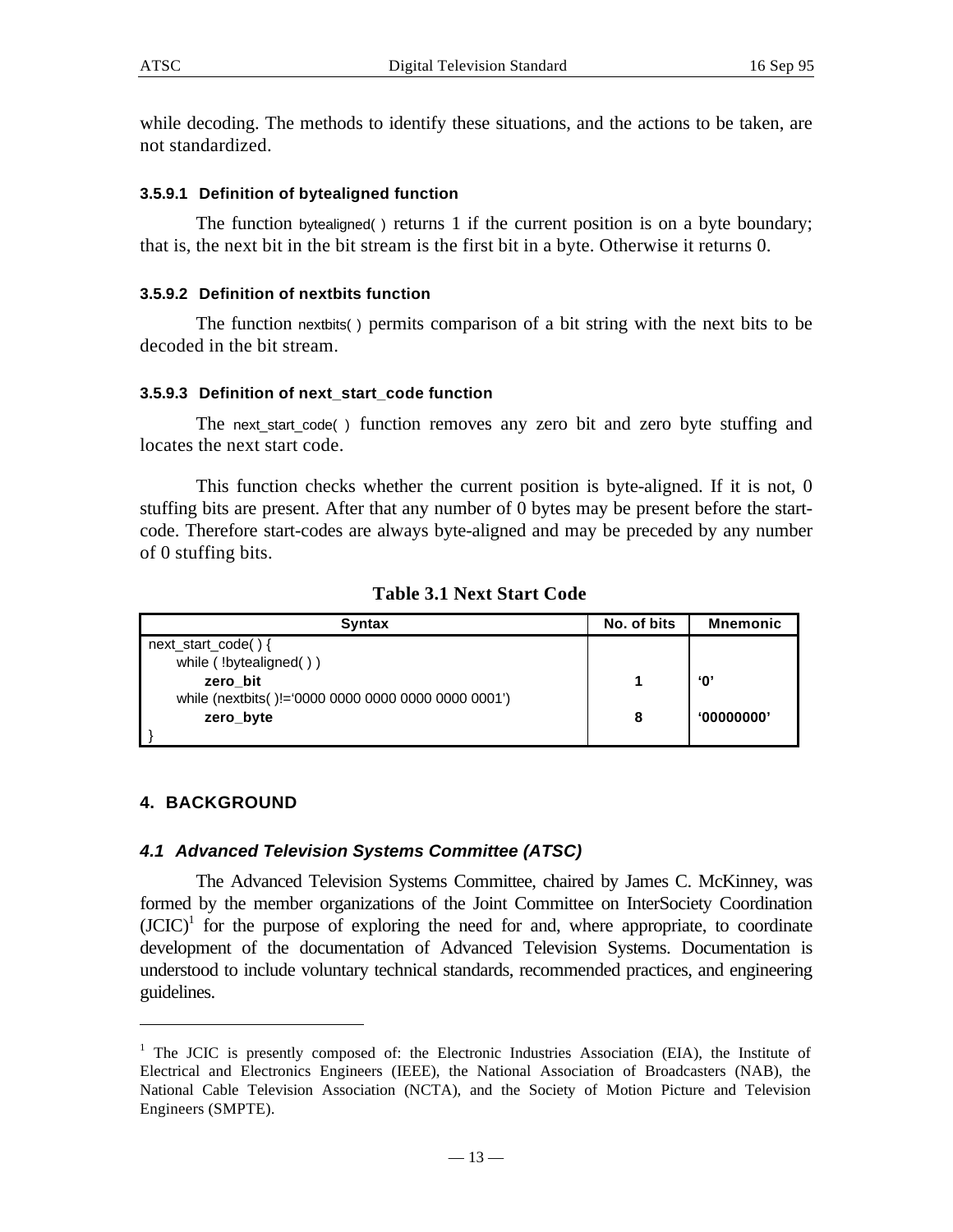while decoding. The methods to identify these situations, and the actions to be taken, are not standardized.

#### **3.5.9.1 Definition of bytealigned function**

The function bytealigned( ) returns 1 if the current position is on a byte boundary; that is, the next bit in the bit stream is the first bit in a byte. Otherwise it returns 0.

#### **3.5.9.2 Definition of nextbits function**

The function nextbits( ) permits comparison of a bit string with the next bits to be decoded in the bit stream.

#### **3.5.9.3 Definition of next\_start\_code function**

The next\_start\_code( ) function removes any zero bit and zero byte stuffing and locates the next start code.

This function checks whether the current position is byte-aligned. If it is not, 0 stuffing bits are present. After that any number of 0 bytes may be present before the startcode. Therefore start-codes are always byte-aligned and may be preceded by any number of 0 stuffing bits.

| <b>Syntax</b>                                       | No. of bits | <b>Mnemonic</b> |
|-----------------------------------------------------|-------------|-----------------|
| $next_start\_code()$                                |             |                 |
| while (!bytealigned())                              |             |                 |
| zero bit                                            |             | ί0′             |
| while (nextbits()!='0000 0000 0000 0000 0000 0001') |             |                 |
| zero_byte                                           | 8           | '00000000'      |
|                                                     |             |                 |

**Table 3.1 Next Start Code**

# **4. BACKGROUND**

<u>.</u>

#### *4.1 Advanced Television Systems Committee (ATSC)*

The Advanced Television Systems Committee, chaired by James C. McKinney, was formed by the member organizations of the Joint Committee on InterSociety Coordination  $\left(\text{JCIC}\right)^1$  for the purpose of exploring the need for and, where appropriate, to coordinate development of the documentation of Advanced Television Systems. Documentation is understood to include voluntary technical standards, recommended practices, and engineering guidelines.

<sup>&</sup>lt;sup>1</sup> The JCIC is presently composed of: the Electronic Industries Association (EIA), the Institute of Electrical and Electronics Engineers (IEEE), the National Association of Broadcasters (NAB), the National Cable Television Association (NCTA), and the Society of Motion Picture and Television Engineers (SMPTE).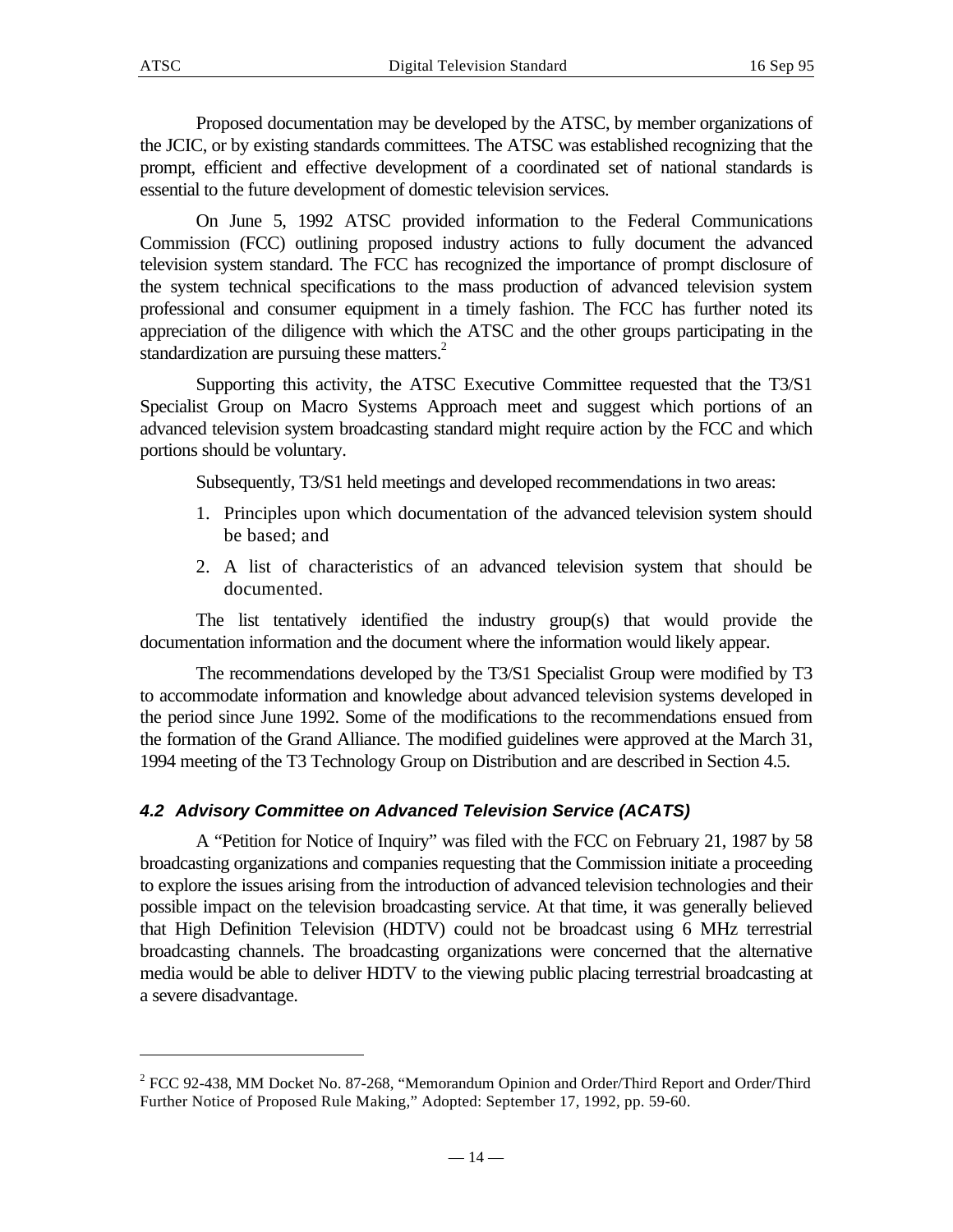$\overline{a}$ 

Proposed documentation may be developed by the ATSC, by member organizations of the JCIC, or by existing standards committees. The ATSC was established recognizing that the prompt, efficient and effective development of a coordinated set of national standards is essential to the future development of domestic television services.

On June 5, 1992 ATSC provided information to the Federal Communications Commission (FCC) outlining proposed industry actions to fully document the advanced television system standard. The FCC has recognized the importance of prompt disclosure of the system technical specifications to the mass production of advanced television system professional and consumer equipment in a timely fashion. The FCC has further noted its appreciation of the diligence with which the ATSC and the other groups participating in the standardization are pursuing these matters.<sup>2</sup>

Supporting this activity, the ATSC Executive Committee requested that the T3/S1 Specialist Group on Macro Systems Approach meet and suggest which portions of an advanced television system broadcasting standard might require action by the FCC and which portions should be voluntary.

Subsequently, T3/S1 held meetings and developed recommendations in two areas:

- 1. Principles upon which documentation of the advanced television system should be based; and
- 2. A list of characteristics of an advanced television system that should be documented.

The list tentatively identified the industry group(s) that would provide the documentation information and the document where the information would likely appear.

The recommendations developed by the T3/S1 Specialist Group were modified by T3 to accommodate information and knowledge about advanced television systems developed in the period since June 1992. Some of the modifications to the recommendations ensued from the formation of the Grand Alliance. The modified guidelines were approved at the March 31, 1994 meeting of the T3 Technology Group on Distribution and are described in Section 4.5.

#### *4.2 Advisory Committee on Advanced Television Service (ACATS)*

A "Petition for Notice of Inquiry" was filed with the FCC on February 21, 1987 by 58 broadcasting organizations and companies requesting that the Commission initiate a proceeding to explore the issues arising from the introduction of advanced television technologies and their possible impact on the television broadcasting service. At that time, it was generally believed that High Definition Television (HDTV) could not be broadcast using 6 MHz terrestrial broadcasting channels. The broadcasting organizations were concerned that the alternative media would be able to deliver HDTV to the viewing public placing terrestrial broadcasting at a severe disadvantage.

 $2$  FCC 92-438, MM Docket No. 87-268, "Memorandum Opinion and Order/Third Report and Order/Third Further Notice of Proposed Rule Making," Adopted: September 17, 1992, pp. 59-60.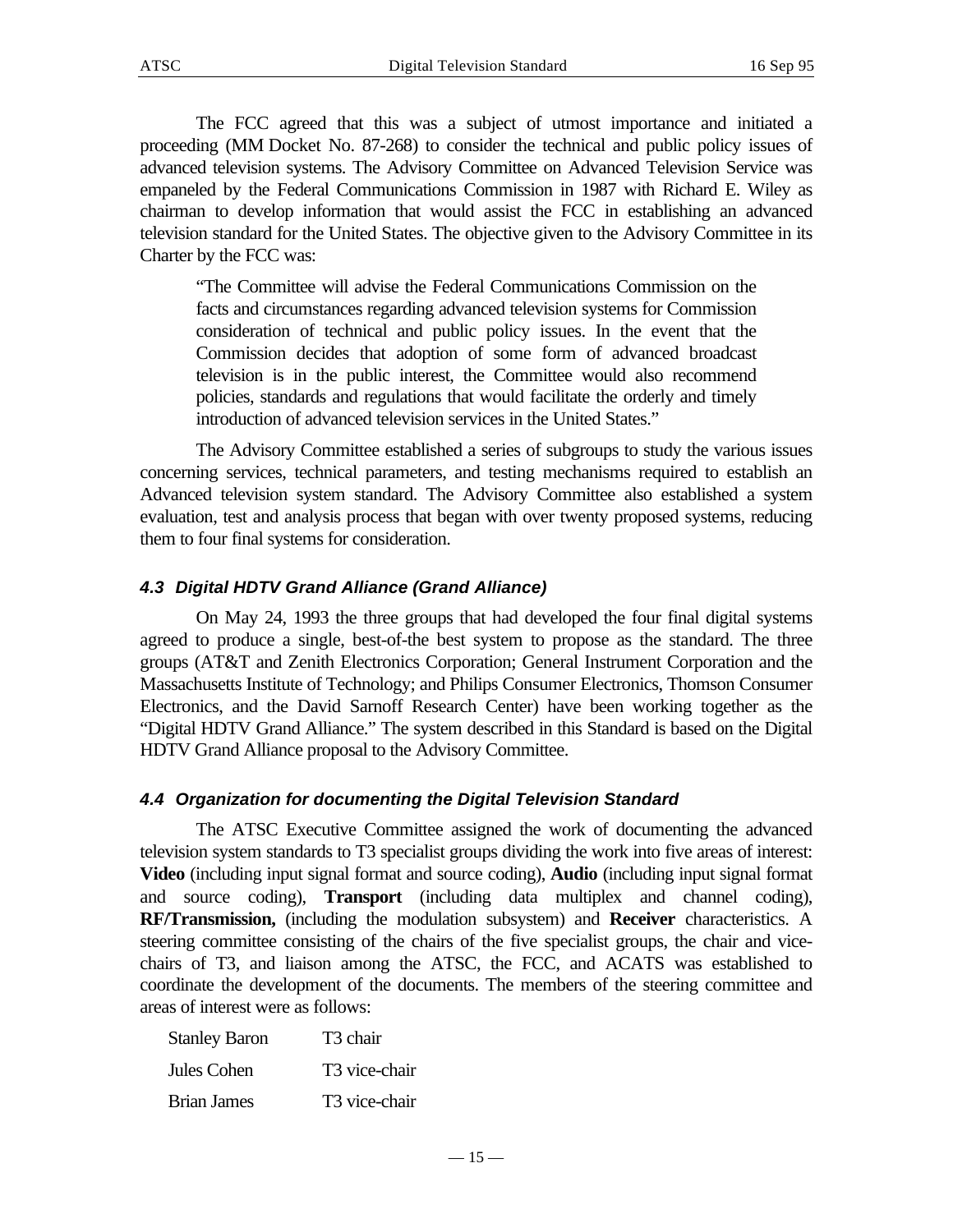The FCC agreed that this was a subject of utmost importance and initiated a proceeding (MM Docket No. 87-268) to consider the technical and public policy issues of advanced television systems. The Advisory Committee on Advanced Television Service was empaneled by the Federal Communications Commission in 1987 with Richard E. Wiley as chairman to develop information that would assist the FCC in establishing an advanced television standard for the United States. The objective given to the Advisory Committee in its Charter by the FCC was:

"The Committee will advise the Federal Communications Commission on the facts and circumstances regarding advanced television systems for Commission consideration of technical and public policy issues. In the event that the Commission decides that adoption of some form of advanced broadcast television is in the public interest, the Committee would also recommend policies, standards and regulations that would facilitate the orderly and timely introduction of advanced television services in the United States."

The Advisory Committee established a series of subgroups to study the various issues concerning services, technical parameters, and testing mechanisms required to establish an Advanced television system standard. The Advisory Committee also established a system evaluation, test and analysis process that began with over twenty proposed systems, reducing them to four final systems for consideration.

#### *4.3 Digital HDTV Grand Alliance (Grand Alliance)*

On May 24, 1993 the three groups that had developed the four final digital systems agreed to produce a single, best-of-the best system to propose as the standard. The three groups (AT&T and Zenith Electronics Corporation; General Instrument Corporation and the Massachusetts Institute of Technology; and Philips Consumer Electronics, Thomson Consumer Electronics, and the David Sarnoff Research Center) have been working together as the "Digital HDTV Grand Alliance." The system described in this Standard is based on the Digital HDTV Grand Alliance proposal to the Advisory Committee.

#### *4.4 Organization for documenting the Digital Television Standard*

The ATSC Executive Committee assigned the work of documenting the advanced television system standards to T3 specialist groups dividing the work into five areas of interest: **Video** (including input signal format and source coding), **Audio** (including input signal format and source coding), **Transport** (including data multiplex and channel coding), **RF/Transmission,** (including the modulation subsystem) and **Receiver** characteristics. A steering committee consisting of the chairs of the five specialist groups, the chair and vicechairs of T3, and liaison among the ATSC, the FCC, and ACATS was established to coordinate the development of the documents. The members of the steering committee and areas of interest were as follows:

| <b>Stanley Baron</b> | T3 chair                  |
|----------------------|---------------------------|
| Jules Cohen          | T <sub>3</sub> vice-chair |
| <b>Brian James</b>   | T <sub>3</sub> vice-chair |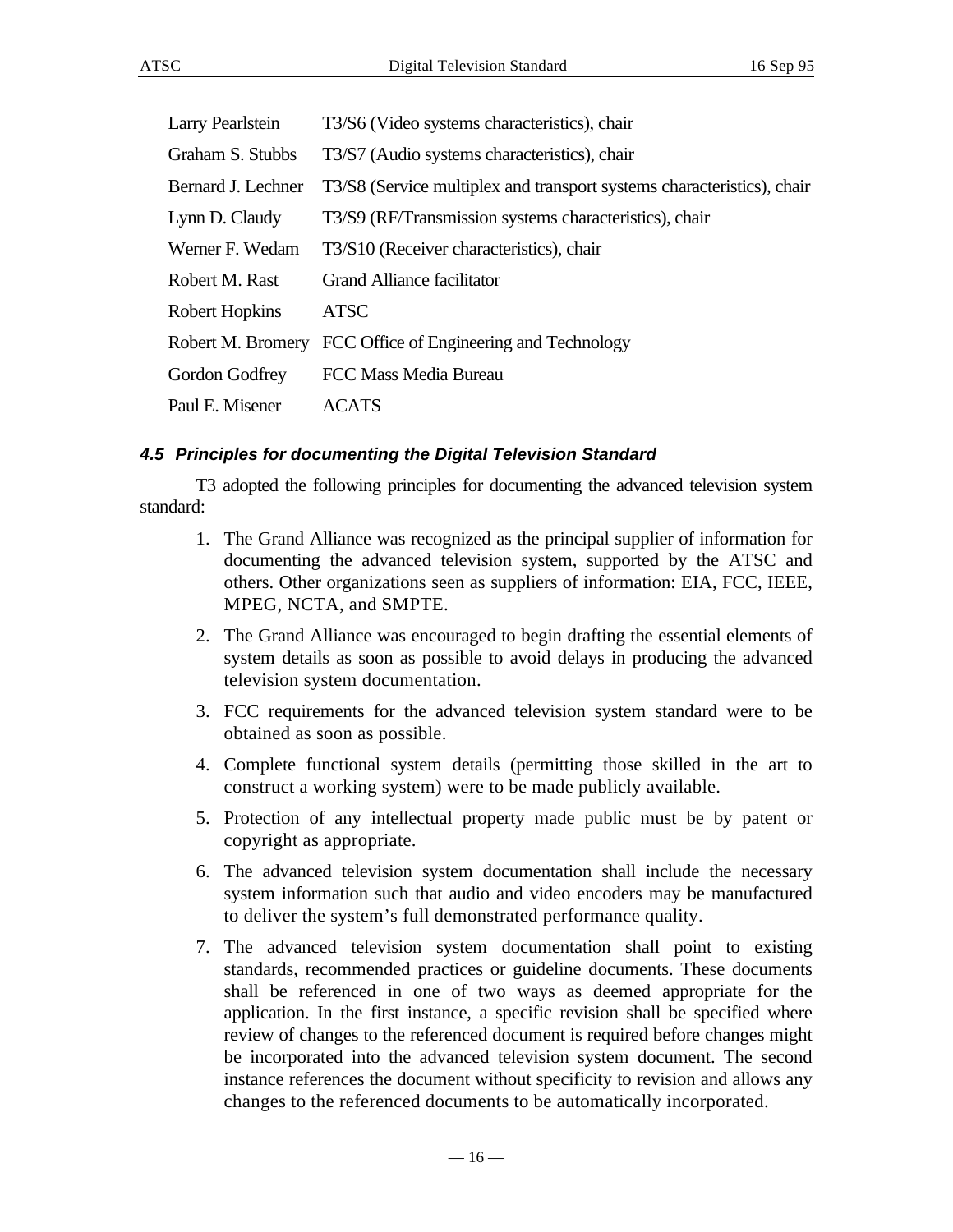| Larry Pearlstein      | T3/S6 (Video systems characteristics), chair                           |
|-----------------------|------------------------------------------------------------------------|
| Graham S. Stubbs      | T3/S7 (Audio systems characteristics), chair                           |
| Bernard J. Lechner    | T3/S8 (Service multiplex and transport systems characteristics), chair |
| Lynn D. Claudy        | T3/S9 (RF/Transmission systems characteristics), chair                 |
| Werner F. Wedam       | T3/S10 (Receiver characteristics), chair                               |
| Robert M. Rast        | <b>Grand Alliance facilitator</b>                                      |
| <b>Robert Hopkins</b> | <b>ATSC</b>                                                            |
|                       | Robert M. Bromery FCC Office of Engineering and Technology             |
| Gordon Godfrey        | FCC Mass Media Bureau                                                  |
| Paul E. Misener       | <b>ACATS</b>                                                           |

#### *4.5 Principles for documenting the Digital Television Standard*

T3 adopted the following principles for documenting the advanced television system standard:

- 1. The Grand Alliance was recognized as the principal supplier of information for documenting the advanced television system, supported by the ATSC and others. Other organizations seen as suppliers of information: EIA, FCC, IEEE, MPEG, NCTA, and SMPTE.
- 2. The Grand Alliance was encouraged to begin drafting the essential elements of system details as soon as possible to avoid delays in producing the advanced television system documentation.
- 3. FCC requirements for the advanced television system standard were to be obtained as soon as possible.
- 4. Complete functional system details (permitting those skilled in the art to construct a working system) were to be made publicly available.
- 5. Protection of any intellectual property made public must be by patent or copyright as appropriate.
- 6. The advanced television system documentation shall include the necessary system information such that audio and video encoders may be manufactured to deliver the system's full demonstrated performance quality.
- 7. The advanced television system documentation shall point to existing standards, recommended practices or guideline documents. These documents shall be referenced in one of two ways as deemed appropriate for the application. In the first instance, a specific revision shall be specified where review of changes to the referenced document is required before changes might be incorporated into the advanced television system document. The second instance references the document without specificity to revision and allows any changes to the referenced documents to be automatically incorporated.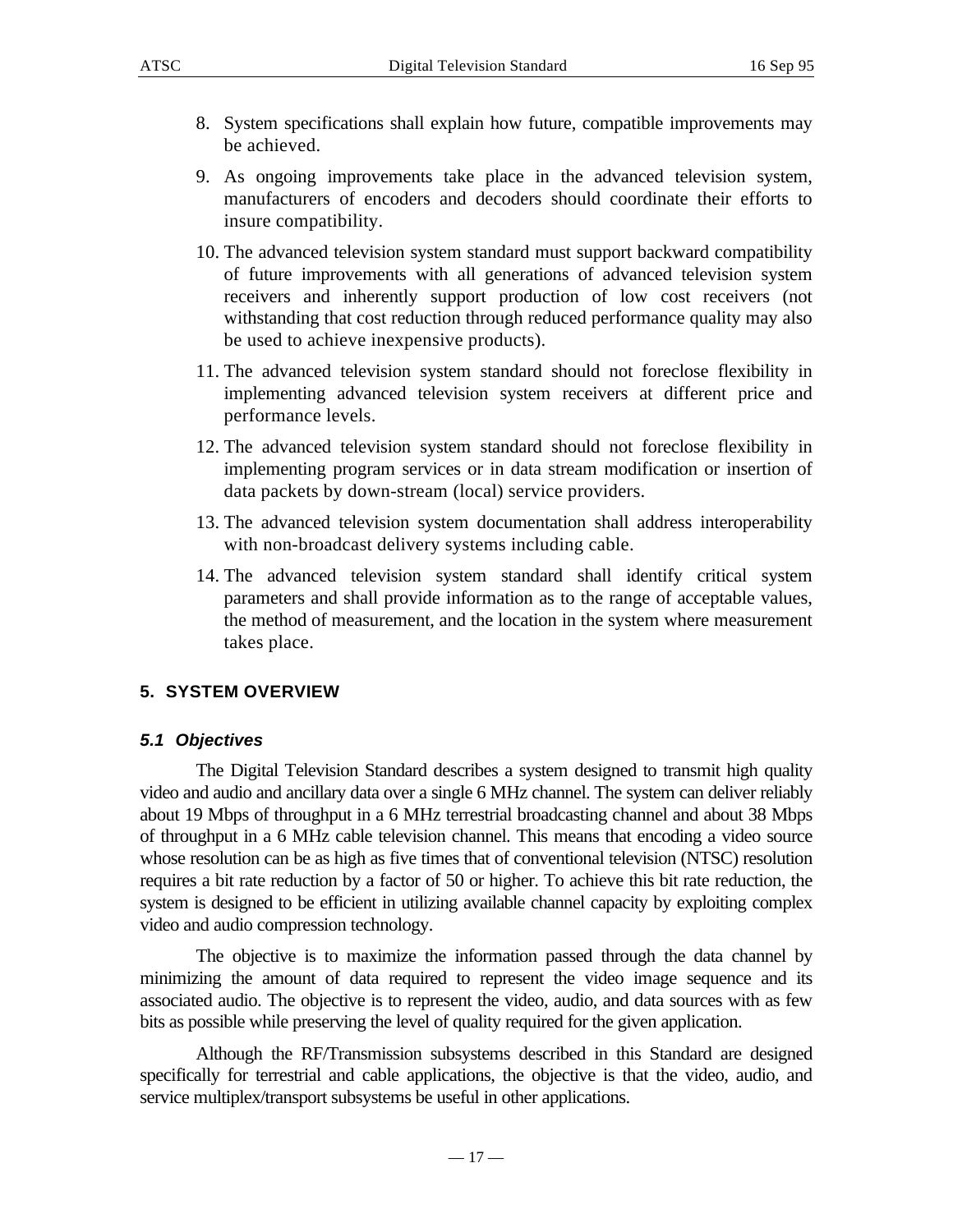- 8. System specifications shall explain how future, compatible improvements may be achieved.
- 9. As ongoing improvements take place in the advanced television system, manufacturers of encoders and decoders should coordinate their efforts to insure compatibility.
- 10. The advanced television system standard must support backward compatibility of future improvements with all generations of advanced television system receivers and inherently support production of low cost receivers (not withstanding that cost reduction through reduced performance quality may also be used to achieve inexpensive products).
- 11. The advanced television system standard should not foreclose flexibility in implementing advanced television system receivers at different price and performance levels.
- 12. The advanced television system standard should not foreclose flexibility in implementing program services or in data stream modification or insertion of data packets by down-stream (local) service providers.
- 13. The advanced television system documentation shall address interoperability with non-broadcast delivery systems including cable.
- 14. The advanced television system standard shall identify critical system parameters and shall provide information as to the range of acceptable values, the method of measurement, and the location in the system where measurement takes place.

#### **5. SYSTEM OVERVIEW**

#### *5.1 Objectives*

The Digital Television Standard describes a system designed to transmit high quality video and audio and ancillary data over a single 6 MHz channel. The system can deliver reliably about 19 Mbps of throughput in a 6 MHz terrestrial broadcasting channel and about 38 Mbps of throughput in a 6 MHz cable television channel. This means that encoding a video source whose resolution can be as high as five times that of conventional television (NTSC) resolution requires a bit rate reduction by a factor of 50 or higher. To achieve this bit rate reduction, the system is designed to be efficient in utilizing available channel capacity by exploiting complex video and audio compression technology.

The objective is to maximize the information passed through the data channel by minimizing the amount of data required to represent the video image sequence and its associated audio. The objective is to represent the video, audio, and data sources with as few bits as possible while preserving the level of quality required for the given application.

Although the RF/Transmission subsystems described in this Standard are designed specifically for terrestrial and cable applications, the objective is that the video, audio, and service multiplex/transport subsystems be useful in other applications.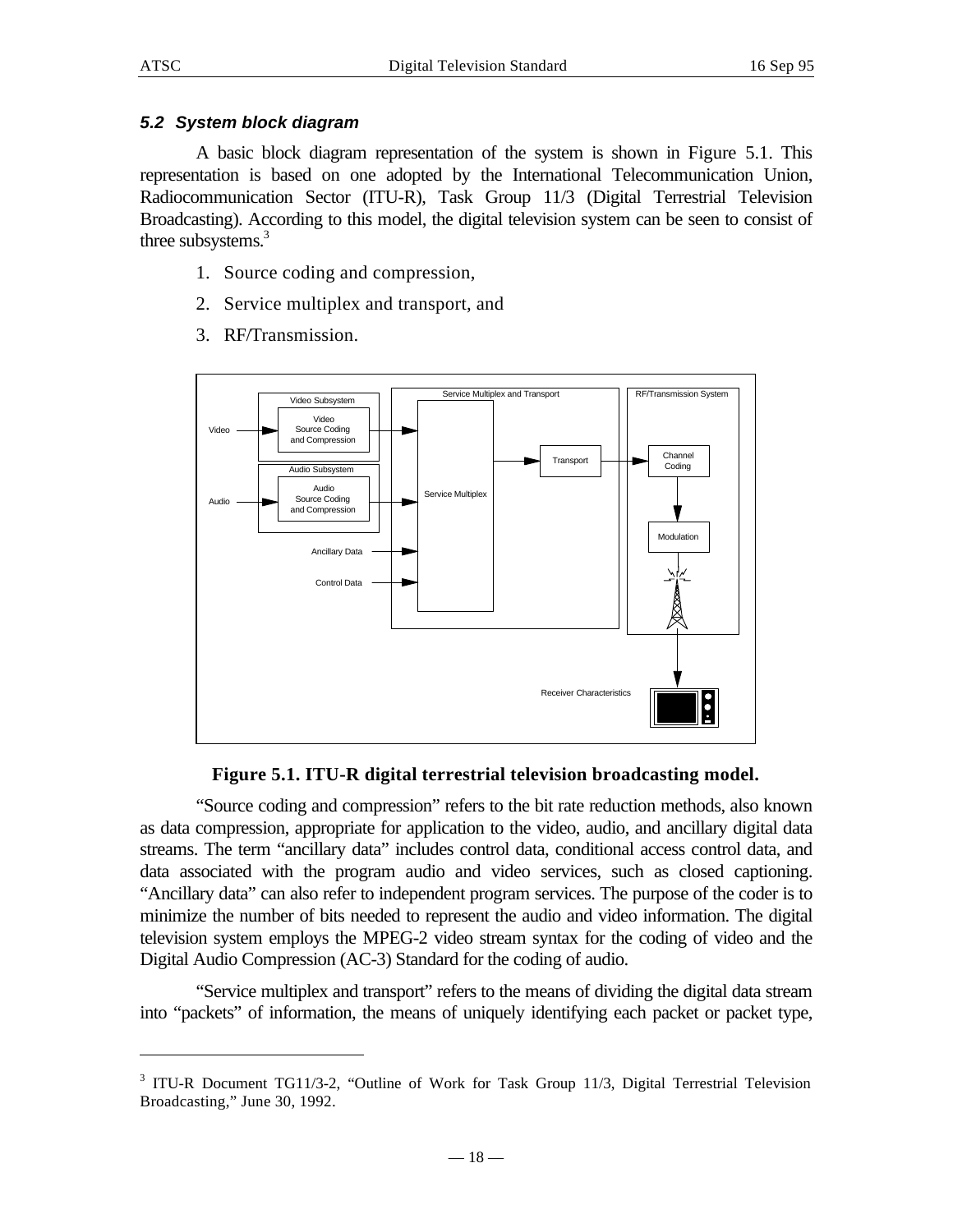#### *5.2 System block diagram*

A basic block diagram representation of the system is shown in Figure 5.1. This representation is based on one adopted by the International Telecommunication Union, Radiocommunication Sector (ITU-R), Task Group 11/3 (Digital Terrestrial Television Broadcasting). According to this model, the digital television system can be seen to consist of three subsystems.<sup>3</sup>

- 1. Source coding and compression,
- 2. Service multiplex and transport, and
- 3. RF/Transmission.



# **Figure 5.1. ITU-R digital terrestrial television broadcasting model.**

"Source coding and compression" refers to the bit rate reduction methods, also known as data compression, appropriate for application to the video, audio, and ancillary digital data streams. The term "ancillary data" includes control data, conditional access control data, and data associated with the program audio and video services, such as closed captioning. "Ancillary data" can also refer to independent program services. The purpose of the coder is to minimize the number of bits needed to represent the audio and video information. The digital television system employs the MPEG-2 video stream syntax for the coding of video and the Digital Audio Compression (AC-3) Standard for the coding of audio.

"Service multiplex and transport" refers to the means of dividing the digital data stream into "packets" of information, the means of uniquely identifying each packet or packet type,

 $\overline{a}$ 

<sup>&</sup>lt;sup>3</sup> ITU-R Document TG11/3-2, "Outline of Work for Task Group 11/3, Digital Terrestrial Television Broadcasting," June 30, 1992.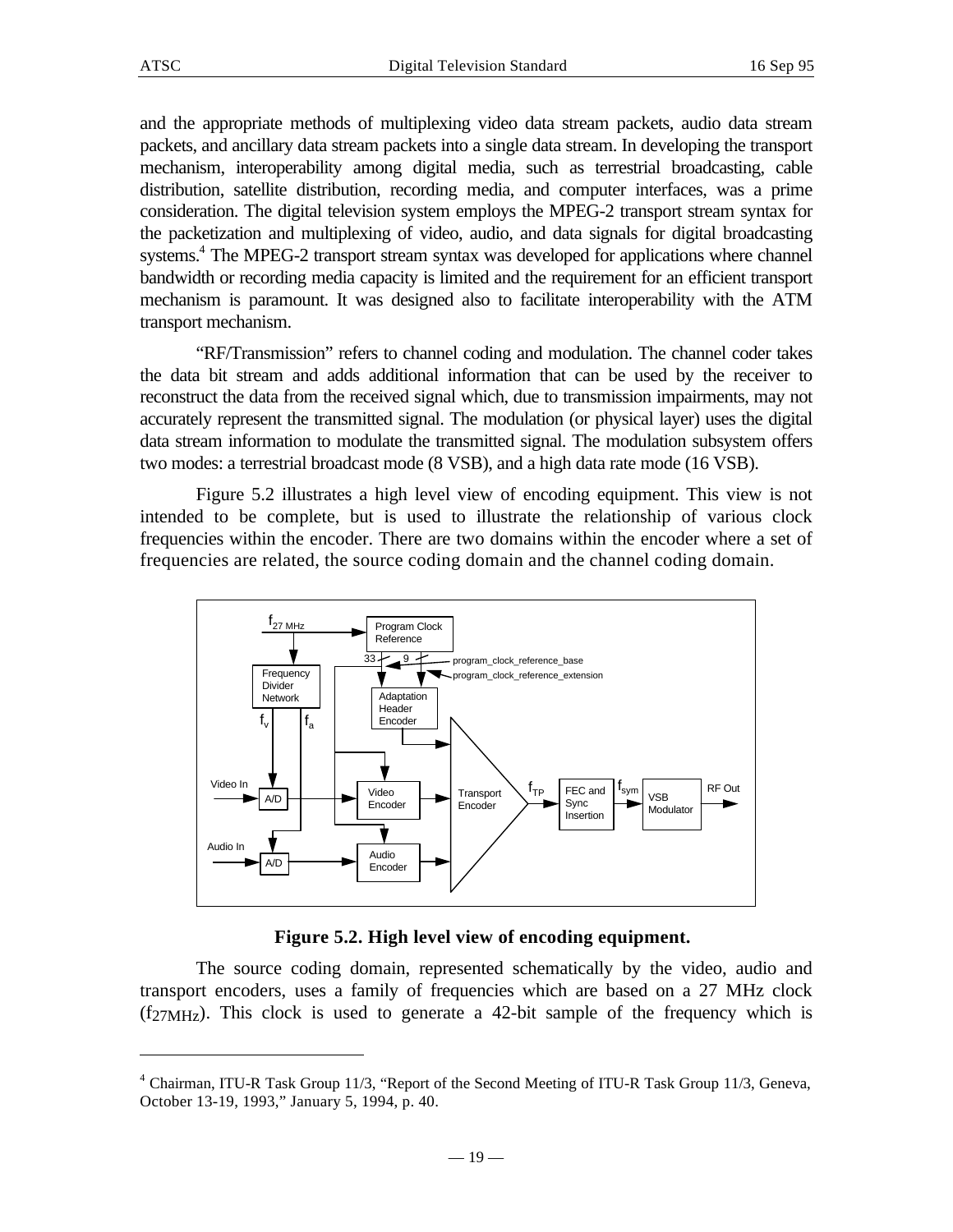$\overline{a}$ 

and the appropriate methods of multiplexing video data stream packets, audio data stream packets, and ancillary data stream packets into a single data stream. In developing the transport mechanism, interoperability among digital media, such as terrestrial broadcasting, cable distribution, satellite distribution, recording media, and computer interfaces, was a prime consideration. The digital television system employs the MPEG-2 transport stream syntax for the packetization and multiplexing of video, audio, and data signals for digital broadcasting systems.<sup>4</sup> The MPEG-2 transport stream syntax was developed for applications where channel bandwidth or recording media capacity is limited and the requirement for an efficient transport mechanism is paramount. It was designed also to facilitate interoperability with the ATM transport mechanism.

"RF/Transmission" refers to channel coding and modulation. The channel coder takes the data bit stream and adds additional information that can be used by the receiver to reconstruct the data from the received signal which, due to transmission impairments, may not accurately represent the transmitted signal. The modulation (or physical layer) uses the digital data stream information to modulate the transmitted signal. The modulation subsystem offers two modes: a terrestrial broadcast mode (8 VSB), and a high data rate mode (16 VSB).

Figure 5.2 illustrates a high level view of encoding equipment. This view is not intended to be complete, but is used to illustrate the relationship of various clock frequencies within the encoder. There are two domains within the encoder where a set of frequencies are related, the source coding domain and the channel coding domain.



#### **Figure 5.2. High level view of encoding equipment.**

The source coding domain, represented schematically by the video, audio and transport encoders, uses a family of frequencies which are based on a 27 MHz clock  $(f_{27MHz})$ . This clock is used to generate a 42-bit sample of the frequency which is

<sup>&</sup>lt;sup>4</sup> Chairman, ITU-R Task Group 11/3, "Report of the Second Meeting of ITU-R Task Group 11/3, Geneva, October 13-19, 1993," January 5, 1994, p. 40.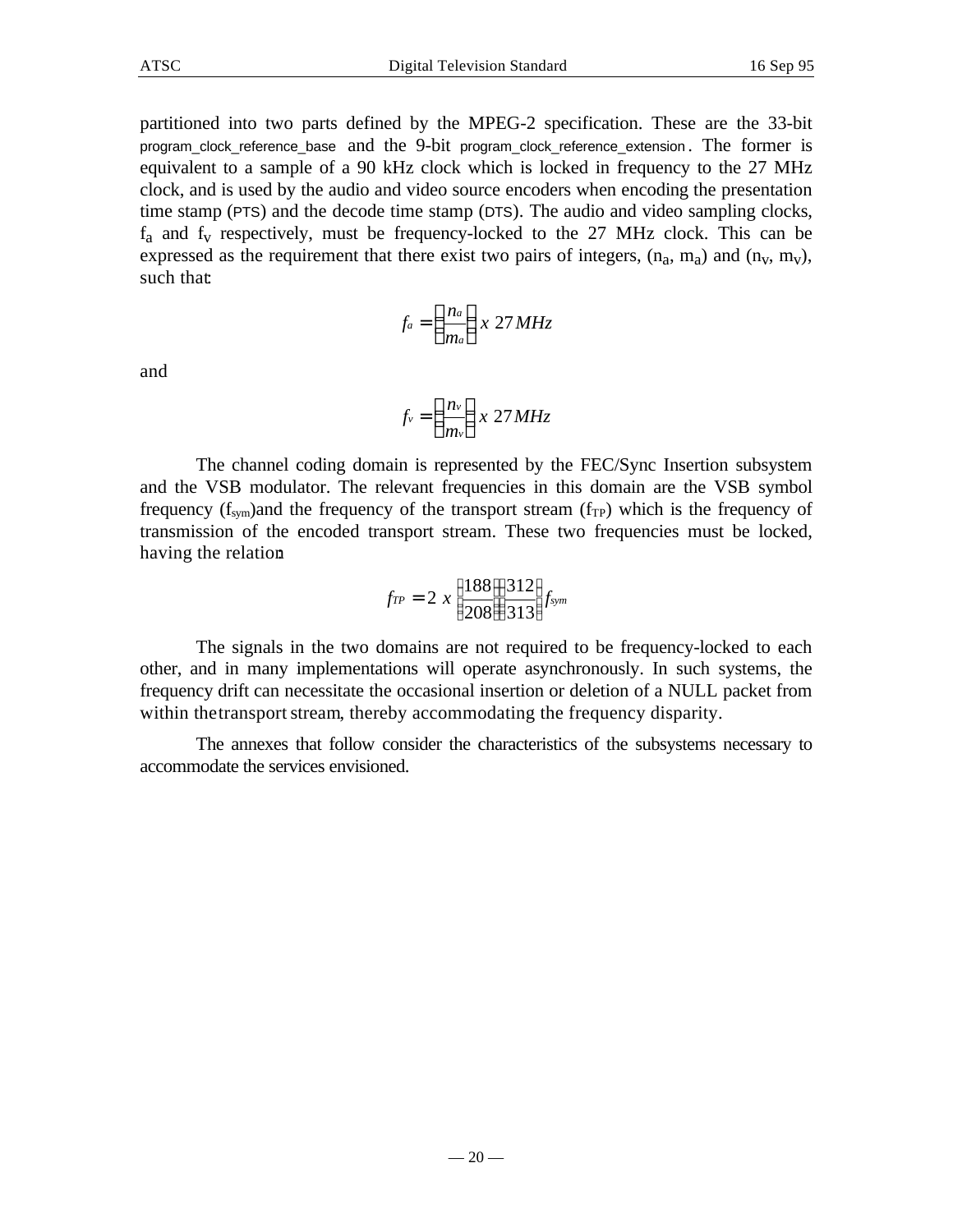partitioned into two parts defined by the MPEG-2 specification. These are the 33-bit program\_clock\_reference\_base and the 9-bit program\_clock\_reference\_extension . The former is equivalent to a sample of a 90 kHz clock which is locked in frequency to the 27 MHz clock, and is used by the audio and video source encoders when encoding the presentation time stamp (PTS) and the decode time stamp (DTS). The audio and video sampling clocks,  $f_a$  and  $f_v$  respectively, must be frequency-locked to the 27 MHz clock. This can be expressed as the requirement that there exist two pairs of integers,  $(n_a, m_a)$  and  $(n_v, m_v)$ , such that:

$$
f_a = \left(\frac{n_a}{m_a}\right) x 27 MHz
$$

and

$$
f_v = \left(\frac{n_v}{m_v}\right) x 27 MHz
$$

The channel coding domain is represented by the FEC/Sync Insertion subsystem and the VSB modulator. The relevant frequencies in this domain are the VSB symbol frequency  $(f_{sym})$ and the frequency of the transport stream  $(f_{TP})$  which is the frequency of transmission of the encoded transport stream. These two frequencies must be locked, having the relation

$$
f_{TP} = 2 \ x \left(\frac{188}{208}\right) \left(\frac{312}{313}\right) f_{sym}
$$

The signals in the two domains are not required to be frequency-locked to each other, and in many implementations will operate asynchronously. In such systems, the frequency drift can necessitate the occasional insertion or deletion of a NULL packet from within the transport stream, thereby accommodating the frequency disparity.

The annexes that follow consider the characteristics of the subsystems necessary to accommodate the services envisioned.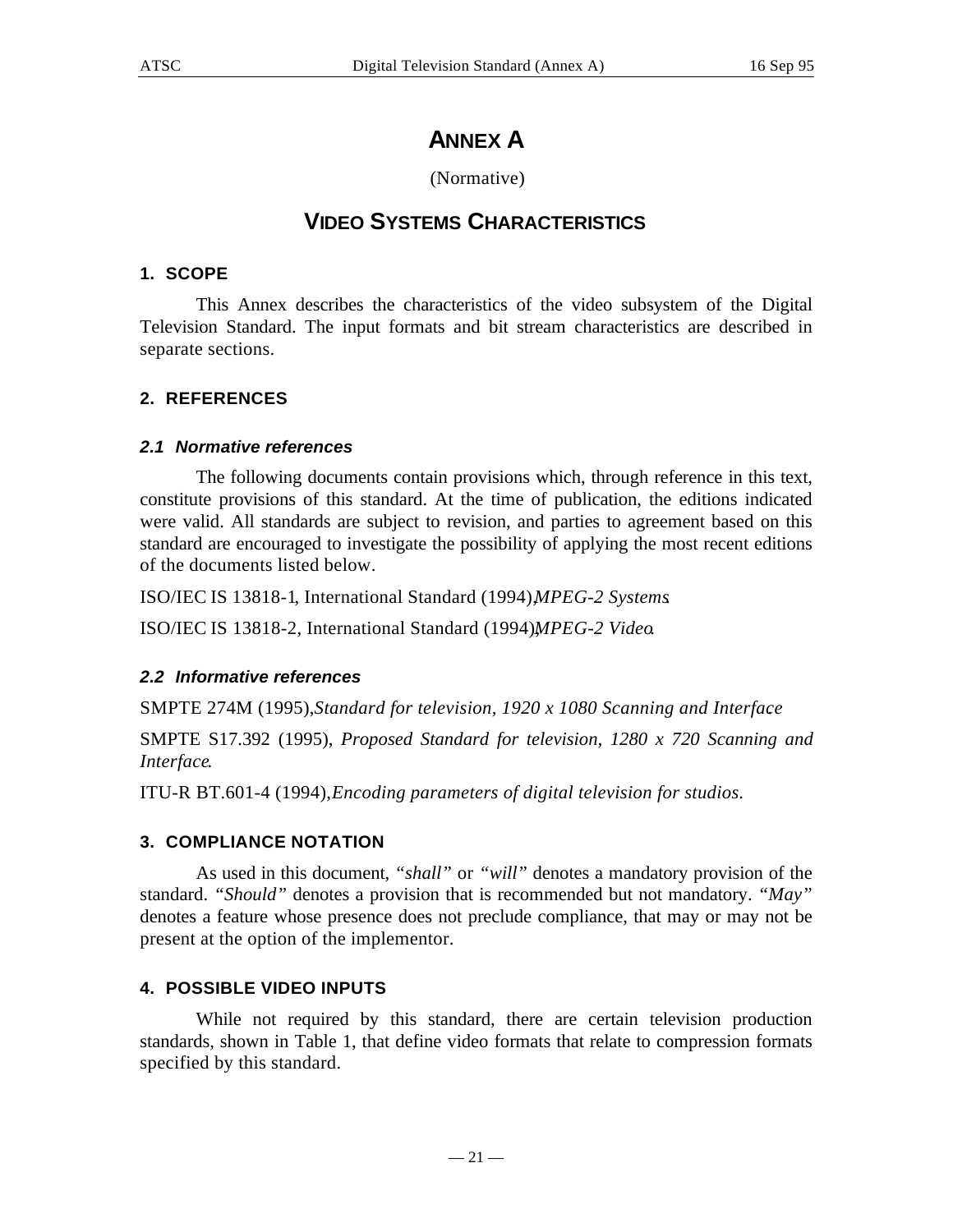# **ANNEX A**

(Normative)

# **VIDEO SYSTEMS CHARACTERISTICS**

#### **1. SCOPE**

This Annex describes the characteristics of the video subsystem of the Digital Television Standard. The input formats and bit stream characteristics are described in separate sections.

# **2. REFERENCES**

#### *2.1 Normative references*

The following documents contain provisions which, through reference in this text, constitute provisions of this standard. At the time of publication, the editions indicated were valid. All standards are subject to revision, and parties to agreement based on this standard are encouraged to investigate the possibility of applying the most recent editions of the documents listed below.

ISO/IEC IS 13818-1, International Standard (1994), *MPEG-2 Systems*.

ISO/IEC IS 13818-2, International Standard (1994), *MPEG-2 Video*.

# *2.2 Informative references*

SMPTE 274M (1995), *Standard for television, 1920 x 1080 Scanning and Interface*.

SMPTE S17.392 (1995), *Proposed Standard for television, 1280 x 720 Scanning and Interface*.

ITU-R BT.601-4 (1994), *Encoding parameters of digital television for studios.*

# **3. COMPLIANCE NOTATION**

As used in this document, *"shall"* or *"will"* denotes a mandatory provision of the standard. *"Should"* denotes a provision that is recommended but not mandatory. *"May"* denotes a feature whose presence does not preclude compliance, that may or may not be present at the option of the implementor.

# **4. POSSIBLE VIDEO INPUTS**

While not required by this standard, there are certain television production standards, shown in Table 1, that define video formats that relate to compression formats specified by this standard.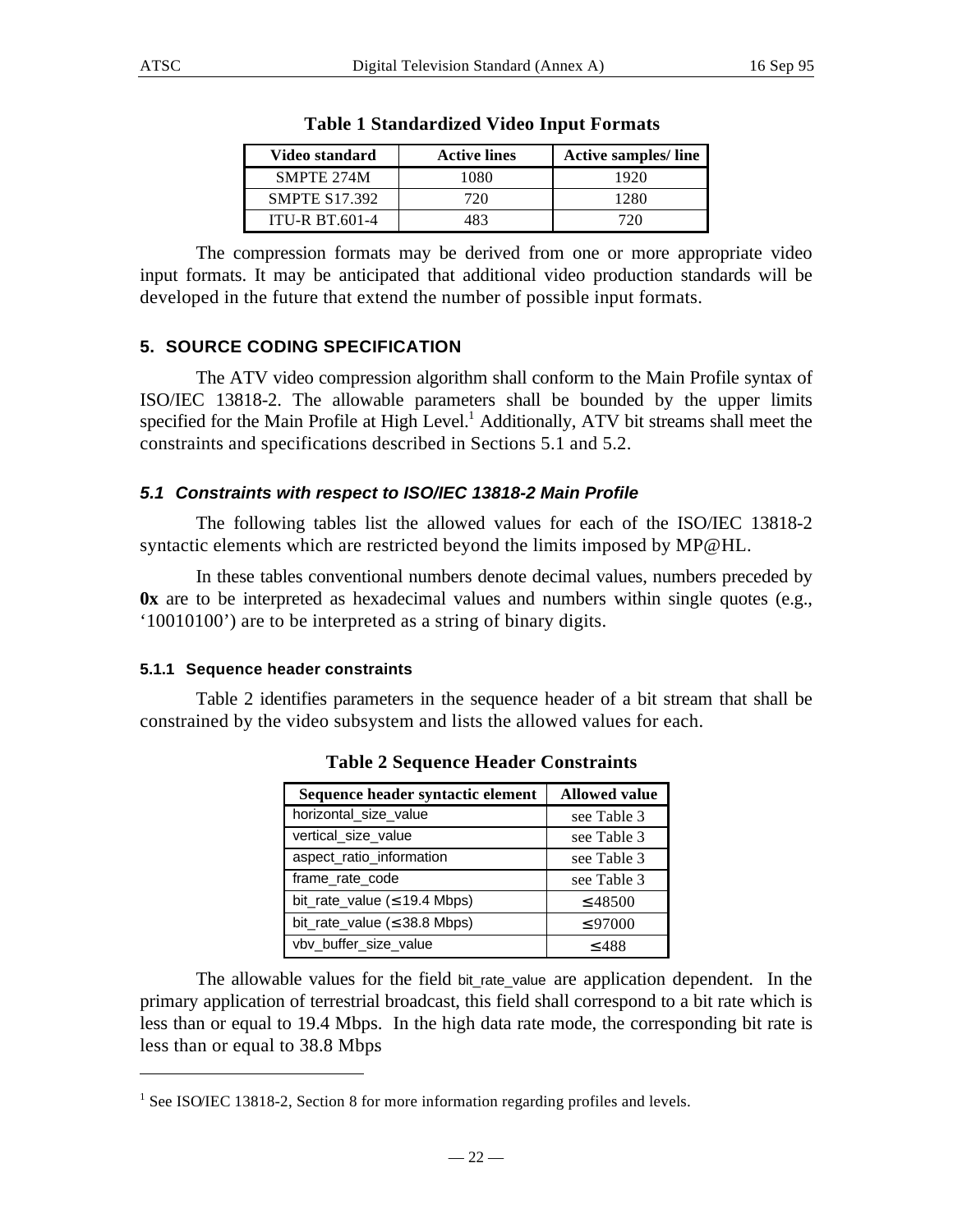| Video standard        | <b>Active lines</b> | <b>Active samples/line</b> |
|-----------------------|---------------------|----------------------------|
| SMPTE 274M            | 1080                | 1920                       |
| <b>SMPTE S17.392</b>  | 720.                | 1280                       |
| <b>ITU-R BT.601-4</b> | 483                 | 720                        |

**Table 1 Standardized Video Input Formats**

The compression formats may be derived from one or more appropriate video input formats. It may be anticipated that additional video production standards will be developed in the future that extend the number of possible input formats.

#### **5. SOURCE CODING SPECIFICATION**

The ATV video compression algorithm shall conform to the Main Profile syntax of ISO/IEC 13818-2. The allowable parameters shall be bounded by the upper limits specified for the Main Profile at High Level.<sup>1</sup> Additionally, ATV bit streams shall meet the constraints and specifications described in Sections 5.1 and 5.2.

#### *5.1 Constraints with respect to ISO/IEC 13818-2 Main Profile*

The following tables list the allowed values for each of the ISO/IEC 13818-2 syntactic elements which are restricted beyond the limits imposed by MP@HL.

In these tables conventional numbers denote decimal values, numbers preceded by **0x** are to be interpreted as hexadecimal values and numbers within single quotes (e.g., '10010100') are to be interpreted as a string of binary digits.

#### **5.1.1 Sequence header constraints**

<u>.</u>

Table 2 identifies parameters in the sequence header of a bit stream that shall be constrained by the video subsystem and lists the allowed values for each.

| Sequence header syntactic element | <b>Allowed value</b> |
|-----------------------------------|----------------------|
|                                   |                      |
| horizontal size value             | see Table 3          |
| vertical_size_value               | see Table 3          |
| aspect_ratio_information          | see Table 3          |
| frame rate code                   | see Table 3          |
| bit_rate_value $(\leq 19.4$ Mbps) | $\leq 48500$         |
| bit_rate_value $(\leq 38.8$ Mbps) | $\leq 97000$         |
| vbv_buffer_size_value             | $<$ 488              |

**Table 2 Sequence Header Constraints**

The allowable values for the field bit\_rate\_value are application dependent. In the primary application of terrestrial broadcast, this field shall correspond to a bit rate which is less than or equal to 19.4 Mbps. In the high data rate mode, the corresponding bit rate is less than or equal to 38.8 Mbps.

 $<sup>1</sup>$  See ISO/IEC 13818-2, Section 8 for more information regarding profiles and levels.</sup>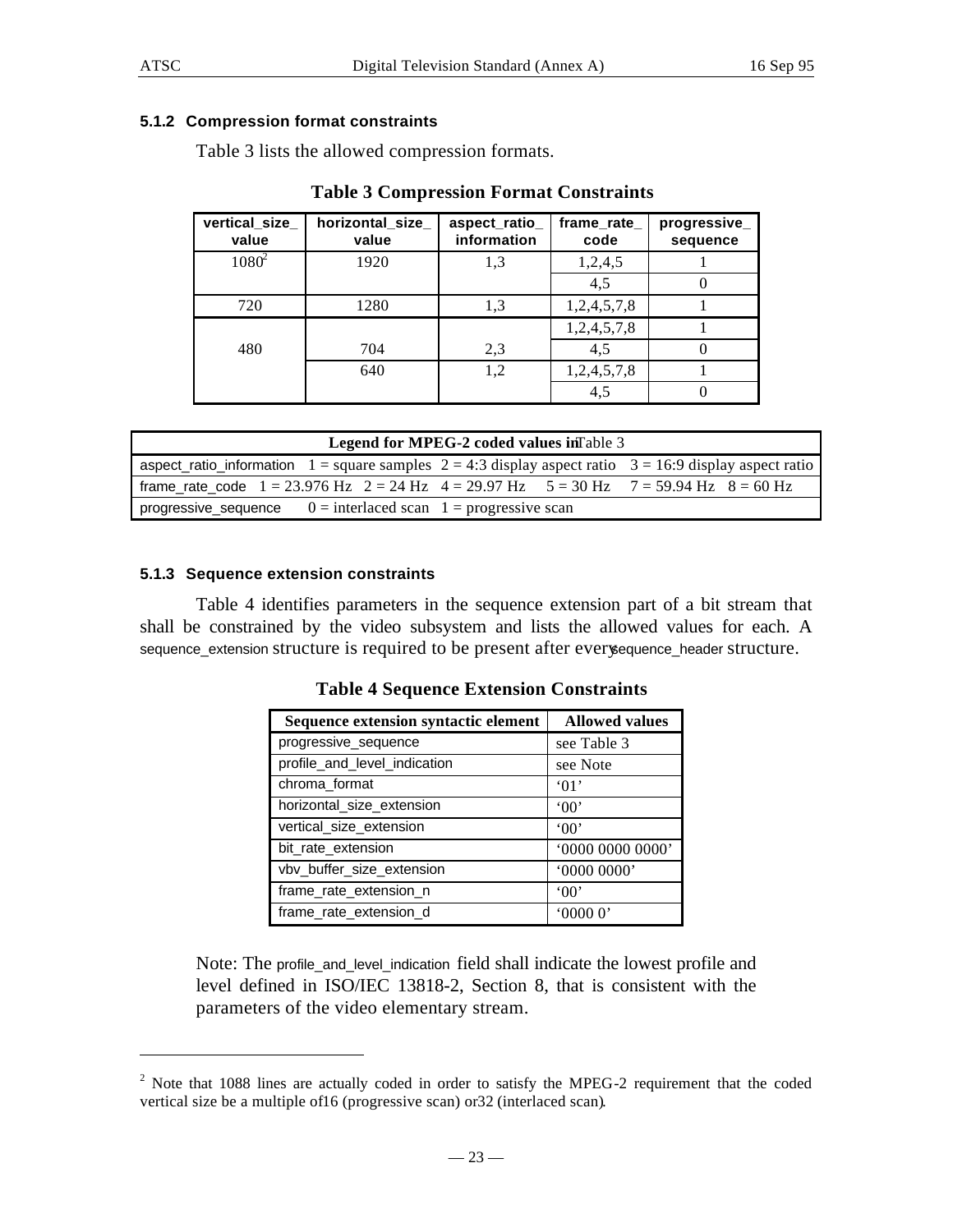$\overline{a}$ 

#### **5.1.2 Compression format constraints**

Table 3 lists the allowed compression formats.

| vertical_size_<br>value | horizontal_size_<br>value | aspect_ratio<br>information | frame rate<br>code | progressive_<br>sequence |
|-------------------------|---------------------------|-----------------------------|--------------------|--------------------------|
| $1080^2$                | 1920                      | 1,3                         | 1,2,4,5            |                          |
|                         |                           |                             | 4,5                |                          |
| 720                     | 1280                      | 1,3                         | 1,2,4,5,7,8        |                          |
|                         |                           |                             | 1,2,4,5,7,8        |                          |
| 480                     | 704                       | 2,3                         | 4,5                |                          |
|                         | 640                       | 1,2                         | 1,2,4,5,7,8        |                          |
|                         |                           |                             | 4,5                |                          |

#### **Table 3 Compression Format Constraints**

| Legend for MPEG-2 coded values in Table 3                                                                  |  |  |  |
|------------------------------------------------------------------------------------------------------------|--|--|--|
| aspect_ratio_information 1 = square samples $2 = 4:3$ display aspect ratio $3 = 16:9$ display aspect ratio |  |  |  |
| frame_rate_code $1 = 23.976$ Hz $2 = 24$ Hz $4 = 29.97$ Hz $5 = 30$ Hz $7 = 59.94$ Hz $8 = 60$ Hz          |  |  |  |
| progressive_sequence $0 =$ interlaced scan $1 =$ progressive scan                                          |  |  |  |

#### **5.1.3 Sequence extension constraints**

Table 4 identifies parameters in the sequence extension part of a bit stream that shall be constrained by the video subsystem and lists the allowed values for each. A sequence\_extension structure is required to be present after every sequence\_header structure.

| Sequence extension syntactic element | <b>Allowed values</b> |
|--------------------------------------|-----------------------|
| progressive_sequence                 | see Table 3           |
| profile_and_level_indication         | see Note              |
| chroma format                        | $^{\circ}$ 01'        |
| horizontal size extension            | 0 <sup>o</sup>        |
| vertical size extension              | 00                    |
| bit rate extension                   | '0000 0000 0000'      |
| vbv_buffer_size_extension            | 0000 0000             |
| frame rate extension n               | 00                    |
| frame rate extension d               | $00000 \, 0$          |

**Table 4 Sequence Extension Constraints**

Note: The profile\_and\_level\_indication field shall indicate the lowest profile and level defined in ISO/IEC 13818-2, Section 8, that is consistent with the parameters of the video elementary stream.

 $2$  Note that 1088 lines are actually coded in order to satisfy the MPEG-2 requirement that the coded vertical size be a multiple of 16 (progressive scan) or 32 (interlaced scan).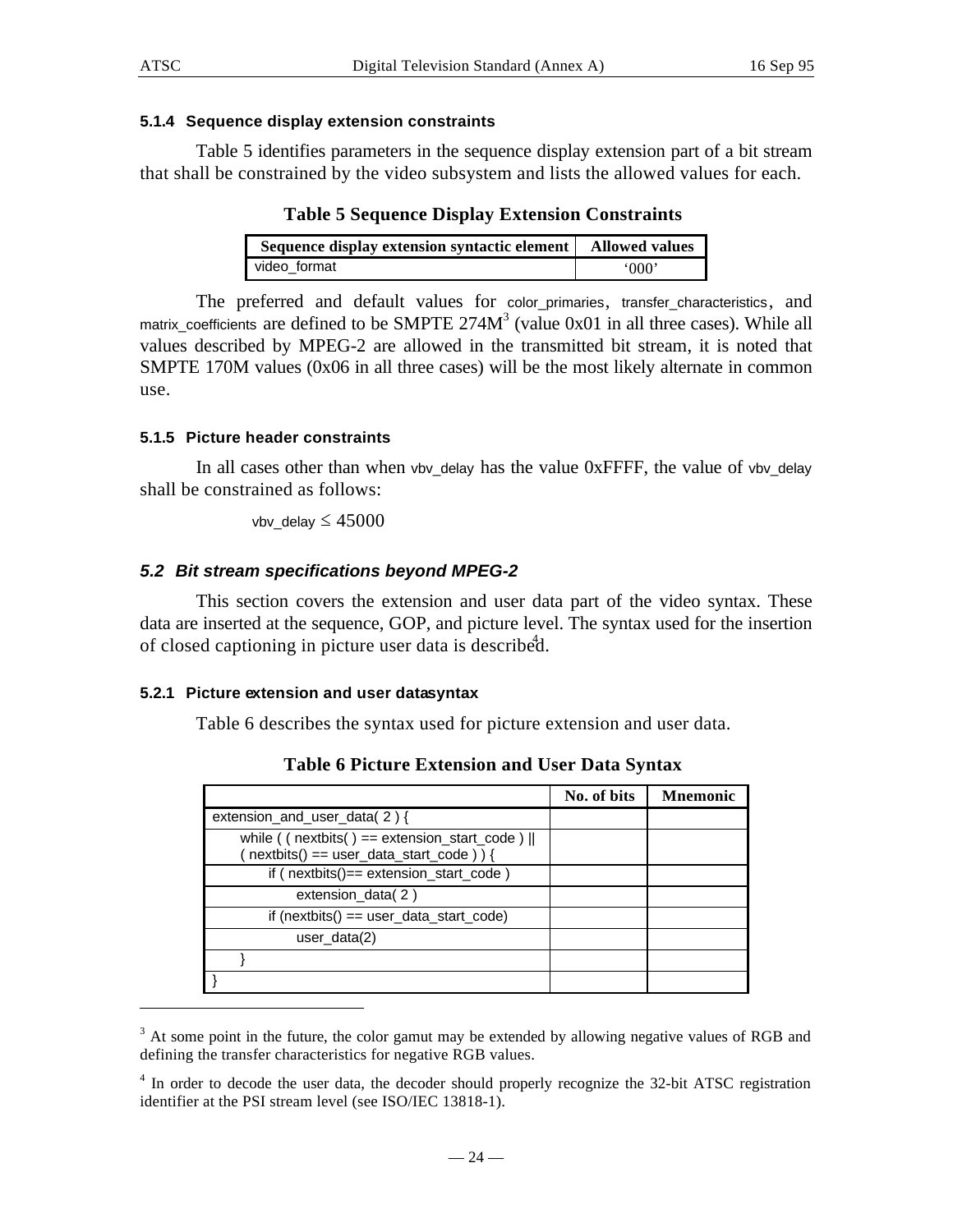$\overline{a}$ 

#### **5.1.4 Sequence display extension constraints**

Table 5 identifies parameters in the sequence display extension part of a bit stream that shall be constrained by the video subsystem and lists the allowed values for each.

**Table 5 Sequence Display Extension Constraints**

| Sequence display extension syntactic element | <b>Allowed values</b> |
|----------------------------------------------|-----------------------|
| video format                                 | 000                   |

The preferred and default values for color\_primaries, transfer\_characteristics, and matrix\_coefficients are defined to be SMPTE 274 $M<sup>3</sup>$  (value 0x01 in all three cases). While all values described by MPEG-2 are allowed in the transmitted bit stream, it is noted that SMPTE 170M values (0x06 in all three cases) will be the most likely alternate in common use.

#### **5.1.5 Picture header constraints**

In all cases other than when vbv\_delay has the value 0xFFFF, the value of vbv\_delay shall be constrained as follows:

vbv\_delay  $\leq 45000$ 

#### *5.2 Bit stream specifications beyond MPEG-2*

This section covers the extension and user data part of the video syntax. These data are inserted at the sequence, GOP, and picture level. The syntax used for the insertion of closed captioning in picture user data is described. <sup>4</sup>

#### **5.2.1 Picture extension and user data syntax**

Table 6 describes the syntax used for picture extension and user data.

|                                                                                                 | No. of bits | <b>Mnemonic</b> |
|-------------------------------------------------------------------------------------------------|-------------|-----------------|
| extension_and_user_data(2){                                                                     |             |                 |
| while (( $nextbits() == extension\_start\_code()$<br>( nextbits() == user_data_start_code ) ) { |             |                 |
| if ( nextbits()== extension_start_code )                                                        |             |                 |
| extension_data(2)                                                                               |             |                 |
| if $(nextbits() == user_data_start_code)$                                                       |             |                 |
| user_data $(2)$                                                                                 |             |                 |
|                                                                                                 |             |                 |
|                                                                                                 |             |                 |

**Table 6 Picture Extension and User Data Syntax**

 $3$  At some point in the future, the color gamut may be extended by allowing negative values of RGB and defining the transfer characteristics for negative RGB values.

<sup>&</sup>lt;sup>4</sup> In order to decode the user data, the decoder should properly recognize the 32-bit ATSC registration identifier at the PSI stream level (see ISO/IEC 13818-1).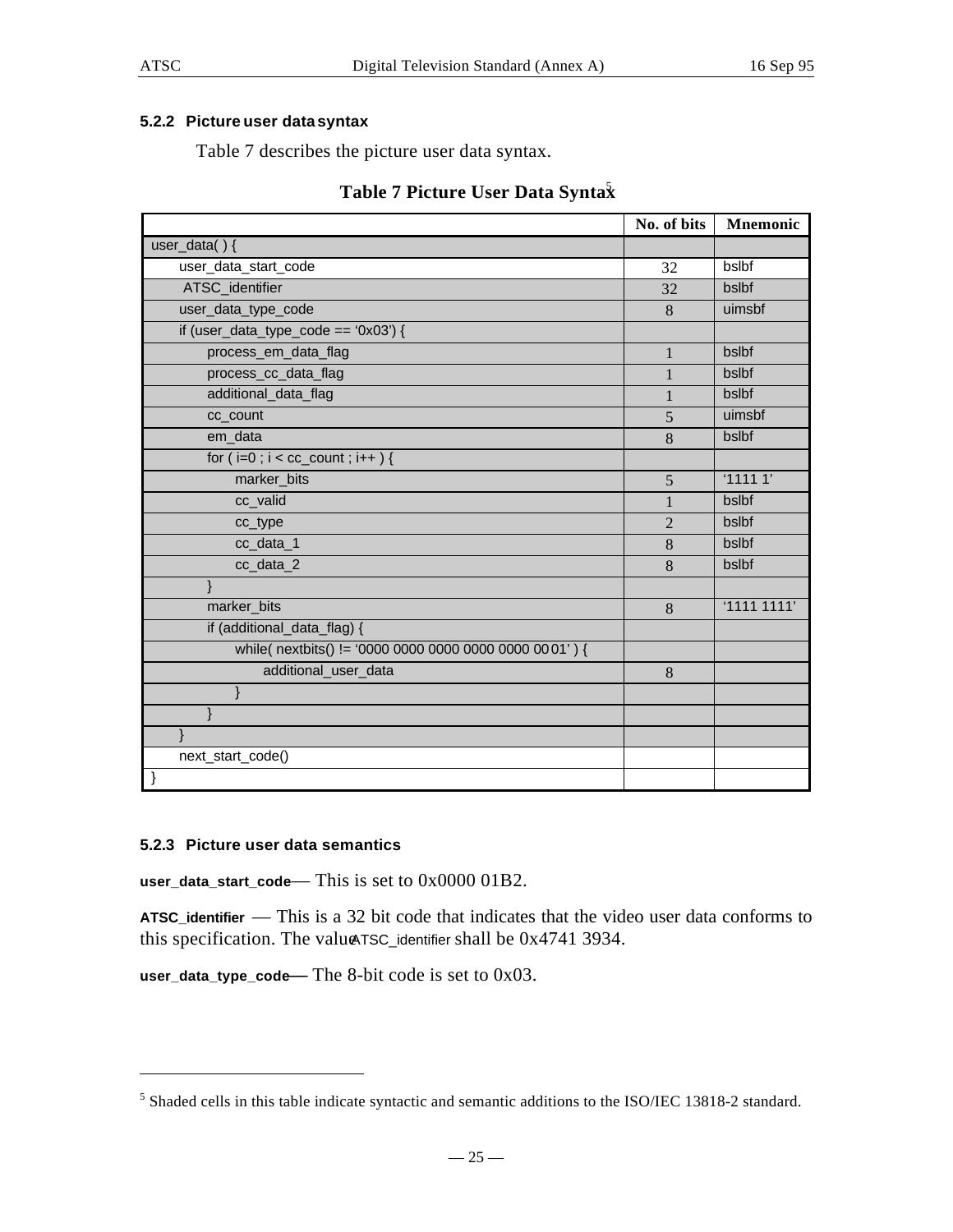#### **5.2.2 Picture user data syntax**

Table 7 describes the picture user data syntax.

# **Table 7 Picture User Data Syntax**<sup>5</sup>

|                                                          | No. of bits    | <b>Mnemonic</b> |
|----------------------------------------------------------|----------------|-----------------|
| user_data( $)$ {                                         |                |                 |
| user_data_start_code                                     | 32             | bslbf           |
| ATSC_identifier                                          | 32             | bslbf           |
| user_data_type_code                                      | 8              | uimsbf          |
| if (user_data_type_code == '0x03') {                     |                |                 |
| process em data flag                                     | 1              | bslbf           |
| process_cc_data_flag                                     | 1              | bslbf           |
| additional_data_flag                                     | $\mathbf{1}$   | bslbf           |
| cc_count                                                 | 5              | uimsbf          |
| em data                                                  | 8              | bslbf           |
| for $(i=0; i < cc_{count}; i++)$ {                       |                |                 |
| marker_bits                                              | 5              | 11111'          |
| cc_valid                                                 | 1              | bslbf           |
| cc_type                                                  | $\overline{2}$ | bslbf           |
| cc_data_1                                                | 8              | bslbf           |
| cc_data_2                                                | 8              | bslbf           |
|                                                          |                |                 |
| marker_bits                                              | 8              | '11111111'      |
| if (additional_data_flag) {                              |                |                 |
| while( nextbits() != '0000 0000 0000 0000 0000 0001' ) { |                |                 |
| additional user data                                     | 8              |                 |
|                                                          |                |                 |
|                                                          |                |                 |
| ł                                                        |                |                 |
| next_start_code()                                        |                |                 |
| }                                                        |                |                 |

#### **5.2.3 Picture user data semantics**

 $\overline{a}$ 

**user\_data\_start\_code**— This is set to 0x0000 01B2.

**ATSC\_identifier** — This is a 32 bit code that indicates that the video user data conforms to this specification. The valuents C\_identifier shall be  $0x4741$  3934.

**user\_data\_type\_code —** The 8-bit code is set to 0x03.

<sup>&</sup>lt;sup>5</sup> Shaded cells in this table indicate syntactic and semantic additions to the ISO/IEC 13818-2 standard.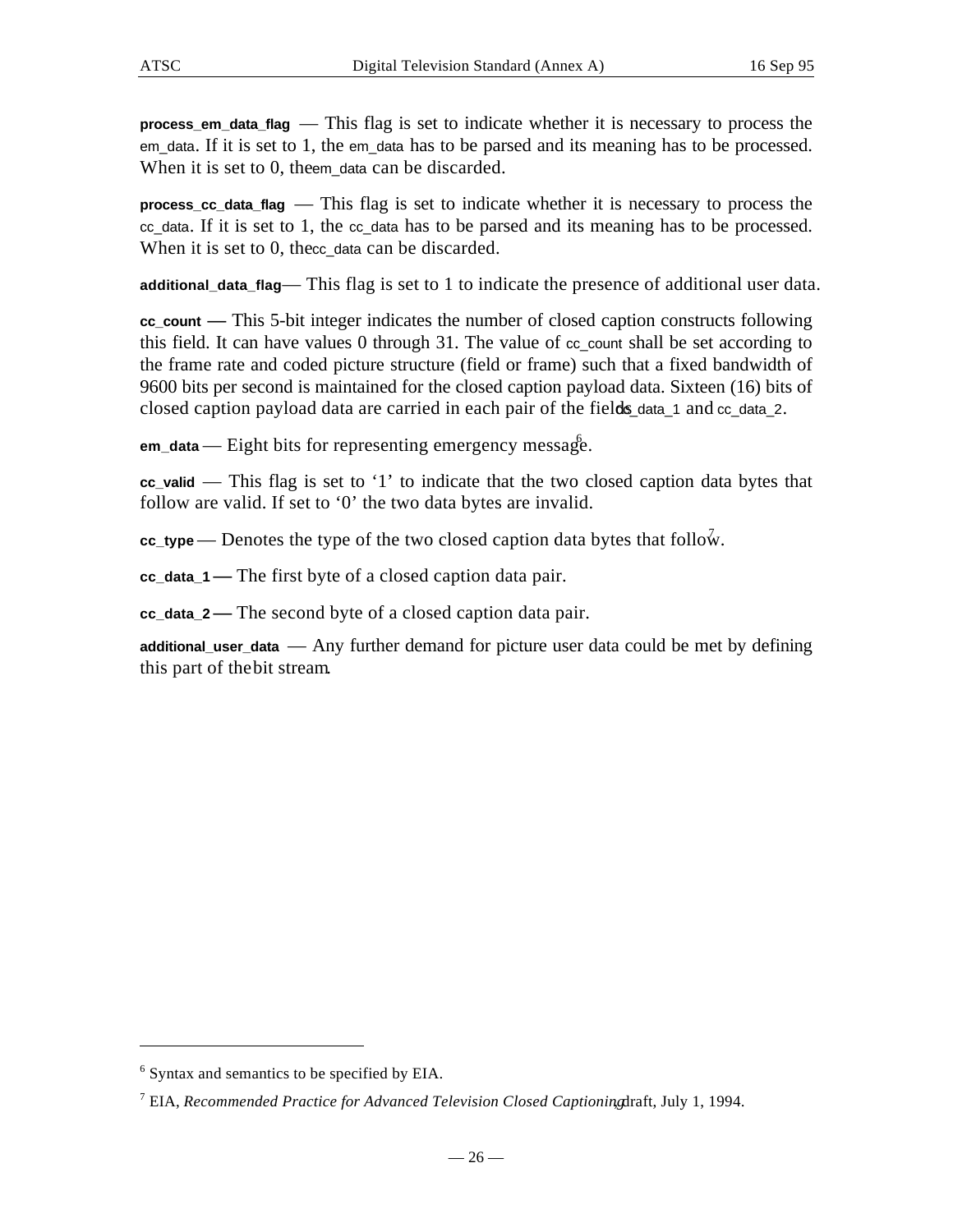**process** em data flag — This flag is set to indicate whether it is necessary to process the em\_data. If it is set to 1, the em\_data has to be parsed and its meaning has to be processed. When it is set to 0, the em\_data can be discarded.

**process\_cc\_data\_flag** — This flag is set to indicate whether it is necessary to process the cc\_data. If it is set to 1, the cc\_data has to be parsed and its meaning has to be processed. When it is set to 0, the cc\_data can be discarded.

**additional\_data\_flag—** This flag is set to 1 to indicate the presence of additional user data.

**cc\_count —** This 5-bit integer indicates the number of closed caption constructs following this field. It can have values 0 through 31. The value of cc\_count shall be set according to the frame rate and coded picture structure (field or frame) such that a fixed bandwidth of 9600 bits per second is maintained for the closed caption payload data. Sixteen (16) bits of closed caption payload data are carried in each pair of the fields\_data\_1 and cc\_data\_2.

 $em\_data$  — Eight bits for representing emergency message.

**cc\_valid** — This flag is set to '1' to indicate that the two closed caption data bytes that follow are valid. If set to '0' the two data bytes are invalid.

**cc\_type** — Denotes the type of the two closed caption data bytes that follow.

**cc\_data\_1 —** The first byte of a closed caption data pair.

**cc\_data\_2 —** The second byte of a closed caption data pair.

**additional\_user\_data** — Any further demand for picture user data could be met by defining this part of the bit stream.

 $\overline{a}$ 

 $6$  Syntax and semantics to be specified by EIA.

 $^7$  EIA, *Recommended Practice for Advanced Television Closed Captioning*draft, July 1, 1994.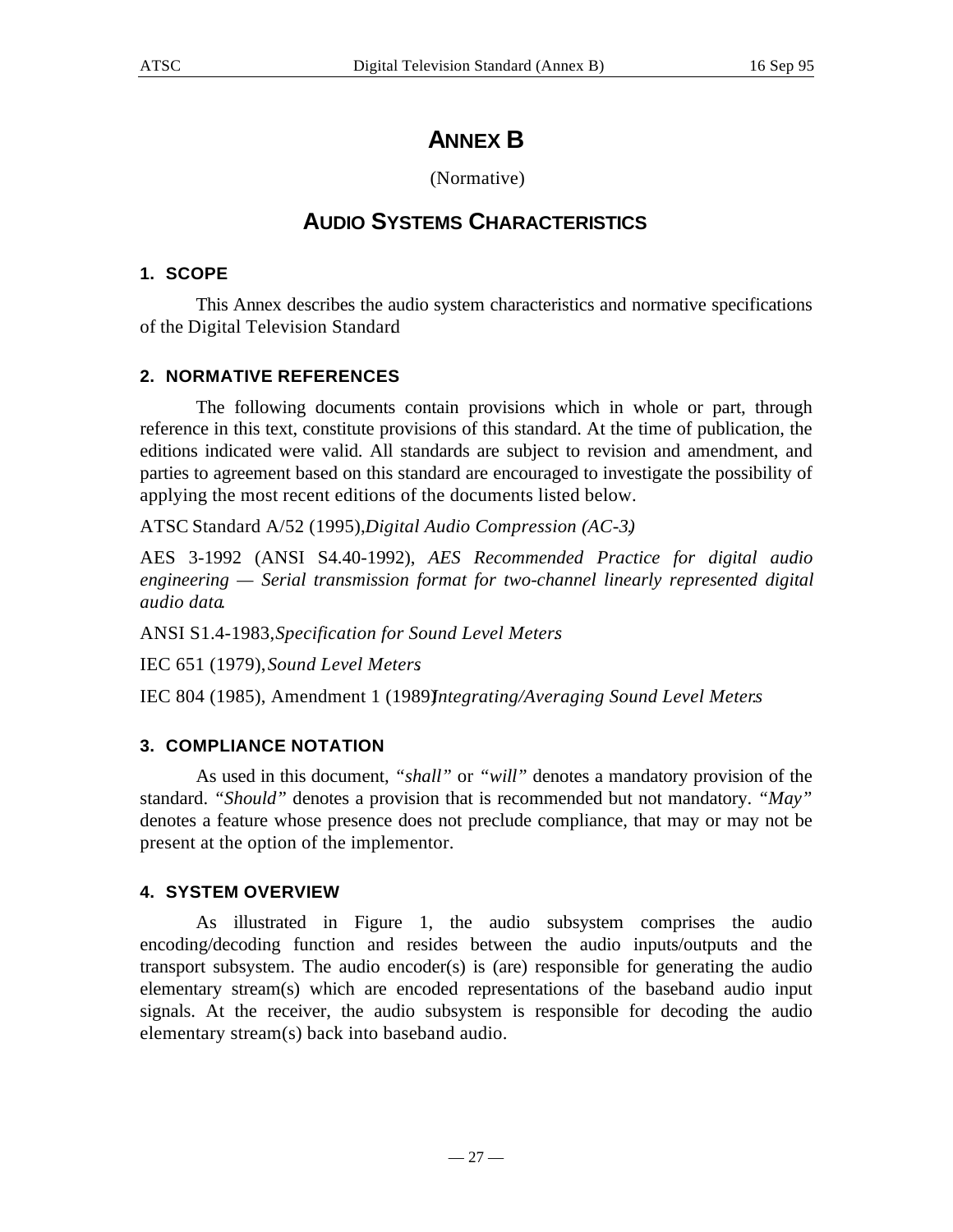# **ANNEX B**

(Normative)

## **AUDIO SYSTEMS CHARACTERISTICS**

#### **1. SCOPE**

This Annex describes the audio system characteristics and normative specifications of the Digital Television Standard.

## **2. NORMATIVE REFERENCES**

The following documents contain provisions which in whole or part, through reference in this text, constitute provisions of this standard. At the time of publication, the editions indicated were valid. All standards are subject to revision and amendment, and parties to agreement based on this standard are encouraged to investigate the possibility of applying the most recent editions of the documents listed below.

ATSC Standard A/52 (1995), *Digital Audio Compression (AC-3)*.

AES 3-1992 (ANSI S4.40-1992), *AES Recommended Practice for digital audio engineering — Serial transmission format for two-channel linearly represented digital audio data*.

ANSI S1.4-1983, *Specification for Sound Level Meters*.

IEC 651 (1979), *Sound Level Meters*.

IEC 804 (1985), Amendment 1 (1989) *Integrating/Averaging Sound Level Meters*.

#### **3. COMPLIANCE NOTATION**

As used in this document, *"shall"* or *"will"* denotes a mandatory provision of the standard. *"Should"* denotes a provision that is recommended but not mandatory. *"May"* denotes a feature whose presence does not preclude compliance, that may or may not be present at the option of the implementor.

#### **4. SYSTEM OVERVIEW**

As illustrated in Figure 1, the audio subsystem comprises the audio encoding/decoding function and resides between the audio inputs/outputs and the transport subsystem. The audio encoder(s) is (are) responsible for generating the audio elementary stream(s) which are encoded representations of the baseband audio input signals. At the receiver, the audio subsystem is responsible for decoding the audio elementary stream(s) back into baseband audio.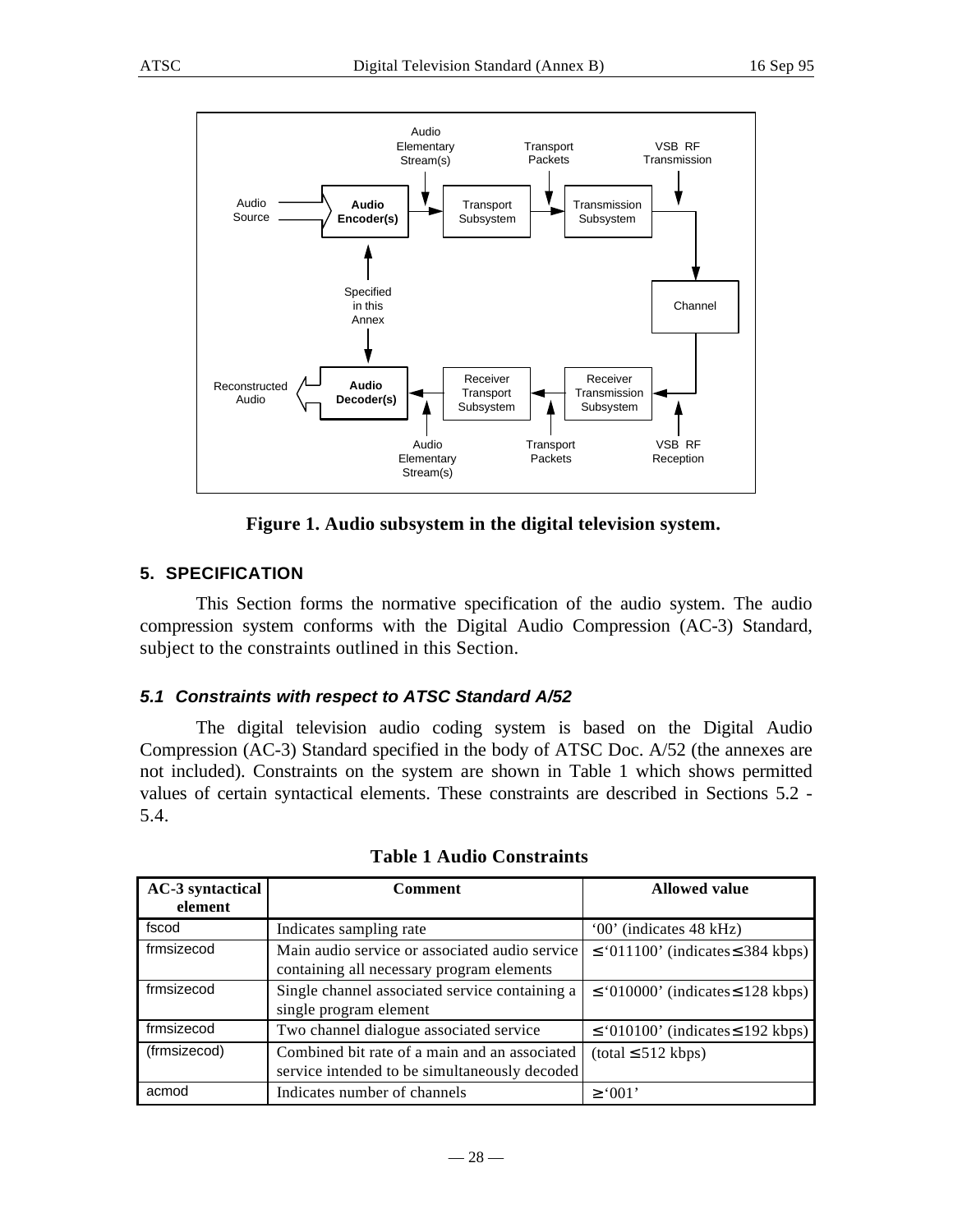

**Figure 1. Audio subsystem in the digital television system.**

## **5. SPECIFICATION**

This Section forms the normative specification of the audio system. The audio compression system conforms with the Digital Audio Compression (AC-3) Standard, subject to the constraints outlined in this Section.

#### *5.1 Constraints with respect to ATSC Standard A/52*

The digital television audio coding system is based on the Digital Audio Compression (AC-3) Standard specified in the body of ATSC Doc. A/52 (the annexes are not included). Constraints on the system are shown in Table 1 which shows permitted values of certain syntactical elements. These constraints are described in Sections 5.2 - 5.4.

| <b>AC-3</b> syntactical | Comment                                                                                        | <b>Allowed value</b>                        |
|-------------------------|------------------------------------------------------------------------------------------------|---------------------------------------------|
| element                 |                                                                                                |                                             |
| fscod                   | Indicates sampling rate                                                                        | '00' (indicates 48 kHz)                     |
| frmsizecod              | Main audio service or associated audio service<br>containing all necessary program elements    | $\leq$ '011100' (indicates $\leq$ 384 kbps) |
| frmsizecod              | Single channel associated service containing a<br>single program element                       | $\leq$ '010000' (indicates $\leq$ 128 kbps) |
| frmsizecod              | Two channel dialogue associated service                                                        | $\leq$ '010100' (indicates $\leq$ 192 kbps) |
| (frmsizecod)            | Combined bit rate of a main and an associated<br>service intended to be simultaneously decoded | $(total \leq 512 kbps)$                     |
| acmod                   | Indicates number of channels                                                                   | $\ge$ '001'                                 |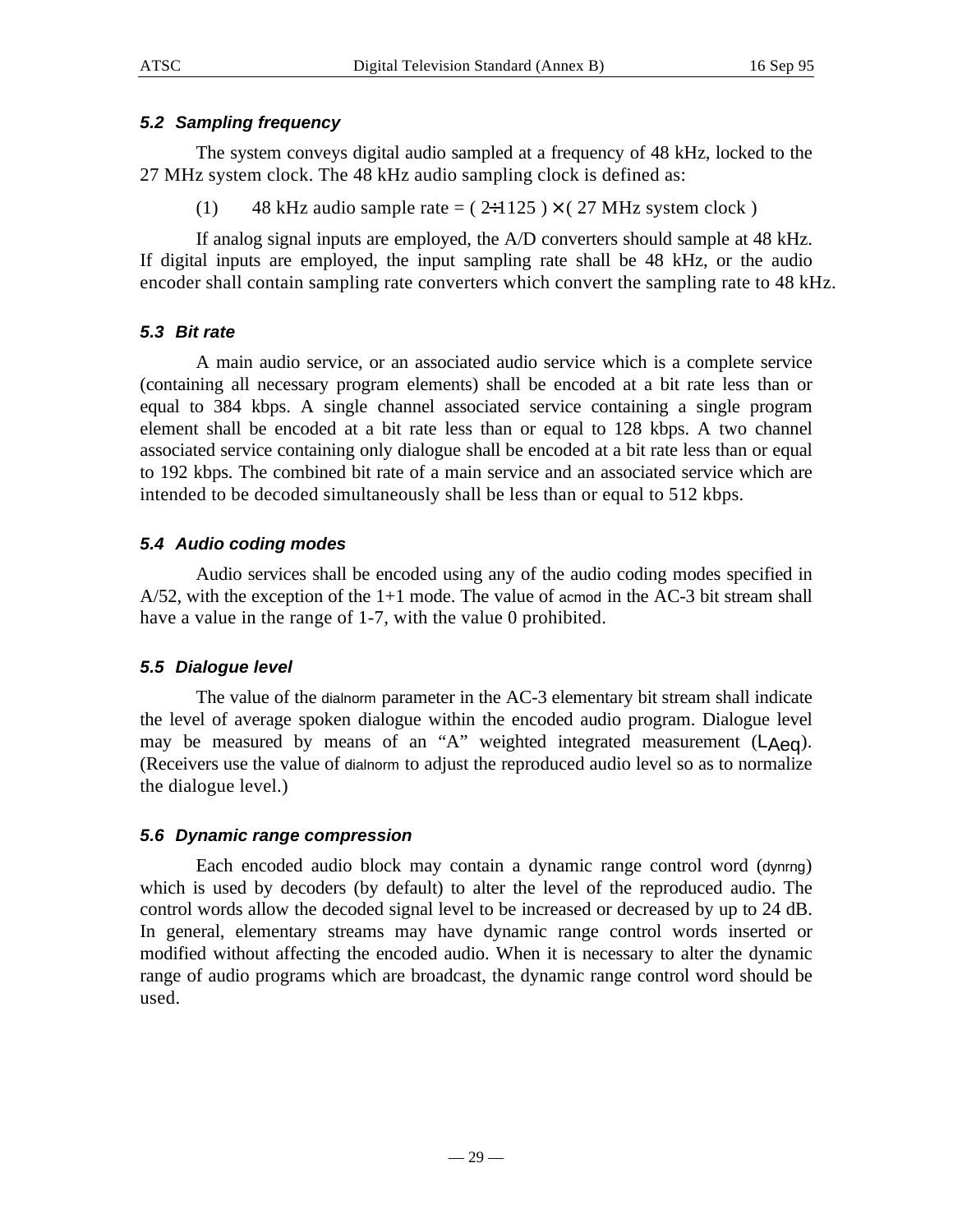#### *5.2 Sampling frequency*

The system conveys digital audio sampled at a frequency of 48 kHz, locked to the 27 MHz system clock. The 48 kHz audio sampling clock is defined as:

(1) 48 kHz audio sample rate =  $(2\div 1125) \times (27 \text{ MHz}$  system clock)

If analog signal inputs are employed, the A/D converters should sample at 48 kHz. If digital inputs are employed, the input sampling rate shall be 48 kHz, or the audio encoder shall contain sampling rate converters which convert the sampling rate to 48 kHz.

## *5.3 Bit rate*

A main audio service, or an associated audio service which is a complete service (containing all necessary program elements) shall be encoded at a bit rate less than or equal to 384 kbps. A single channel associated service containing a single program element shall be encoded at a bit rate less than or equal to 128 kbps. A two channel associated service containing only dialogue shall be encoded at a bit rate less than or equal to 192 kbps. The combined bit rate of a main service and an associated service which are intended to be decoded simultaneously shall be less than or equal to 512 kbps.

## *5.4 Audio coding modes*

Audio services shall be encoded using any of the audio coding modes specified in  $A/52$ , with the exception of the 1+1 mode. The value of acmod in the AC-3 bit stream shall have a value in the range of 1-7, with the value 0 prohibited.

## *5.5 Dialogue level*

The value of the dialnorm parameter in the AC-3 elementary bit stream shall indicate the level of average spoken dialogue within the encoded audio program. Dialogue level may be measured by means of an "A" weighted integrated measurement (LAeq). (Receivers use the value of dialnorm to adjust the reproduced audio level so as to normalize the dialogue level.)

#### *5.6 Dynamic range compression*

Each encoded audio block may contain a dynamic range control word (dynrng) which is used by decoders (by default) to alter the level of the reproduced audio. The control words allow the decoded signal level to be increased or decreased by up to 24 dB. In general, elementary streams may have dynamic range control words inserted or modified without affecting the encoded audio. When it is necessary to alter the dynamic range of audio programs which are broadcast, the dynamic range control word should be used.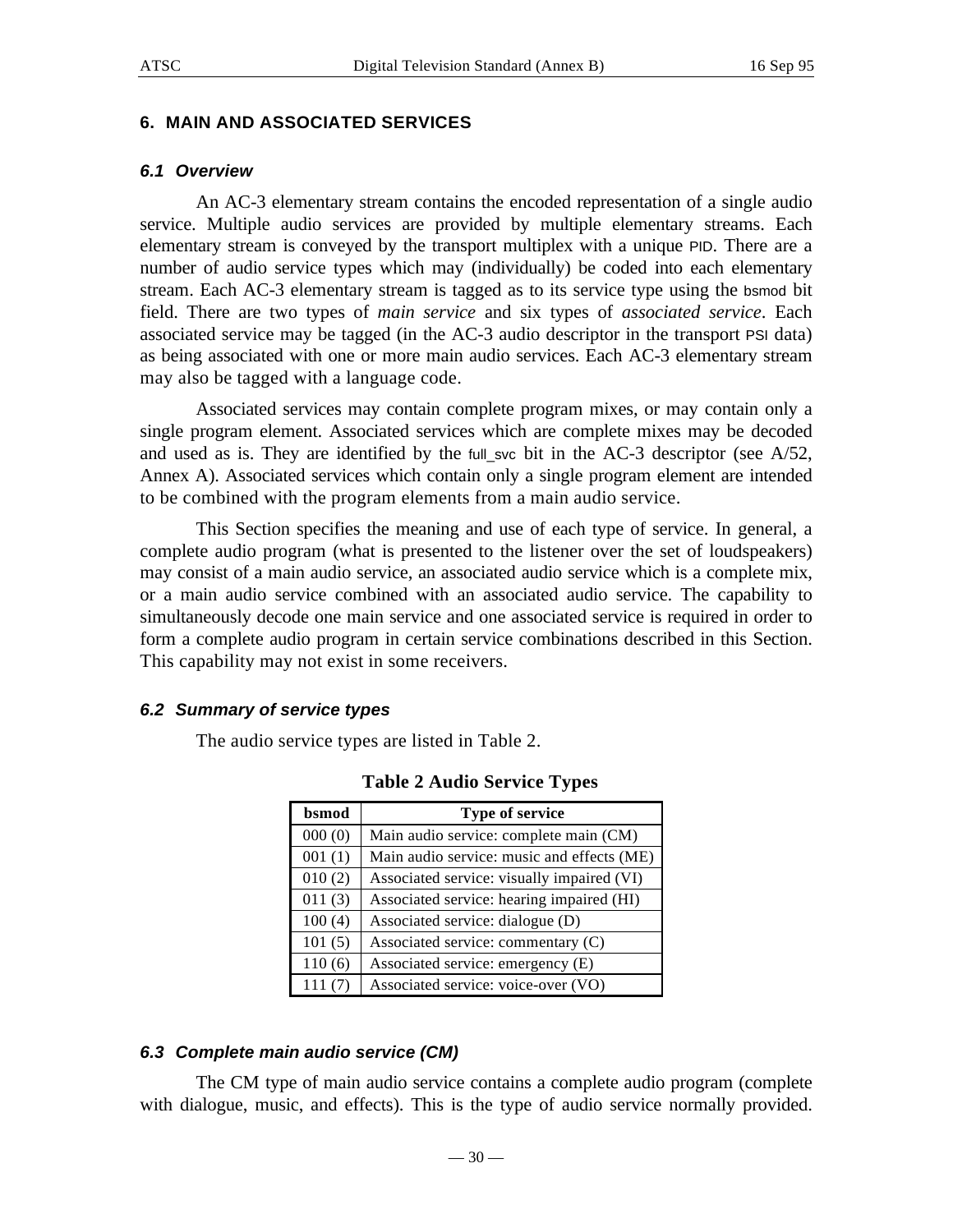#### **6. MAIN AND ASSOCIATED SERVICES**

#### *6.1 Overview*

An AC-3 elementary stream contains the encoded representation of a single audio service. Multiple audio services are provided by multiple elementary streams. Each elementary stream is conveyed by the transport multiplex with a unique PID. There are a number of audio service types which may (individually) be coded into each elementary stream. Each AC-3 elementary stream is tagged as to its service type using the bsmod bit field. There are two types of *main service* and six types of *associated service*. Each associated service may be tagged (in the AC-3 audio descriptor in the transport PSI data) as being associated with one or more main audio services. Each AC-3 elementary stream may also be tagged with a language code.

Associated services may contain complete program mixes, or may contain only a single program element. Associated services which are complete mixes may be decoded and used as is. They are identified by the full\_svc bit in the AC-3 descriptor (see A/52, Annex A). Associated services which contain only a single program element are intended to be combined with the program elements from a main audio service.

This Section specifies the meaning and use of each type of service. In general, a complete audio program (what is presented to the listener over the set of loudspeakers) may consist of a main audio service, an associated audio service which is a complete mix, or a main audio service combined with an associated audio service. The capability to simultaneously decode one main service and one associated service is required in order to form a complete audio program in certain service combinations described in this Section. This capability may not exist in some receivers.

#### *6.2 Summary of service types*

The audio service types are listed in Table 2.

| bsmod  | <b>Type of service</b>                     |
|--------|--------------------------------------------|
| 000(0) | Main audio service: complete main (CM)     |
| 001(1) | Main audio service: music and effects (ME) |
| 010(2) | Associated service: visually impaired (VI) |
| 011(3) | Associated service: hearing impaired (HI)  |
| 100(4) | Associated service: dialogue (D)           |
| 101(5) | Associated service: commentary (C)         |
| 110(6) | Associated service: emergency (E)          |
| 111(7) | Associated service: voice-over (VO)        |

**Table 2 Audio Service Types**

#### *6.3 Complete main audio service (CM)*

The CM type of main audio service contains a complete audio program (complete with dialogue, music, and effects). This is the type of audio service normally provided.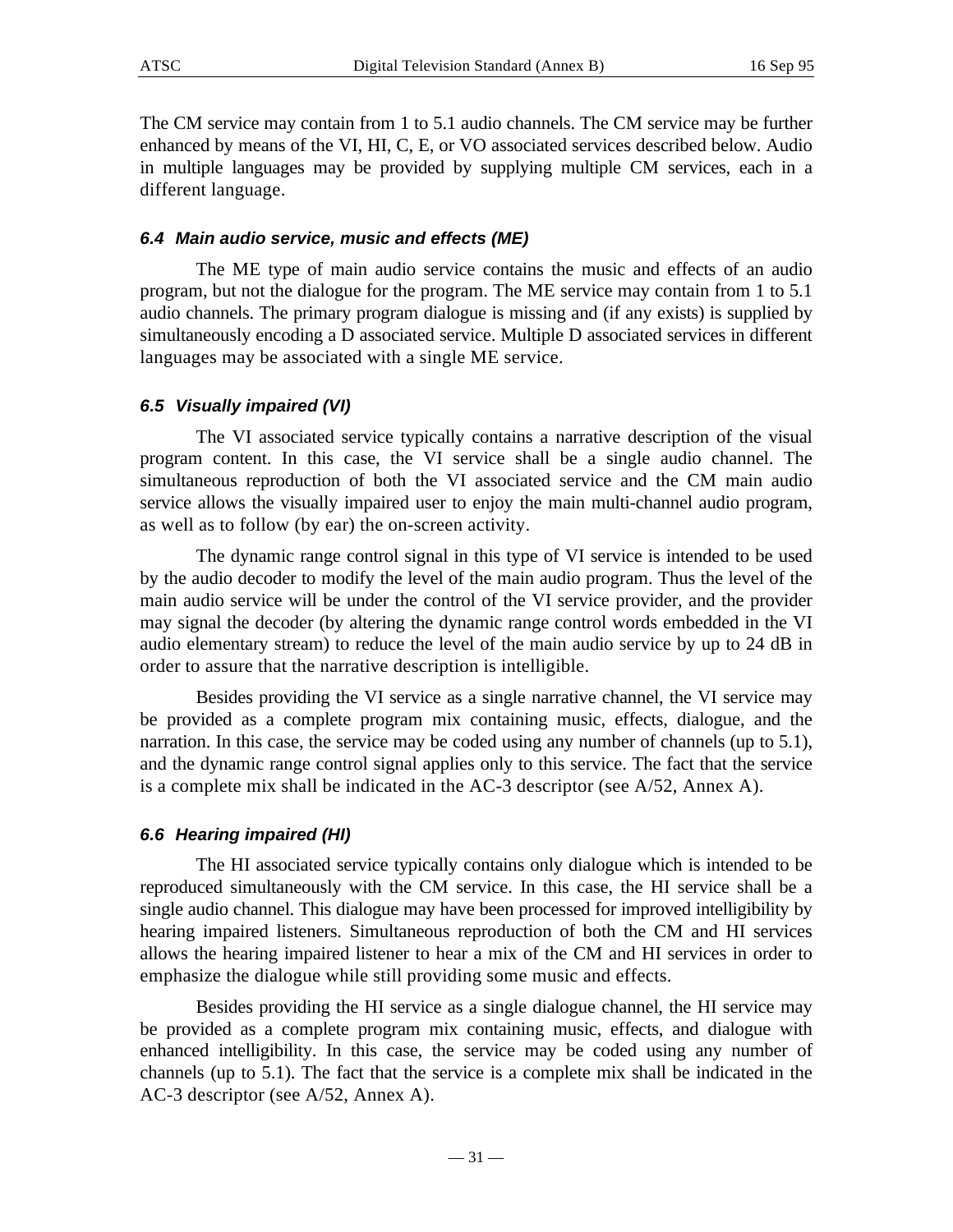The CM service may contain from 1 to 5.1 audio channels. The CM service may be further enhanced by means of the VI, HI, C, E, or VO associated services described below. Audio in multiple languages may be provided by supplying multiple CM services, each in a different language.

#### *6.4 Main audio service, music and effects (ME)*

The ME type of main audio service contains the music and effects of an audio program, but not the dialogue for the program. The ME service may contain from 1 to 5.1 audio channels. The primary program dialogue is missing and (if any exists) is supplied by simultaneously encoding a D associated service. Multiple D associated services in different languages may be associated with a single ME service.

#### *6.5 Visually impaired (VI)*

The VI associated service typically contains a narrative description of the visual program content. In this case, the VI service shall be a single audio channel. The simultaneous reproduction of both the VI associated service and the CM main audio service allows the visually impaired user to enjoy the main multi-channel audio program, as well as to follow (by ear) the on-screen activity.

The dynamic range control signal in this type of VI service is intended to be used by the audio decoder to modify the level of the main audio program. Thus the level of the main audio service will be under the control of the VI service provider, and the provider may signal the decoder (by altering the dynamic range control words embedded in the VI audio elementary stream) to reduce the level of the main audio service by up to 24 dB in order to assure that the narrative description is intelligible.

Besides providing the VI service as a single narrative channel, the VI service may be provided as a complete program mix containing music, effects, dialogue, and the narration. In this case, the service may be coded using any number of channels (up to 5.1), and the dynamic range control signal applies only to this service. The fact that the service is a complete mix shall be indicated in the AC-3 descriptor (see A/52, Annex A).

#### *6.6 Hearing impaired (HI)*

The HI associated service typically contains only dialogue which is intended to be reproduced simultaneously with the CM service. In this case, the HI service shall be a single audio channel. This dialogue may have been processed for improved intelligibility by hearing impaired listeners. Simultaneous reproduction of both the CM and HI services allows the hearing impaired listener to hear a mix of the CM and HI services in order to emphasize the dialogue while still providing some music and effects.

Besides providing the HI service as a single dialogue channel, the HI service may be provided as a complete program mix containing music, effects, and dialogue with enhanced intelligibility. In this case, the service may be coded using any number of channels (up to 5.1). The fact that the service is a complete mix shall be indicated in the AC-3 descriptor (see A/52, Annex A).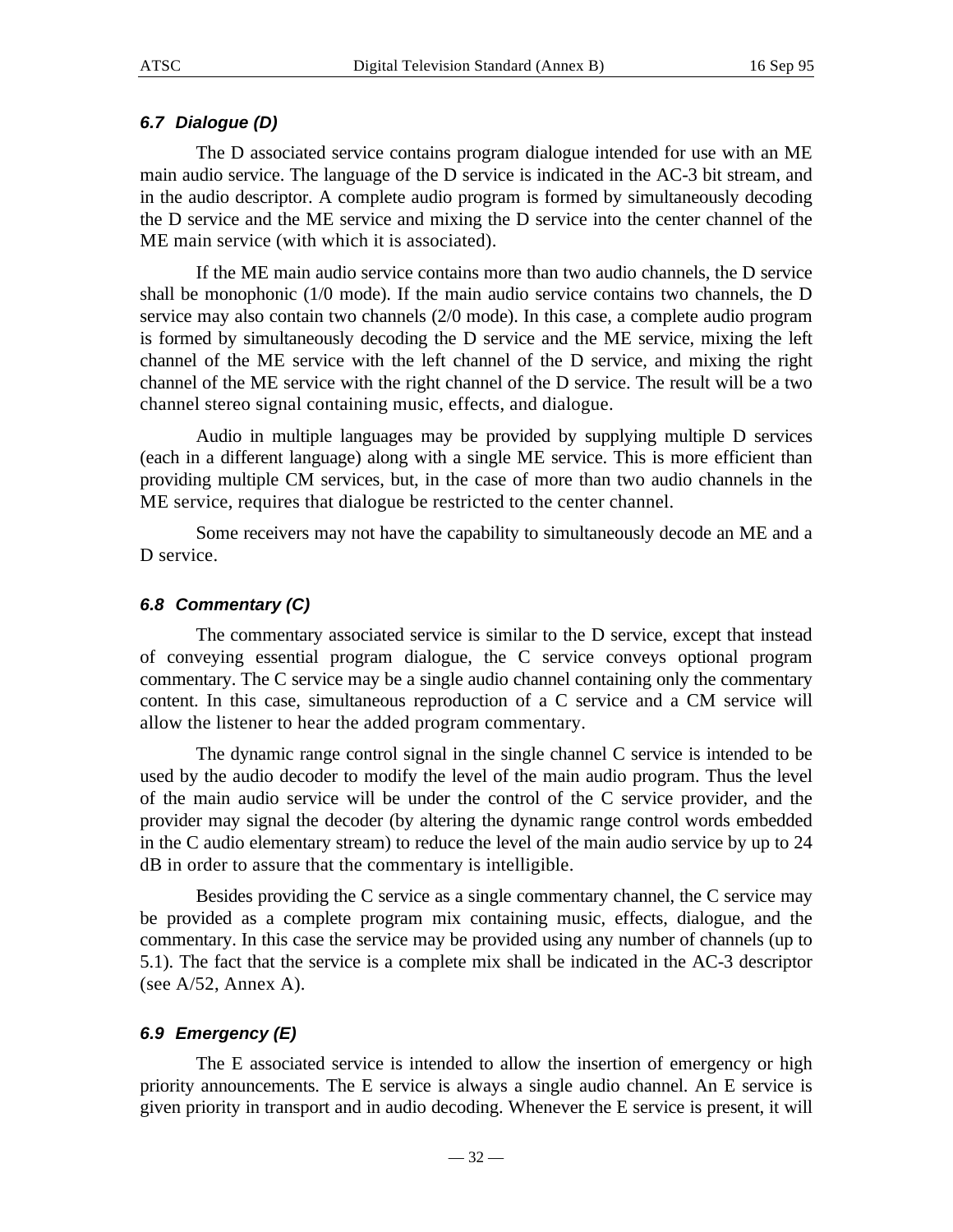#### *6.7 Dialogue (D)*

The D associated service contains program dialogue intended for use with an ME main audio service. The language of the D service is indicated in the AC-3 bit stream, and in the audio descriptor. A complete audio program is formed by simultaneously decoding the D service and the ME service and mixing the D service into the center channel of the ME main service (with which it is associated).

If the ME main audio service contains more than two audio channels, the D service shall be monophonic (1/0 mode). If the main audio service contains two channels, the D service may also contain two channels (2/0 mode). In this case, a complete audio program is formed by simultaneously decoding the D service and the ME service, mixing the left channel of the ME service with the left channel of the D service, and mixing the right channel of the ME service with the right channel of the D service. The result will be a two channel stereo signal containing music, effects, and dialogue.

Audio in multiple languages may be provided by supplying multiple D services (each in a different language) along with a single ME service. This is more efficient than providing multiple CM services, but, in the case of more than two audio channels in the ME service, requires that dialogue be restricted to the center channel.

Some receivers may not have the capability to simultaneously decode an ME and a D service.

#### *6.8 Commentary (C)*

The commentary associated service is similar to the D service, except that instead of conveying essential program dialogue, the C service conveys optional program commentary. The C service may be a single audio channel containing only the commentary content. In this case, simultaneous reproduction of a C service and a CM service will allow the listener to hear the added program commentary.

The dynamic range control signal in the single channel C service is intended to be used by the audio decoder to modify the level of the main audio program. Thus the level of the main audio service will be under the control of the C service provider, and the provider may signal the decoder (by altering the dynamic range control words embedded in the C audio elementary stream) to reduce the level of the main audio service by up to 24 dB in order to assure that the commentary is intelligible.

Besides providing the C service as a single commentary channel, the C service may be provided as a complete program mix containing music, effects, dialogue, and the commentary. In this case the service may be provided using any number of channels (up to 5.1). The fact that the service is a complete mix shall be indicated in the AC-3 descriptor (see A/52, Annex A).

#### *6.9 Emergency (E)*

The E associated service is intended to allow the insertion of emergency or high priority announcements. The E service is always a single audio channel. An E service is given priority in transport and in audio decoding. Whenever the E service is present, it will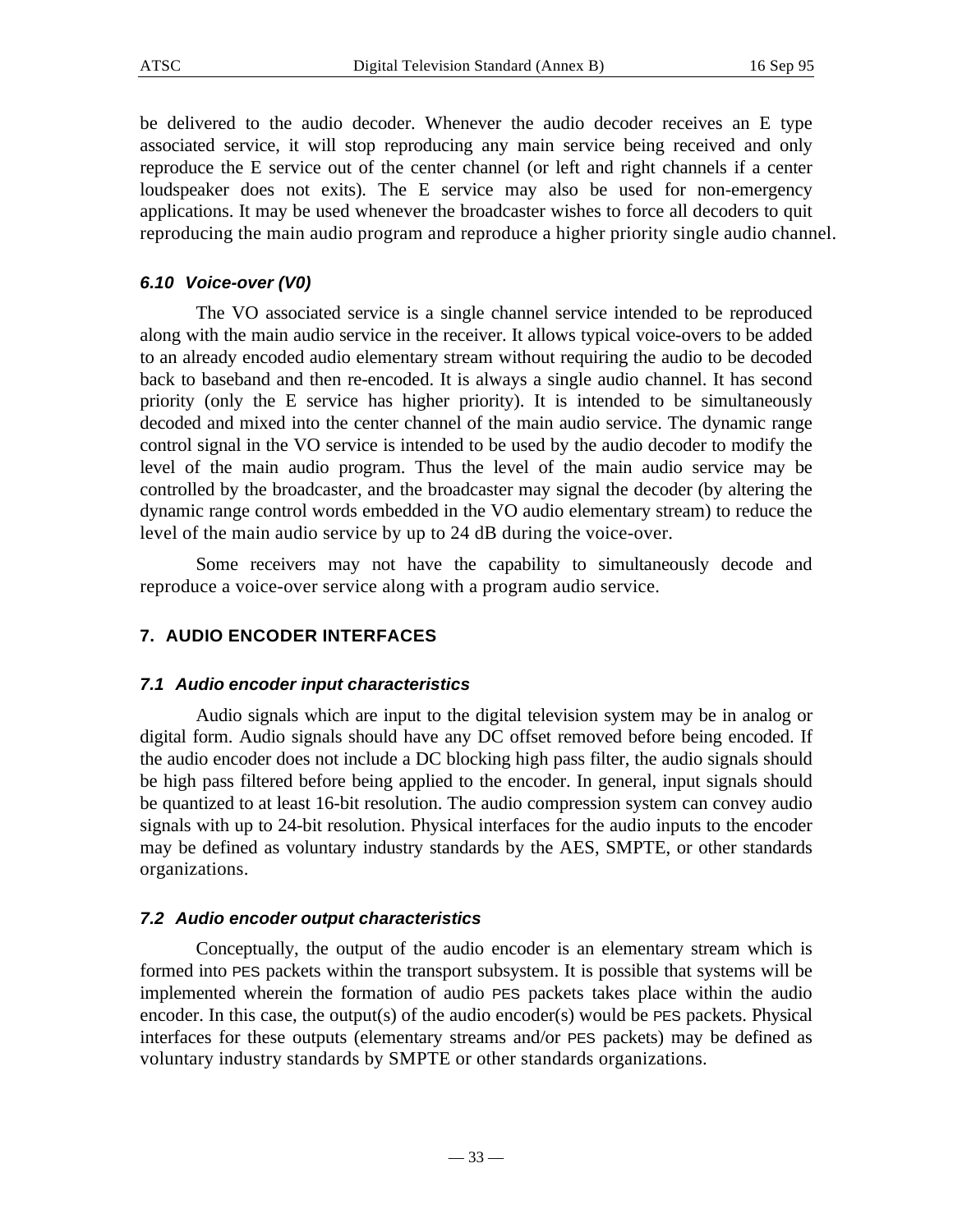be delivered to the audio decoder. Whenever the audio decoder receives an E type associated service, it will stop reproducing any main service being received and only reproduce the E service out of the center channel (or left and right channels if a center loudspeaker does not exits). The E service may also be used for non-emergency applications. It may be used whenever the broadcaster wishes to force all decoders to quit reproducing the main audio program and reproduce a higher priority single audio channel.

## *6.10 Voice-over (V0)*

The VO associated service is a single channel service intended to be reproduced along with the main audio service in the receiver. It allows typical voice-overs to be added to an already encoded audio elementary stream without requiring the audio to be decoded back to baseband and then re-encoded. It is always a single audio channel. It has second priority (only the E service has higher priority). It is intended to be simultaneously decoded and mixed into the center channel of the main audio service. The dynamic range control signal in the VO service is intended to be used by the audio decoder to modify the level of the main audio program. Thus the level of the main audio service may be controlled by the broadcaster, and the broadcaster may signal the decoder (by altering the dynamic range control words embedded in the VO audio elementary stream) to reduce the level of the main audio service by up to 24 dB during the voice-over.

Some receivers may not have the capability to simultaneously decode and reproduce a voice-over service along with a program audio service.

## **7. AUDIO ENCODER INTERFACES**

#### *7.1 Audio encoder input characteristics*

Audio signals which are input to the digital television system may be in analog or digital form. Audio signals should have any DC offset removed before being encoded. If the audio encoder does not include a DC blocking high pass filter, the audio signals should be high pass filtered before being applied to the encoder. In general, input signals should be quantized to at least 16-bit resolution. The audio compression system can convey audio signals with up to 24-bit resolution. Physical interfaces for the audio inputs to the encoder may be defined as voluntary industry standards by the AES, SMPTE, or other standards organizations.

#### *7.2 Audio encoder output characteristics*

Conceptually, the output of the audio encoder is an elementary stream which is formed into PES packets within the transport subsystem. It is possible that systems will be implemented wherein the formation of audio PES packets takes place within the audio encoder. In this case, the output(s) of the audio encoder(s) would be PES packets. Physical interfaces for these outputs (elementary streams and/or PES packets) may be defined as voluntary industry standards by SMPTE or other standards organizations.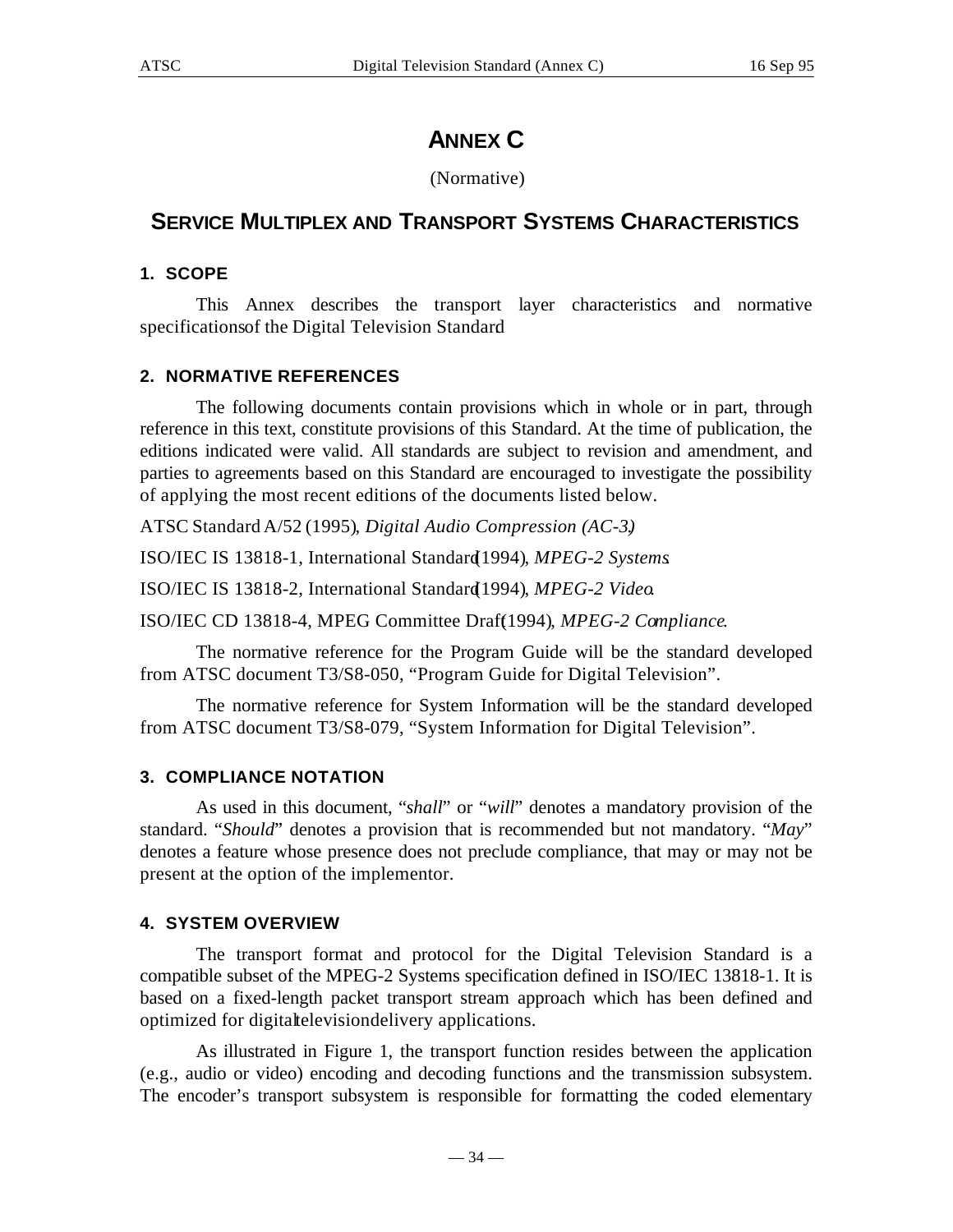# **ANNEX C**

(Normative)

## **SERVICE MULTIPLEX AND TRANSPORT SYSTEMS CHARACTERISTICS**

## **1. SCOPE**

This Annex describes the transport layer characteristics and normative specifications of the Digital Television Standard

## **2. NORMATIVE REFERENCES**

The following documents contain provisions which in whole or in part, through reference in this text, constitute provisions of this Standard. At the time of publication, the editions indicated were valid. All standards are subject to revision and amendment, and parties to agreements based on this Standard are encouraged to investigate the possibility of applying the most recent editions of the documents listed below.

ATSC Standard A/52 (1995), *Digital Audio Compression (AC-3)*.

ISO/IEC IS 13818-1, International Standard (1994), *MPEG-2 Systems*.

ISO/IEC IS 13818-2, International Standard (1994), *MPEG-2 Video*.

ISO/IEC CD 13818-4, MPEG Committee Draft (1994), *MPEG-2 Compliance*.

The normative reference for the Program Guide will be the standard developed from ATSC document T3/S8-050, "Program Guide for Digital Television".

The normative reference for System Information will be the standard developed from ATSC document T3/S8-079, "System Information for Digital Television".

## **3. COMPLIANCE NOTATION**

As used in this document, "*shall*" or "*will*" denotes a mandatory provision of the standard. "*Should*" denotes a provision that is recommended but not mandatory. "*May*" denotes a feature whose presence does not preclude compliance, that may or may not be present at the option of the implementor.

## **4. SYSTEM OVERVIEW**

The transport format and protocol for the Digital Television Standard is a compatible subset of the MPEG-2 Systems specification defined in ISO/IEC 13818-1. It is based on a fixed-length packet transport stream approach which has been defined and optimized for digital television delivery applications.

As illustrated in Figure 1, the transport function resides between the application (e.g., audio or video) encoding and decoding functions and the transmission subsystem. The encoder's transport subsystem is responsible for formatting the coded elementary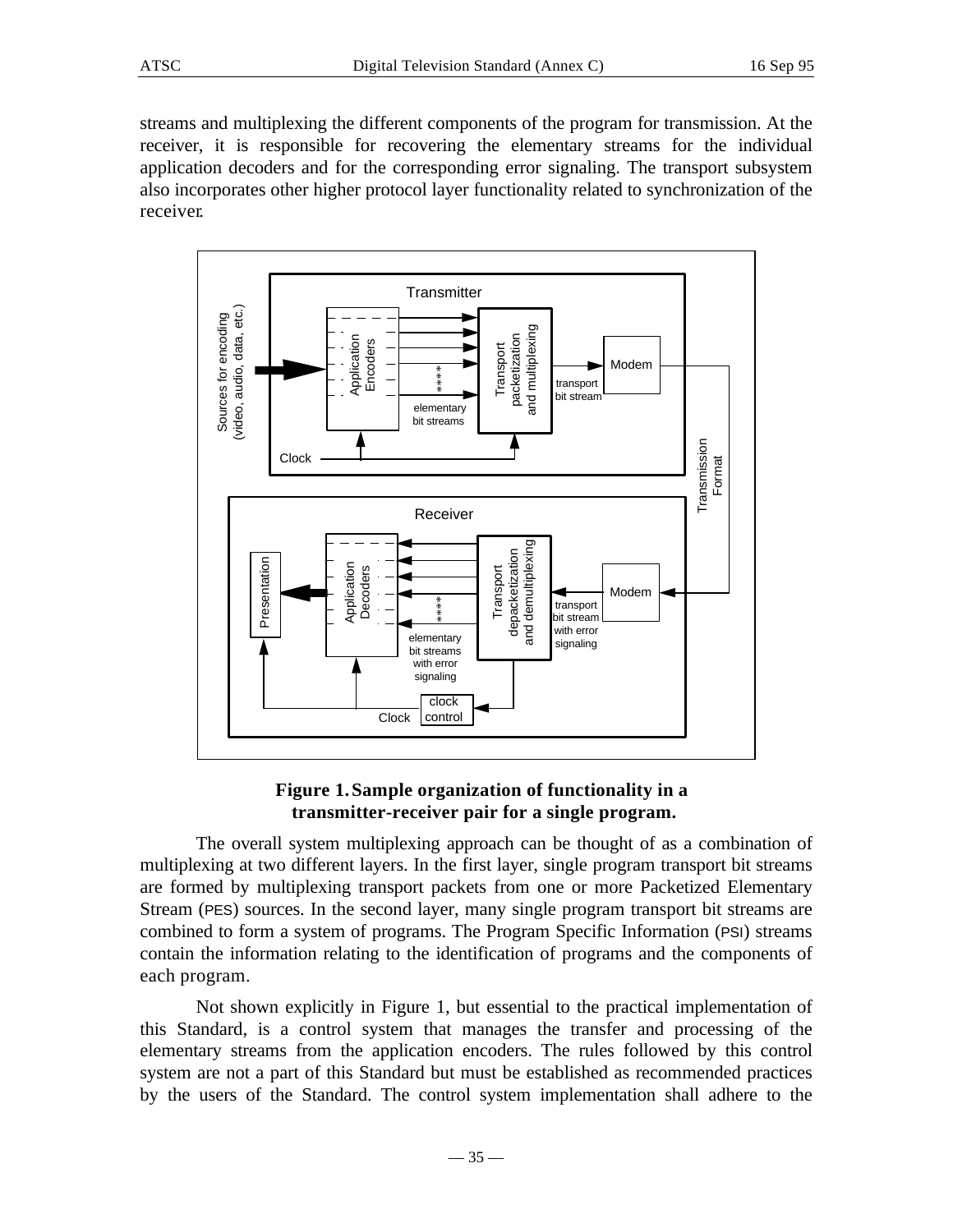streams and multiplexing the different components of the program for transmission. At the receiver, it is responsible for recovering the elementary streams for the individual application decoders and for the corresponding error signaling. The transport subsystem also incorporates other higher protocol layer functionality related to synchronization of the receiver.



#### **Figure 1. Sample organization of functionality in a transmitter-receiver pair for a single program.**

The overall system multiplexing approach can be thought of as a combination of multiplexing at two different layers. In the first layer, single program transport bit streams are formed by multiplexing transport packets from one or more Packetized Elementary Stream (PES) sources. In the second layer, many single program transport bit streams are combined to form a system of programs. The Program Specific Information (PSI) streams contain the information relating to the identification of programs and the components of each program.

Not shown explicitly in Figure 1, but essential to the practical implementation of this Standard, is a control system that manages the transfer and processing of the elementary streams from the application encoders. The rules followed by this control system are not a part of this Standard but must be established as recommended practices by the users of the Standard. The control system implementation shall adhere to the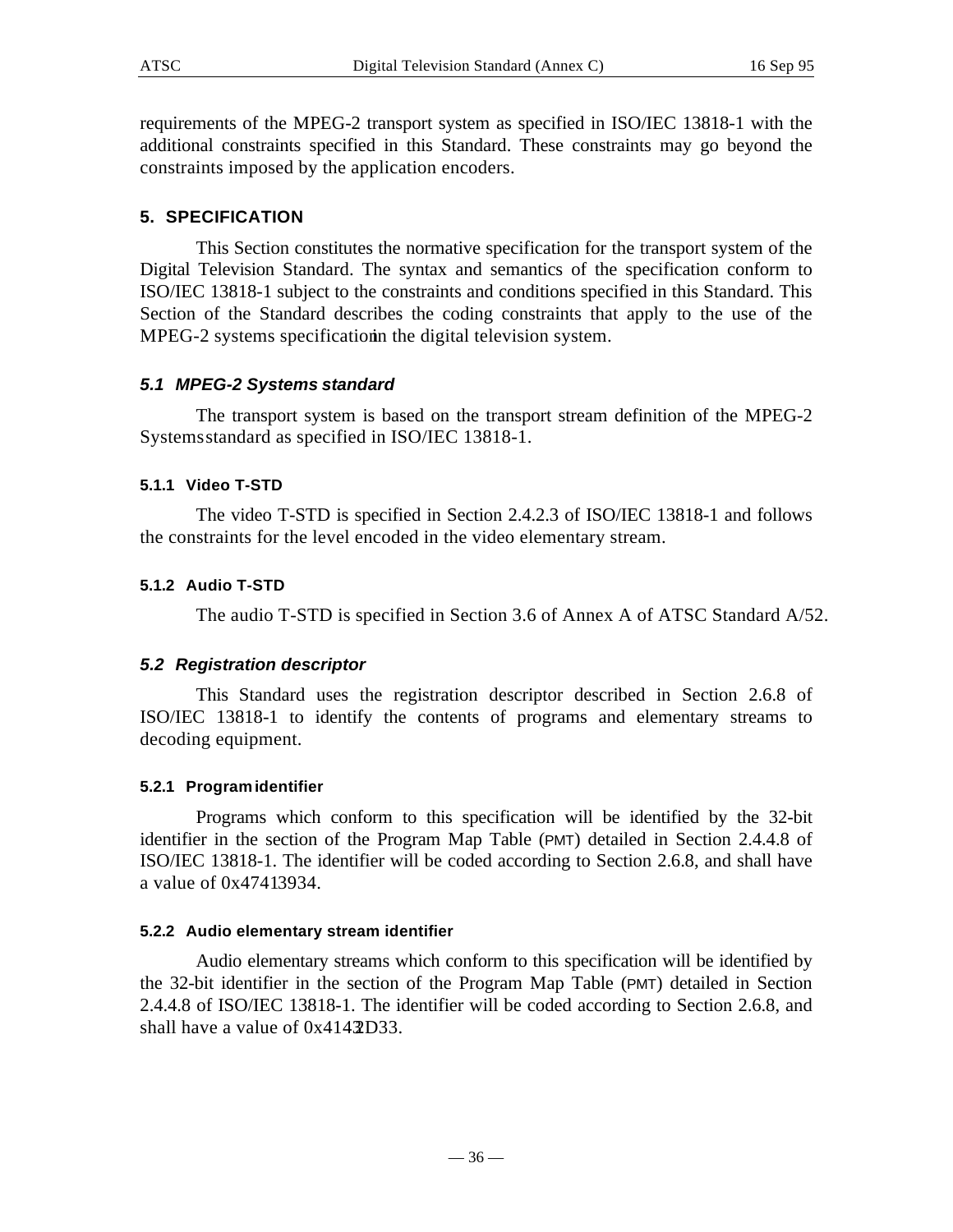requirements of the MPEG-2 transport system as specified in ISO/IEC 13818-1 with the additional constraints specified in this Standard. These constraints may go beyond the constraints imposed by the application encoders.

### **5. SPECIFICATION**

This Section constitutes the normative specification for the transport system of the Digital Television Standard. The syntax and semantics of the specification conform to ISO/IEC 13818-1 subject to the constraints and conditions specified in this Standard. This Section of the Standard describes the coding constraints that apply to the use of the MPEG-2 systems specification in the digital television system.

#### *5.1 MPEG-2 Systems standard*

The transport system is based on the transport stream definition of the MPEG-2 Systems standard as specified in ISO/IEC 13818-1.

#### **5.1.1 Video T-STD**

The video T-STD is specified in Section 2.4.2.3 of ISO/IEC 13818-1 and follows the constraints for the level encoded in the video elementary stream.

## **5.1.2 Audio T-STD**

The audio T-STD is specified in Section 3.6 of Annex A of ATSC Standard A/52.

## *5.2 Registration descriptor*

This Standard uses the registration descriptor described in Section 2.6.8 of ISO/IEC 13818-1 to identify the contents of programs and elementary streams to decoding equipment.

## **5.2.1 Program identifier**

Programs which conform to this specification will be identified by the 32-bit identifier in the section of the Program Map Table (PMT) detailed in Section 2.4.4.8 of ISO/IEC 13818-1. The identifier will be coded according to Section 2.6.8, and shall have a value of 0x47413934.

#### **5.2.2 Audio elementary stream identifier**

Audio elementary streams which conform to this specification will be identified by the 32-bit identifier in the section of the Program Map Table (PMT) detailed in Section 2.4.4.8 of ISO/IEC 13818-1. The identifier will be coded according to Section 2.6.8, and shall have a value of 0x4143033.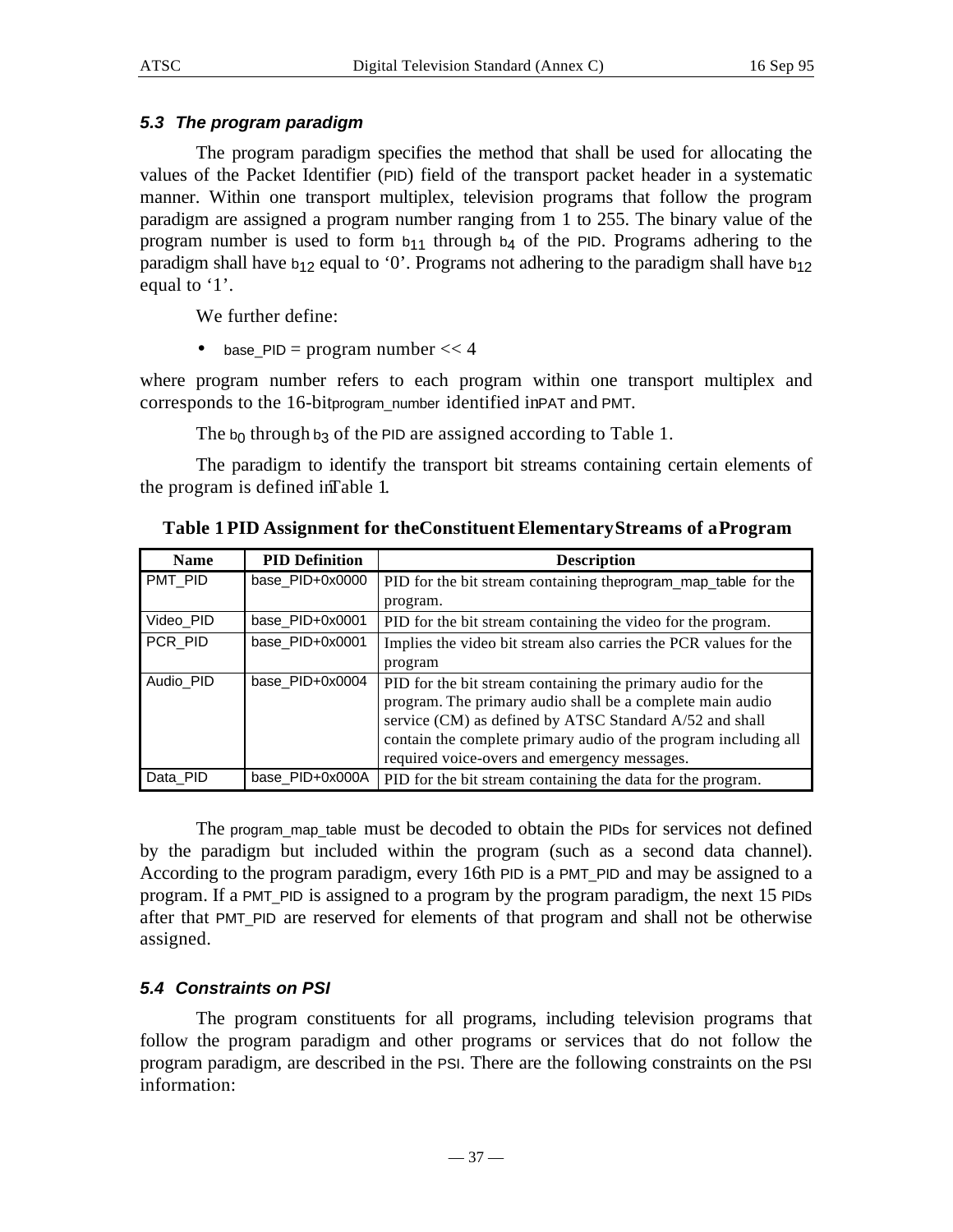## *5.3 The program paradigm*

The program paradigm specifies the method that shall be used for allocating the values of the Packet Identifier (PID) field of the transport packet header in a systematic manner. Within one transport multiplex, television programs that follow the program paradigm are assigned a program number ranging from 1 to 255. The binary value of the program number is used to form  $b_{11}$  through  $b_4$  of the PID. Programs adhering to the paradigm shall have  $b_{12}$  equal to '0'. Programs not adhering to the paradigm shall have  $b_{12}$ equal to '1'.

We further define:

• base  $PID = program$  number  $<< 4$ 

where program number refers to each program within one transport multiplex and corresponds to the 16-bitprogram\_number identified inPAT and PMT.

The  $b_0$  through  $b_3$  of the PID are assigned according to Table 1.

The paradigm to identify the transport bit streams containing certain elements of the program is defined in Table 1.

| <b>Name</b> | <b>PID Definition</b> | <b>Description</b>                                               |
|-------------|-----------------------|------------------------------------------------------------------|
| PMT_PID     | base PID+0x0000       | PID for the bit stream containing the program_map_table for the  |
|             |                       | program.                                                         |
| Video_PID   | base PID+0x0001       | PID for the bit stream containing the video for the program.     |
| PCR_PID     | base PID+0x0001       | Implies the video bit stream also carries the PCR values for the |
|             |                       | program                                                          |
| Audio PID   | base PID+0x0004       | PID for the bit stream containing the primary audio for the      |
|             |                       | program. The primary audio shall be a complete main audio        |
|             |                       | service (CM) as defined by ATSC Standard A/52 and shall          |
|             |                       | contain the complete primary audio of the program including all  |
|             |                       | required voice-overs and emergency messages.                     |
| Data PID    | base PID+0x000A       | PID for the bit stream containing the data for the program.      |

**Table 1 PID Assignment for the Constituent Elementary Streams of a Program**

The program map table must be decoded to obtain the PIDs for services not defined by the paradigm but included within the program (such as a second data channel). According to the program paradigm, every 16th PID is a PMT\_PID and may be assigned to a program. If a PMT\_PID is assigned to a program by the program paradigm, the next 15 PIDs after that PMT\_PID are reserved for elements of that program and shall not be otherwise assigned.

## *5.4 Constraints on PSI*

The program constituents for all programs, including television programs that follow the program paradigm and other programs or services that do not follow the program paradigm, are described in the PSI. There are the following constraints on the PSI information: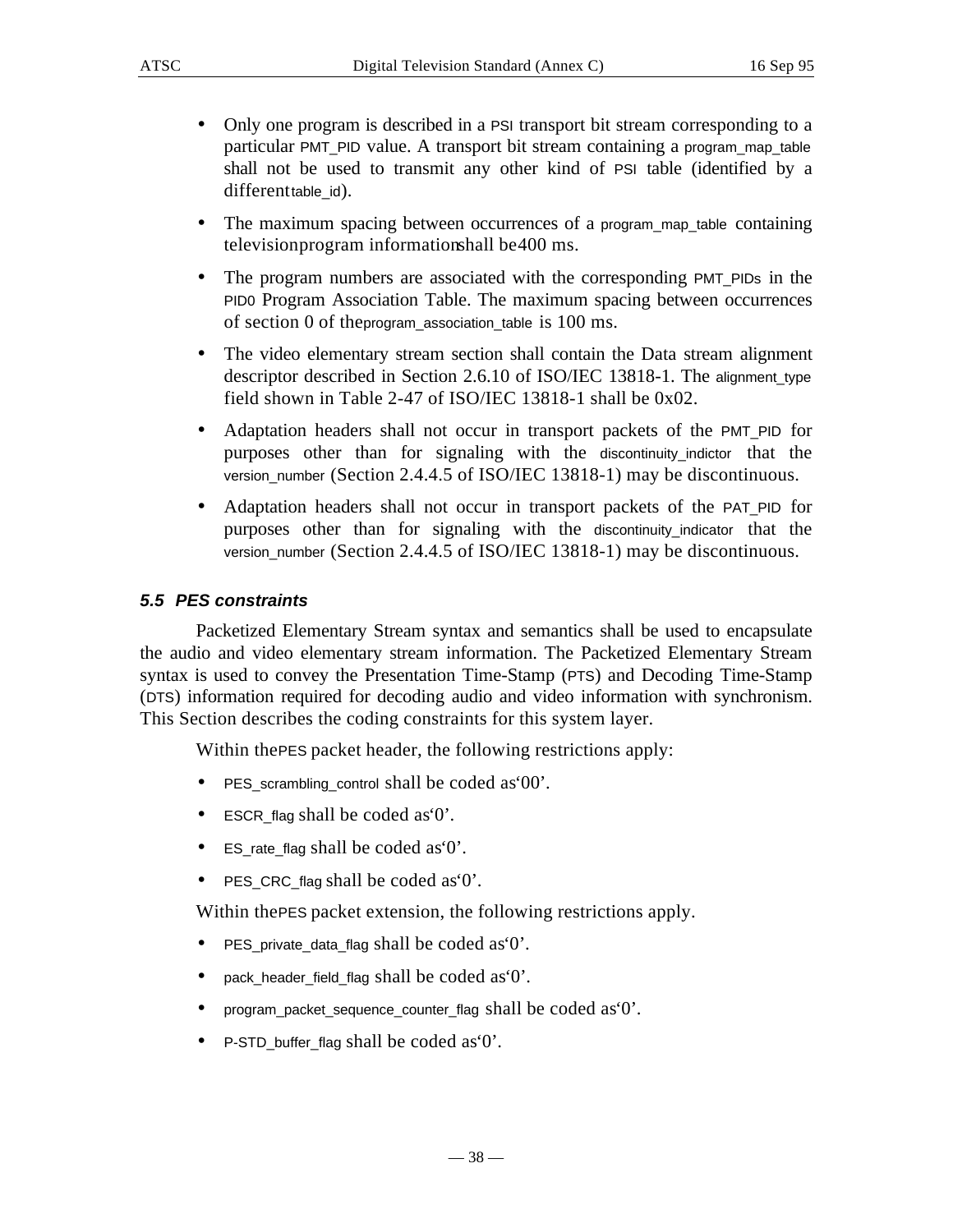- Only one program is described in a PSI transport bit stream corresponding to a particular PMT\_PID value. A transport bit stream containing a program\_map\_table shall not be used to transmit any other kind of PSI table (identified by a different table\_id).
- The maximum spacing between occurrences of a program\_map\_table containing television program information shall be 400 ms.
- The program numbers are associated with the corresponding PMT\_PIDs in the PID0 Program Association Table. The maximum spacing between occurrences of section  $0$  of the program\_association\_table is  $100$  ms.
- The video elementary stream section shall contain the Data stream alignment descriptor described in Section 2.6.10 of ISO/IEC 13818-1. The alignment\_type field shown in Table 2-47 of ISO/IEC 13818-1 shall be 0x02.
- Adaptation headers shall not occur in transport packets of the PMT PID for purposes other than for signaling with the discontinuity\_indictor that the version\_number (Section 2.4.4.5 of ISO/IEC 13818-1) may be discontinuous.
- Adaptation headers shall not occur in transport packets of the PAT\_PID for purposes other than for signaling with the discontinuity\_indicator that the version\_number (Section 2.4.4.5 of ISO/IEC 13818-1) may be discontinuous.

#### *5.5 PES constraints*

Packetized Elementary Stream syntax and semantics shall be used to encapsulate the audio and video elementary stream information. The Packetized Elementary Stream syntax is used to convey the Presentation Time-Stamp (PTS) and Decoding Time-Stamp (DTS) information required for decoding audio and video information with synchronism. This Section describes the coding constraints for this system layer.

Within the PES packet header, the following restrictions apply:

- PES\_scrambling\_control shall be coded as  $00'$ .
- ESCR flag shall be coded as  $0$ .
- ES\_rate\_flag shall be coded as  $0'$ .
- $\bullet$  PES\_CRC\_flag shall be coded as '0'.

Within the PES packet extension, the following restrictions apply.

- PES private data flag shall be coded as  $0'.$
- pack header field flag shall be coded as  $0'.$
- program\_packet\_sequence\_counter\_flag shall be coded as '0'.
- P-STD buffer flag shall be coded as  $0'.$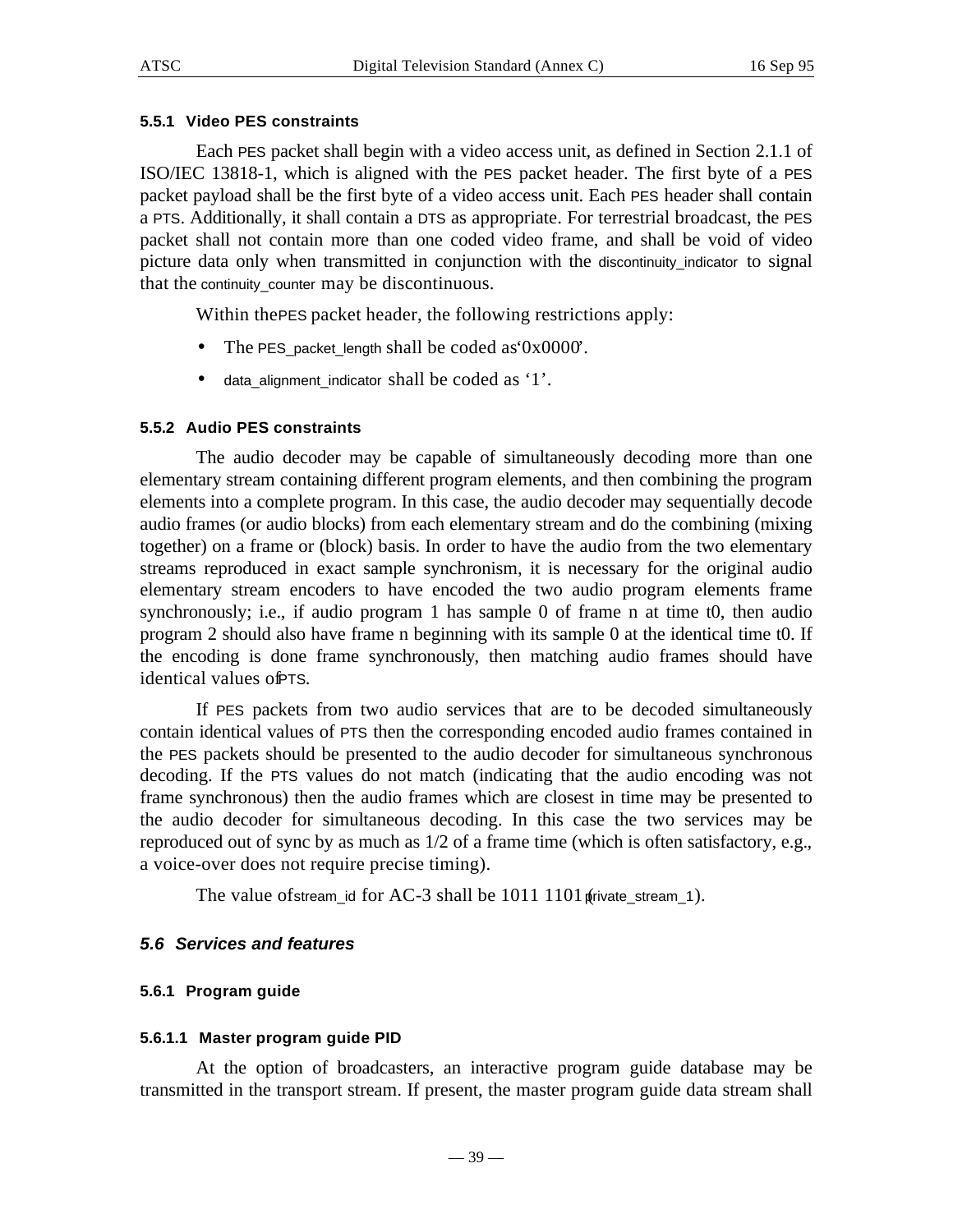#### **5.5.1 Video PES constraints**

Each PES packet shall begin with a video access unit, as defined in Section 2.1.1 of ISO/IEC 13818-1, which is aligned with the PES packet header. The first byte of a PES packet payload shall be the first byte of a video access unit. Each PES header shall contain a PTS. Additionally, it shall contain a DTS as appropriate. For terrestrial broadcast, the PES packet shall not contain more than one coded video frame, and shall be void of video picture data only when transmitted in conjunction with the discontinuity\_indicator to signal that the continuity counter may be discontinuous.

Within the PES packet header, the following restrictions apply:

- The PES\_packet\_length shall be coded as '0x0000'.
- data\_alignment\_indicator shall be coded as '1'.

#### **5.5.2 Audio PES constraints**

The audio decoder may be capable of simultaneously decoding more than one elementary stream containing different program elements, and then combining the program elements into a complete program. In this case, the audio decoder may sequentially decode audio frames (or audio blocks) from each elementary stream and do the combining (mixing together) on a frame or (block) basis. In order to have the audio from the two elementary streams reproduced in exact sample synchronism, it is necessary for the original audio elementary stream encoders to have encoded the two audio program elements frame synchronously; i.e., if audio program 1 has sample 0 of frame n at time t0, then audio program 2 should also have frame n beginning with its sample 0 at the identical time t0. If the encoding is done frame synchronously, then matching audio frames should have identical values of PTS.

If PES packets from two audio services that are to be decoded simultaneously contain identical values of PTS then the corresponding encoded audio frames contained in the PES packets should be presented to the audio decoder for simultaneous synchronous decoding. If the PTS values do not match (indicating that the audio encoding was not frame synchronous) then the audio frames which are closest in time may be presented to the audio decoder for simultaneous decoding. In this case the two services may be reproduced out of sync by as much as 1/2 of a frame time (which is often satisfactory, e.g., a voice-over does not require precise timing).

The value of stream\_id for AC-3 shall be  $1011 1101$  private\_stream\_1).

## *5.6 Services and features*

#### **5.6.1 Program guide**

#### **5.6.1.1 Master program guide PID**

At the option of broadcasters, an interactive program guide database may be transmitted in the transport stream. If present, the master program guide data stream shall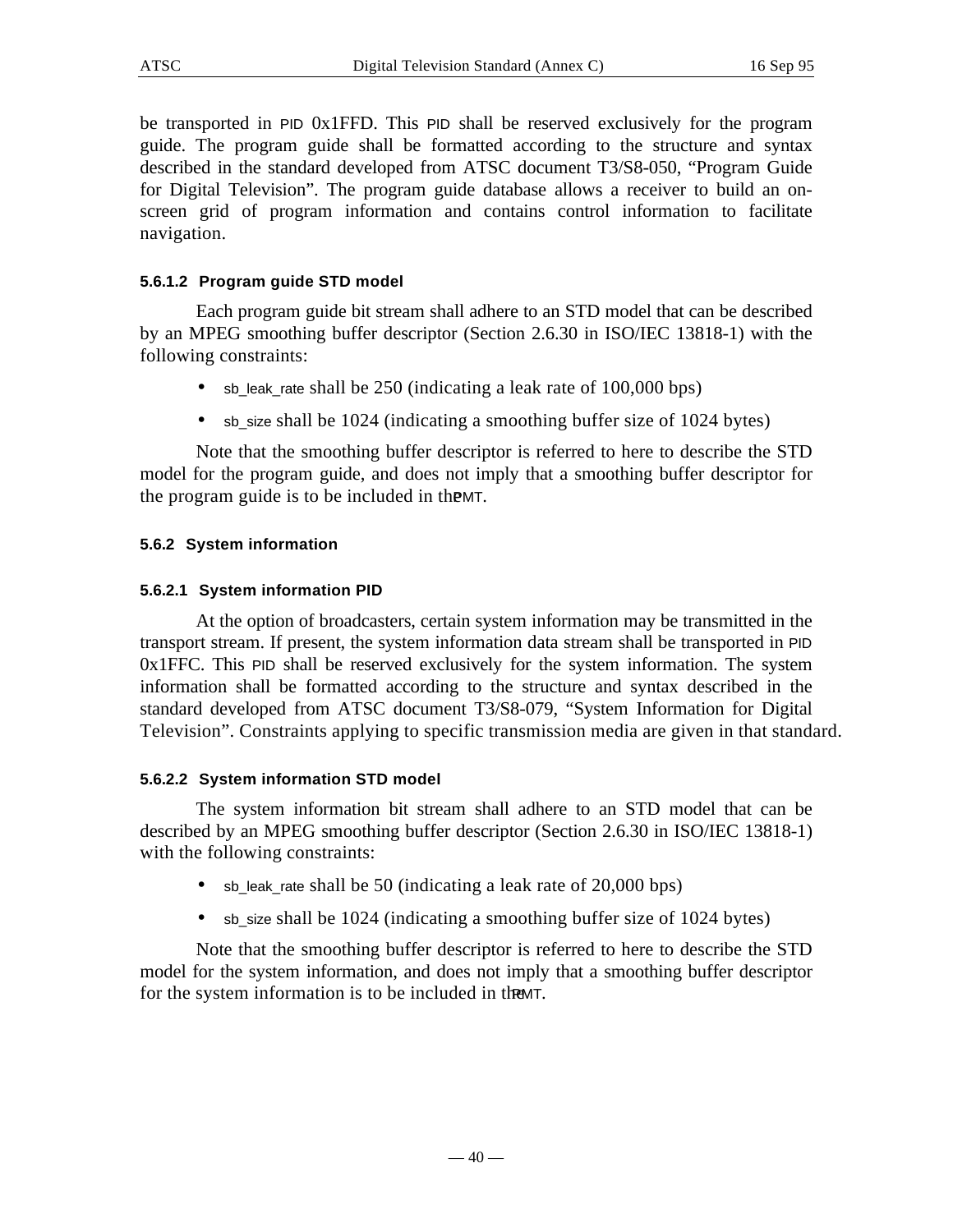be transported in PID 0x1FFD. This PID shall be reserved exclusively for the program guide. The program guide shall be formatted according to the structure and syntax described in the standard developed from ATSC document T3/S8-050, "Program Guide for Digital Television". The program guide database allows a receiver to build an onscreen grid of program information and contains control information to facilitate navigation.

#### **5.6.1.2 Program guide STD model**

Each program guide bit stream shall adhere to an STD model that can be described by an MPEG smoothing buffer descriptor (Section 2.6.30 in ISO/IEC 13818-1) with the following constraints:

- sb leak rate shall be 250 (indicating a leak rate of 100,000 bps)
- sb\_size shall be 1024 (indicating a smoothing buffer size of 1024 bytes)

Note that the smoothing buffer descriptor is referred to here to describe the STD model for the program guide, and does not imply that a smoothing buffer descriptor for the program guide is to be included in the MT.

#### **5.6.2 System information**

#### **5.6.2.1 System information PID**

At the option of broadcasters, certain system information may be transmitted in the transport stream. If present, the system information data stream shall be transported in PID 0x1FFC. This PID shall be reserved exclusively for the system information. The system information shall be formatted according to the structure and syntax described in the standard developed from ATSC document T3/S8-079, "System Information for Digital Television". Constraints applying to specific transmission media are given in that standard.

#### **5.6.2.2 System information STD model**

The system information bit stream shall adhere to an STD model that can be described by an MPEG smoothing buffer descriptor (Section 2.6.30 in ISO/IEC 13818-1) with the following constraints:

- sb leak rate shall be 50 (indicating a leak rate of 20,000 bps)
- sb\_size shall be 1024 (indicating a smoothing buffer size of 1024 bytes)

Note that the smoothing buffer descriptor is referred to here to describe the STD model for the system information, and does not imply that a smoothing buffer descriptor for the system information is to be included in the WT.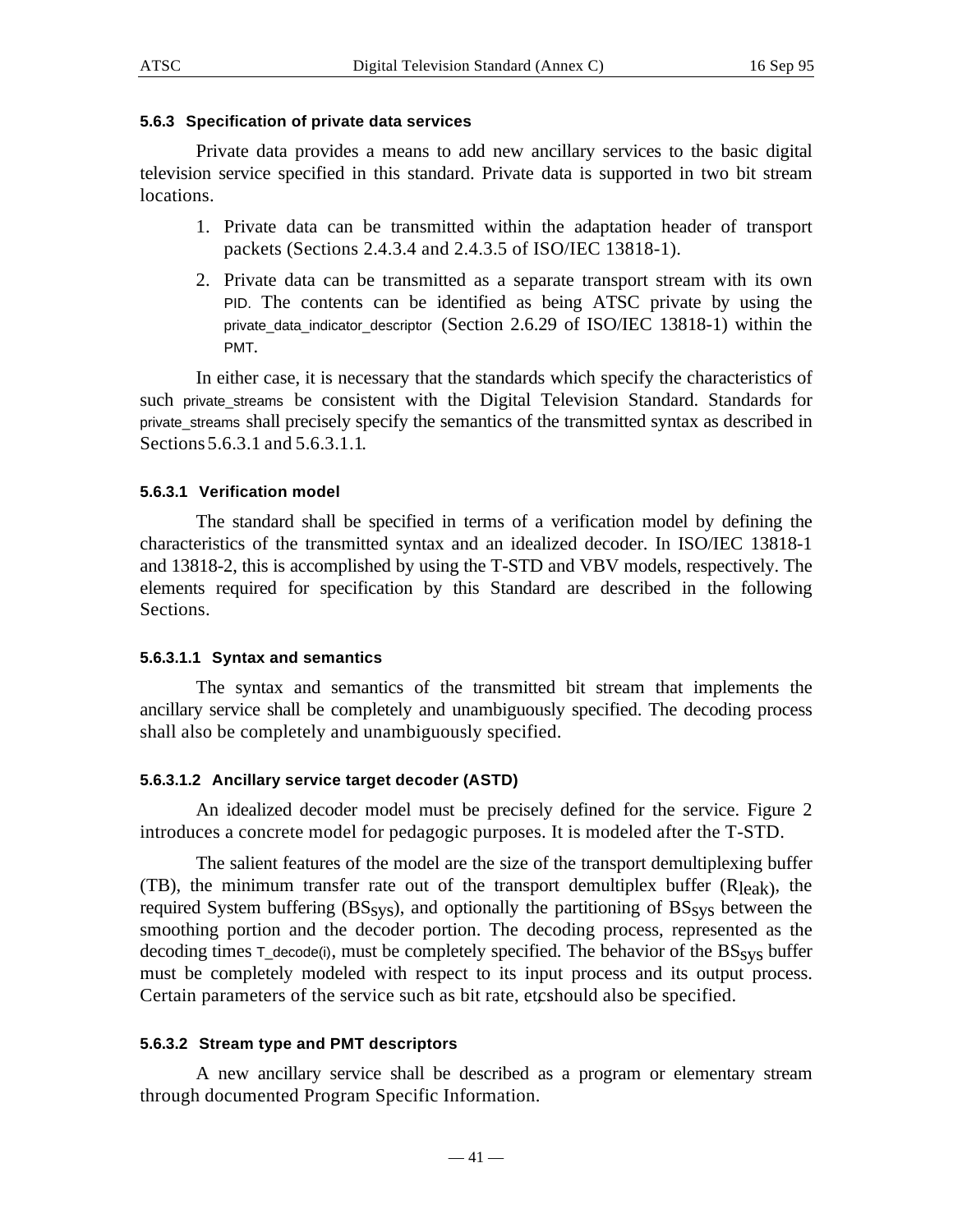#### **5.6.3 Specification of private data services**

Private data provides a means to add new ancillary services to the basic digital television service specified in this standard. Private data is supported in two bit stream locations.

- 1. Private data can be transmitted within the adaptation header of transport packets (Sections 2.4.3.4 and 2.4.3.5 of ISO/IEC 13818-1).
- 2. Private data can be transmitted as a separate transport stream with its own PID. The contents can be identified as being ATSC private by using the private\_data\_indicator\_descriptor (Section 2.6.29 of ISO/IEC 13818-1) within the PMT.

In either case, it is necessary that the standards which specify the characteristics of such private\_streams be consistent with the Digital Television Standard. Standards for private\_streams shall precisely specify the semantics of the transmitted syntax as described in Sections 5.6.3.1 and 5.6.3.1.1.

#### **5.6.3.1 Verification model**

The standard shall be specified in terms of a verification model by defining the characteristics of the transmitted syntax and an idealized decoder. In ISO/IEC 13818-1 and 13818-2, this is accomplished by using the T-STD and VBV models, respectively. The elements required for specification by this Standard are described in the following Sections.

#### **5.6.3.1.1 Syntax and semantics**

The syntax and semantics of the transmitted bit stream that implements the ancillary service shall be completely and unambiguously specified. The decoding process shall also be completely and unambiguously specified.

#### **5.6.3.1.2 Ancillary service target decoder (ASTD)**

An idealized decoder model must be precisely defined for the service. Figure 2 introduces a concrete model for pedagogic purposes. It is modeled after the T-STD.

The salient features of the model are the size of the transport demultiplexing buffer (TB), the minimum transfer rate out of the transport demultiplex buffer  $(R$ leak), the required System buffering  $(BS_{SVS})$ , and optionally the partitioning of  $BS_{SVS}$  between the smoothing portion and the decoder portion. The decoding process, represented as the decoding times  $T_{\text{decode}}(i)$ , must be completely specified. The behavior of the  $BS_{SVS}$  buffer must be completely modeled with respect to its input process and its output process. Certain parameters of the service such as bit rate, etcshould also be specified.

#### **5.6.3.2 Stream type and PMT descriptors**

A new ancillary service shall be described as a program or elementary stream through documented Program Specific Information.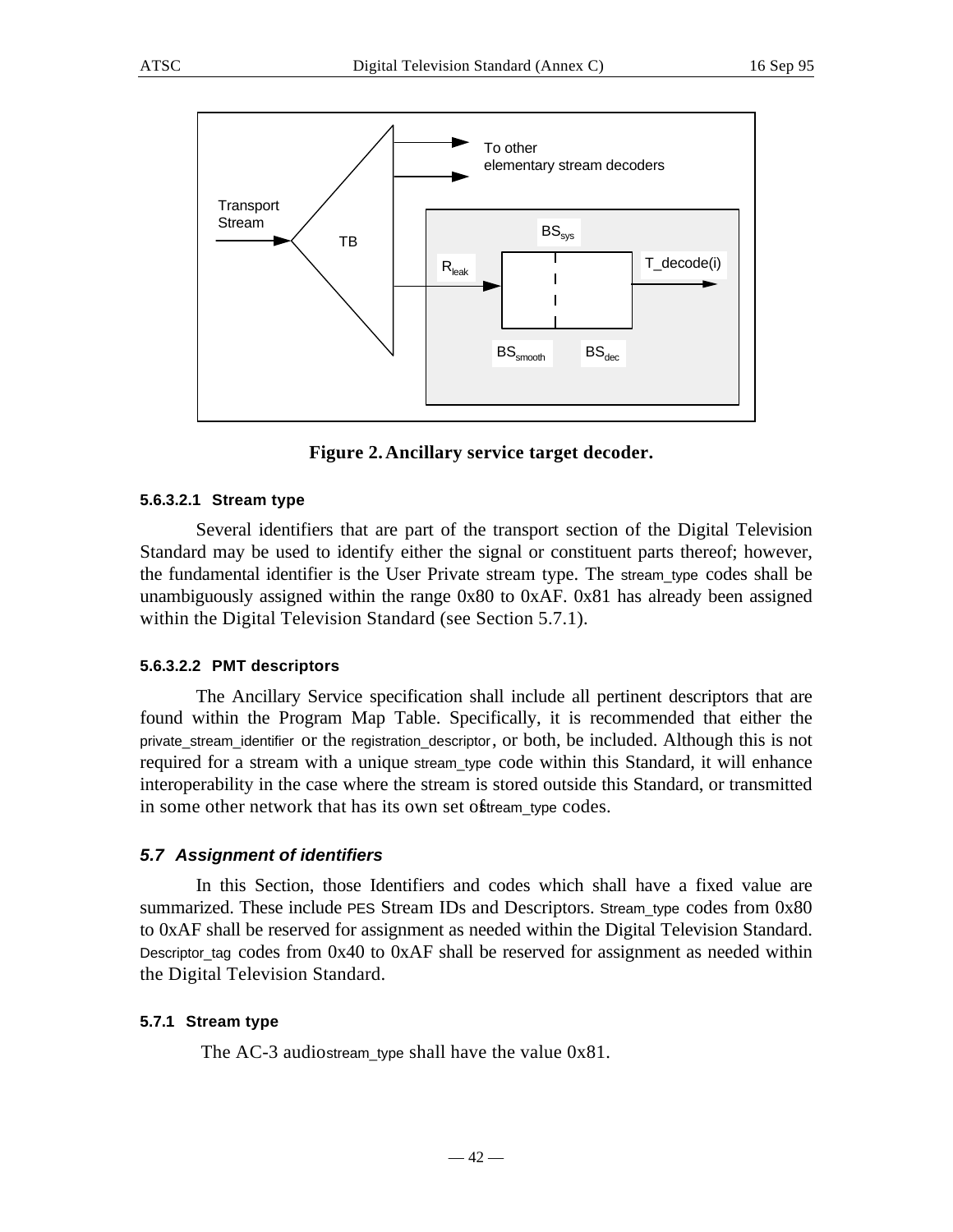

**Figure 2. Ancillary service target decoder.**

#### **5.6.3.2.1 Stream type**

Several identifiers that are part of the transport section of the Digital Television Standard may be used to identify either the signal or constituent parts thereof; however, the fundamental identifier is the User Private stream type. The stream\_type codes shall be unambiguously assigned within the range 0x80 to 0xAF. 0x81 has already been assigned within the Digital Television Standard (see Section 5.7.1).

#### **5.6.3.2.2 PMT descriptors**

The Ancillary Service specification shall include all pertinent descriptors that are found within the Program Map Table. Specifically, it is recommended that either the private\_stream\_identifier or the registration\_descriptor, or both, be included. Although this is not required for a stream with a unique stream\_type code within this Standard, it will enhance interoperability in the case where the stream is stored outside this Standard, or transmitted in some other network that has its own set of tream type codes.

#### *5.7 Assignment of identifiers*

In this Section, those Identifiers and codes which shall have a fixed value are summarized. These include PES Stream IDs and Descriptors. Stream type codes from  $0x80$ to 0xAF shall be reserved for assignment as needed within the Digital Television Standard. Descriptor tag codes from  $0x40$  to  $0xAF$  shall be reserved for assignment as needed within the Digital Television Standard.

#### **5.7.1 Stream type**

The AC-3 audio stream\_type shall have the value  $0x81$ .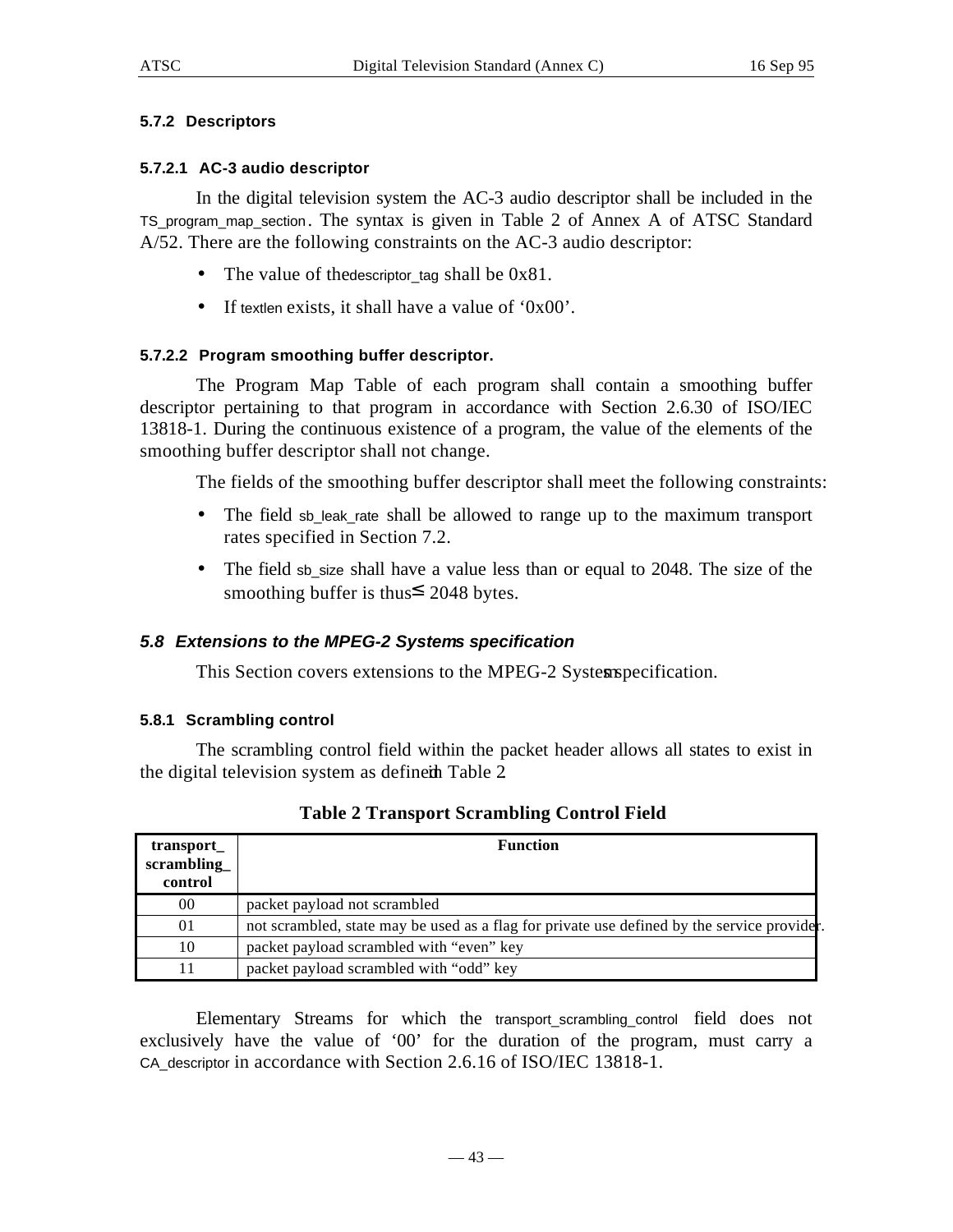#### **5.7.2 Descriptors**

#### **5.7.2.1 AC-3 audio descriptor**

In the digital television system the AC-3 audio descriptor shall be included in the TS\_program\_map\_section. The syntax is given in Table 2 of Annex A of ATSC Standard A/52. There are the following constraints on the AC-3 audio descriptor:

- The value of the descriptor tag shall be  $0x81$ .
- If textlen exists, it shall have a value of '0x00'.

## **5.7.2.2 Program smoothing buffer descriptor.**

The Program Map Table of each program shall contain a smoothing buffer descriptor pertaining to that program in accordance with Section 2.6.30 of ISO/IEC 13818-1. During the continuous existence of a program, the value of the elements of the smoothing buffer descriptor shall not change.

The fields of the smoothing buffer descriptor shall meet the following constraints:

- The field sb\_leak\_rate shall be allowed to range up to the maximum transport rates specified in Section 7.2.
- The field sb\_size shall have a value less than or equal to 2048. The size of the smoothing buffer is thus  $\leq 2048$  bytes.

#### *5.8 Extensions to the MPEG-2 Systems specification*

This Section covers extensions to the MPEG-2 System specification.

#### **5.8.1 Scrambling control**

The scrambling control field within the packet header allows all states to exist in the digital television system as defined Table 2.

| transport_<br>scrambling<br>control | <b>Function</b>                                                                             |
|-------------------------------------|---------------------------------------------------------------------------------------------|
| 00                                  | packet payload not scrambled                                                                |
| 01                                  | not scrambled, state may be used as a flag for private use defined by the service provider. |
| 10                                  | packet payload scrambled with "even" key                                                    |
|                                     | packet payload scrambled with "odd" key                                                     |

#### **Table 2 Transport Scrambling Control Field**

Elementary Streams for which the transport\_scrambling\_control field does not exclusively have the value of '00' for the duration of the program, must carry a CA\_descriptor in accordance with Section 2.6.16 of ISO/IEC 13818-1.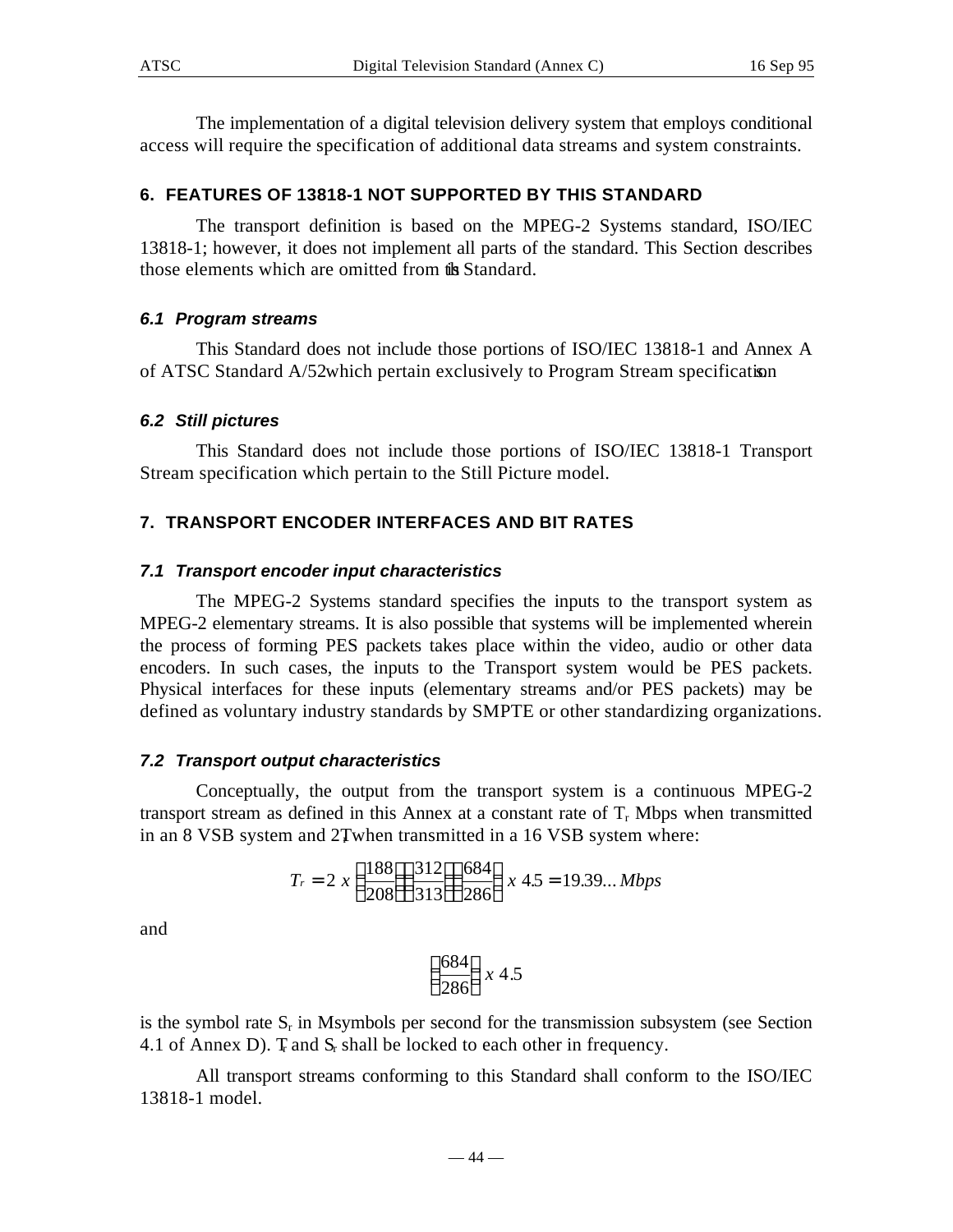The implementation of a digital television delivery system that employs conditional access will require the specification of additional data streams and system constraints.

#### **6. FEATURES OF 13818-1 NOT SUPPORTED BY THIS STANDARD**

The transport definition is based on the MPEG-2 Systems standard, ISO/IEC 13818-1; however, it does not implement all parts of the standard. This Section describes those elements which are omitted from the Standard.

#### *6.1 Program streams*

This Standard does not include those portions of ISO/IEC 13818-1 and Annex A of ATSC Standard A/52 which pertain exclusively to Program Stream specification

#### *6.2 Still pictures*

This Standard does not include those portions of ISO/IEC 13818-1 Transport Stream specification which pertain to the Still Picture model.

#### **7. TRANSPORT ENCODER INTERFACES AND BIT RATES**

#### *7.1 Transport encoder input characteristics*

The MPEG-2 Systems standard specifies the inputs to the transport system as MPEG-2 elementary streams. It is also possible that systems will be implemented wherein the process of forming PES packets takes place within the video, audio or other data encoders. In such cases, the inputs to the Transport system would be PES packets. Physical interfaces for these inputs (elementary streams and/or PES packets) may be defined as voluntary industry standards by SMPTE or other standardizing organizations.

#### *7.2 Transport output characteristics*

Conceptually, the output from the transport system is a continuous MPEG-2 transport stream as defined in this Annex at a constant rate of  $T_r$  Mbps when transmitted in an 8 VSB system and 2Twhen transmitted in a 16 VSB system where:

$$
T_r = 2 x \left(\frac{188}{208}\right) \left(\frac{312}{313}\right) \left(\frac{684}{286}\right) x 4.5 = 19.39...Mbps
$$

and

$$
\left(\frac{684}{286}\right)x4.5
$$

is the symbol rate  $S_r$  in Msymbols per second for the transmission subsystem (see Section 4.1 of Annex D).  $T_f$  and  $S_f$  shall be locked to each other in frequency.

All transport streams conforming to this Standard shall conform to the ISO/IEC 13818-1 model.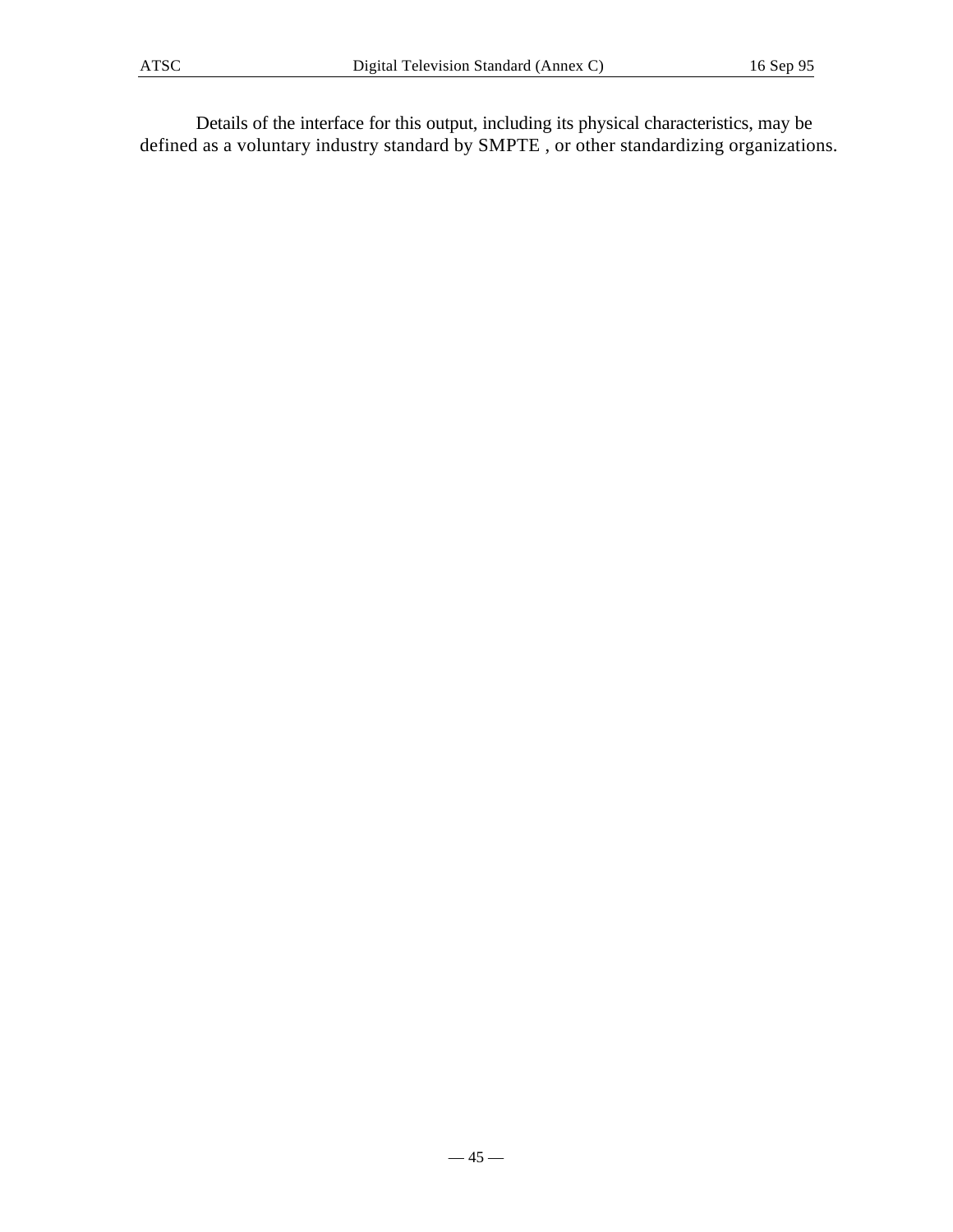Details of the interface for this output, including its physical characteristics, may be defined as a voluntary industry standard by SMPTE , or other standardizing organizations.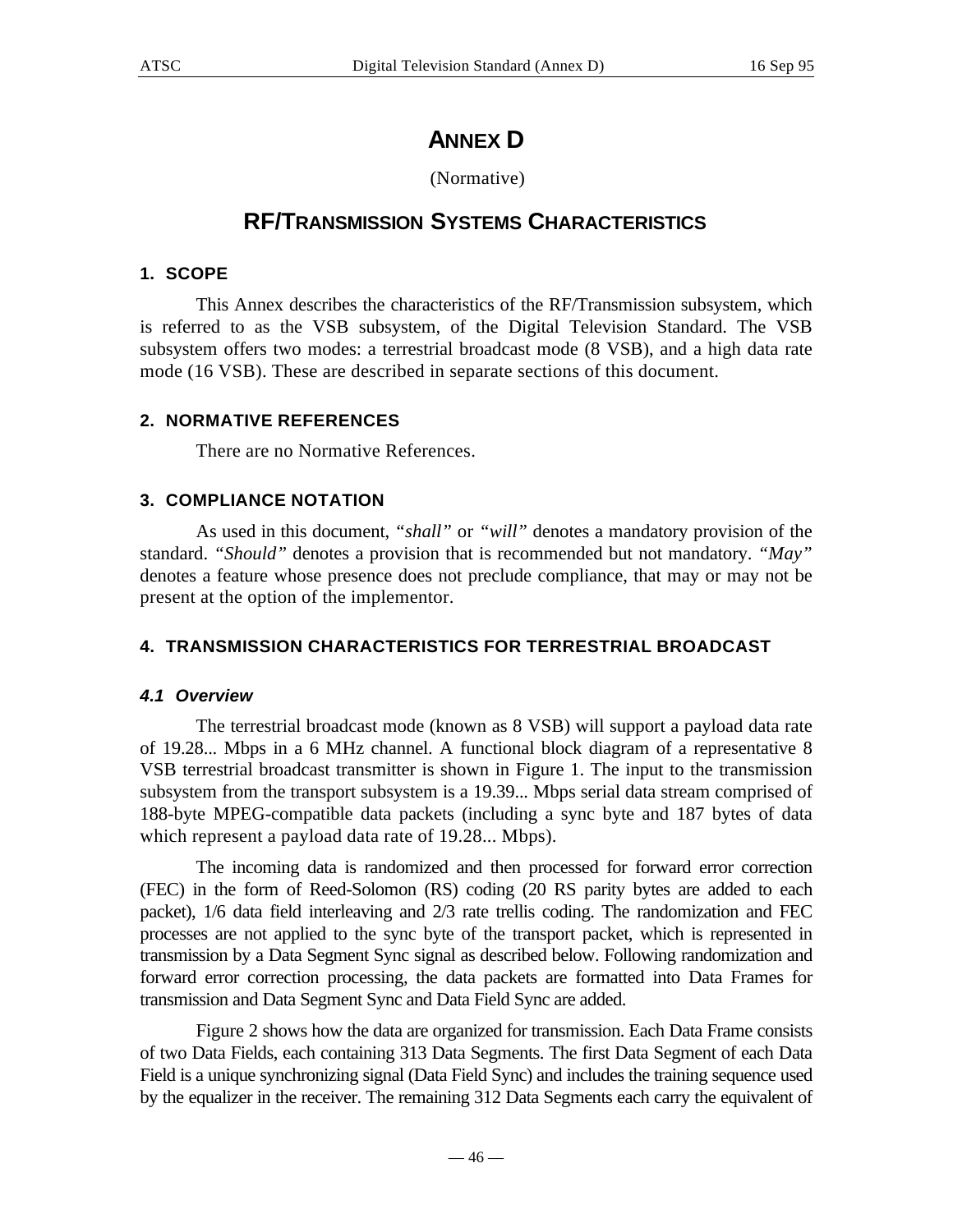# **ANNEX D**

#### (Normative)

## **RF/TRANSMISSION SYSTEMS CHARACTERISTICS**

#### **1. SCOPE**

This Annex describes the characteristics of the RF/Transmission subsystem, which is referred to as the VSB subsystem, of the Digital Television Standard. The VSB subsystem offers two modes: a terrestrial broadcast mode (8 VSB), and a high data rate mode (16 VSB). These are described in separate sections of this document.

#### **2. NORMATIVE REFERENCES**

There are no Normative References.

#### **3. COMPLIANCE NOTATION**

As used in this document, *"shall"* or *"will"* denotes a mandatory provision of the standard. *"Should"* denotes a provision that is recommended but not mandatory. *"May"* denotes a feature whose presence does not preclude compliance, that may or may not be present at the option of the implementor.

#### **4. TRANSMISSION CHARACTERISTICS FOR TERRESTRIAL BROADCAST**

#### *4.1 Overview*

The terrestrial broadcast mode (known as 8 VSB) will support a payload data rate of 19.28... Mbps in a 6 MHz channel. A functional block diagram of a representative 8 VSB terrestrial broadcast transmitter is shown in Figure 1. The input to the transmission subsystem from the transport subsystem is a 19.39... Mbps serial data stream comprised of 188-byte MPEG-compatible data packets (including a sync byte and 187 bytes of data which represent a payload data rate of 19.28... Mbps).

The incoming data is randomized and then processed for forward error correction (FEC) in the form of Reed-Solomon (RS) coding (20 RS parity bytes are added to each packet), 1/6 data field interleaving and 2/3 rate trellis coding. The randomization and FEC processes are not applied to the sync byte of the transport packet, which is represented in transmission by a Data Segment Sync signal as described below. Following randomization and forward error correction processing, the data packets are formatted into Data Frames for transmission and Data Segment Sync and Data Field Sync are added.

Figure 2 shows how the data are organized for transmission. Each Data Frame consists of two Data Fields, each containing 313 Data Segments. The first Data Segment of each Data Field is a unique synchronizing signal (Data Field Sync) and includes the training sequence used by the equalizer in the receiver. The remaining 312 Data Segments each carry the equivalent of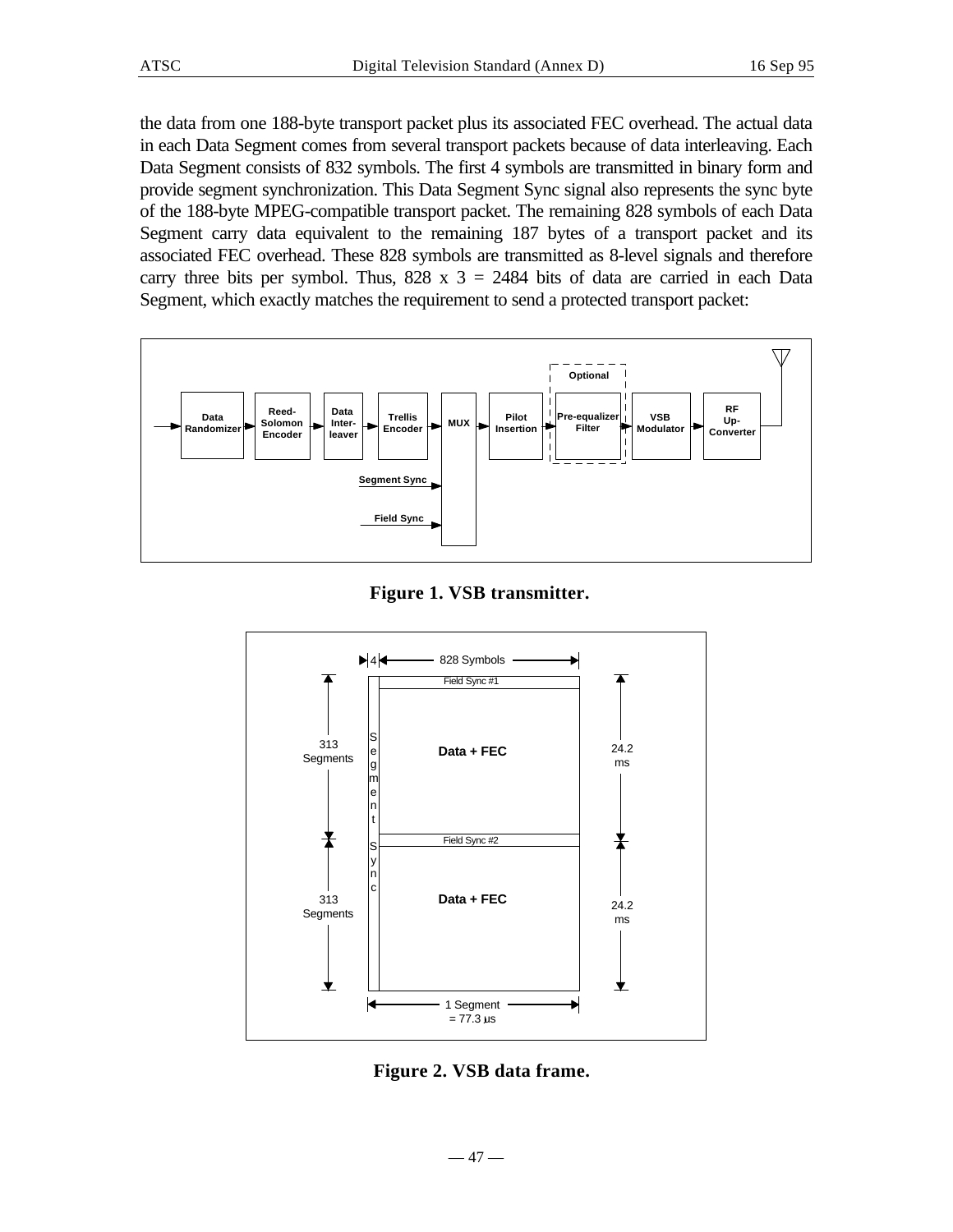the data from one 188-byte transport packet plus its associated FEC overhead. The actual data in each Data Segment comes from several transport packets because of data interleaving. Each Data Segment consists of 832 symbols. The first 4 symbols are transmitted in binary form and provide segment synchronization. This Data Segment Sync signal also represents the sync byte of the 188-byte MPEG-compatible transport packet. The remaining 828 symbols of each Data Segment carry data equivalent to the remaining 187 bytes of a transport packet and its associated FEC overhead. These 828 symbols are transmitted as 8-level signals and therefore carry three bits per symbol. Thus,  $828 \times 3 = 2484$  bits of data are carried in each Data Segment, which exactly matches the requirement to send a protected transport packet:



**Figure 1. VSB transmitter.**



**Figure 2. VSB data frame.**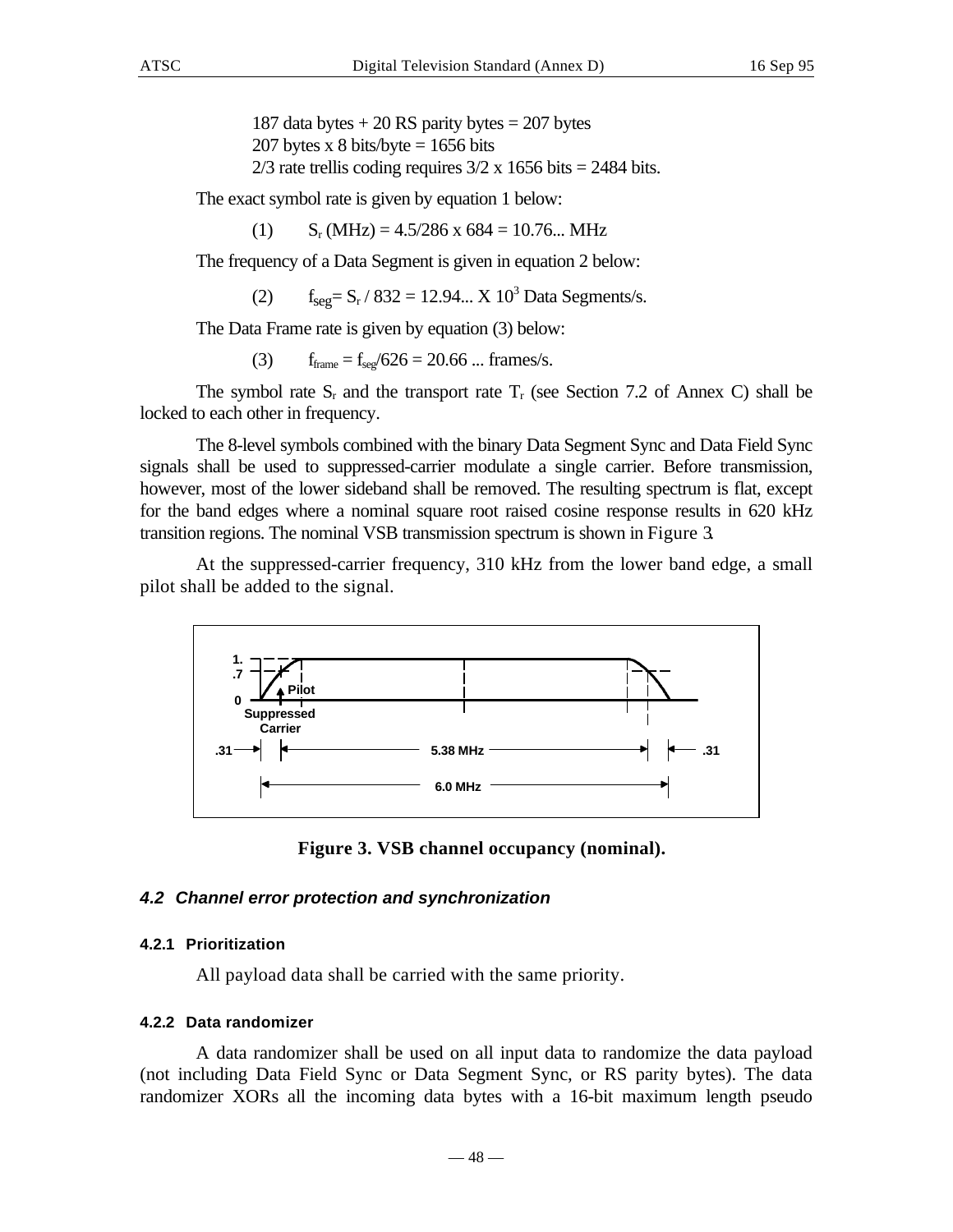- 187 data bytes  $+ 20$  RS parity bytes  $= 207$  bytes
- 207 bytes x 8 bits/byte  $= 1656$  bits
- $2/3$  rate trellis coding requires  $3/2 \times 1656$  bits = 2484 bits.

The exact symbol rate is given by equation 1 below:

(1)  $S_r (MHz) = 4.5/286 \times 684 = 10.76... MHz$ 

The frequency of a Data Segment is given in equation 2 below:

(2)  $f_{\text{seg}} = S_r / 832 = 12.94...$  X  $10^3$  Data Segments/s.

The Data Frame rate is given by equation (3) below:

(3)  $f_{frame} = f_{see}/626 = 20.66$  ... frames/s.

The symbol rate  $S_r$  and the transport rate  $T_r$  (see Section 7.2 of Annex C) shall be locked to each other in frequency.

The 8-level symbols combined with the binary Data Segment Sync and Data Field Sync signals shall be used to suppressed-carrier modulate a single carrier. Before transmission, however, most of the lower sideband shall be removed. The resulting spectrum is flat, except for the band edges where a nominal square root raised cosine response results in 620 kHz transition regions. The nominal VSB transmission spectrum is shown in Figure 3.

At the suppressed-carrier frequency, 310 kHz from the lower band edge, a small pilot shall be added to the signal.



**Figure 3. VSB channel occupancy (nominal).**

#### *4.2 Channel error protection and synchronization*

#### **4.2.1 Prioritization**

All payload data shall be carried with the same priority.

#### **4.2.2 Data randomizer**

A data randomizer shall be used on all input data to randomize the data payload (not including Data Field Sync or Data Segment Sync, or RS parity bytes). The data randomizer XORs all the incoming data bytes with a 16-bit maximum length pseudo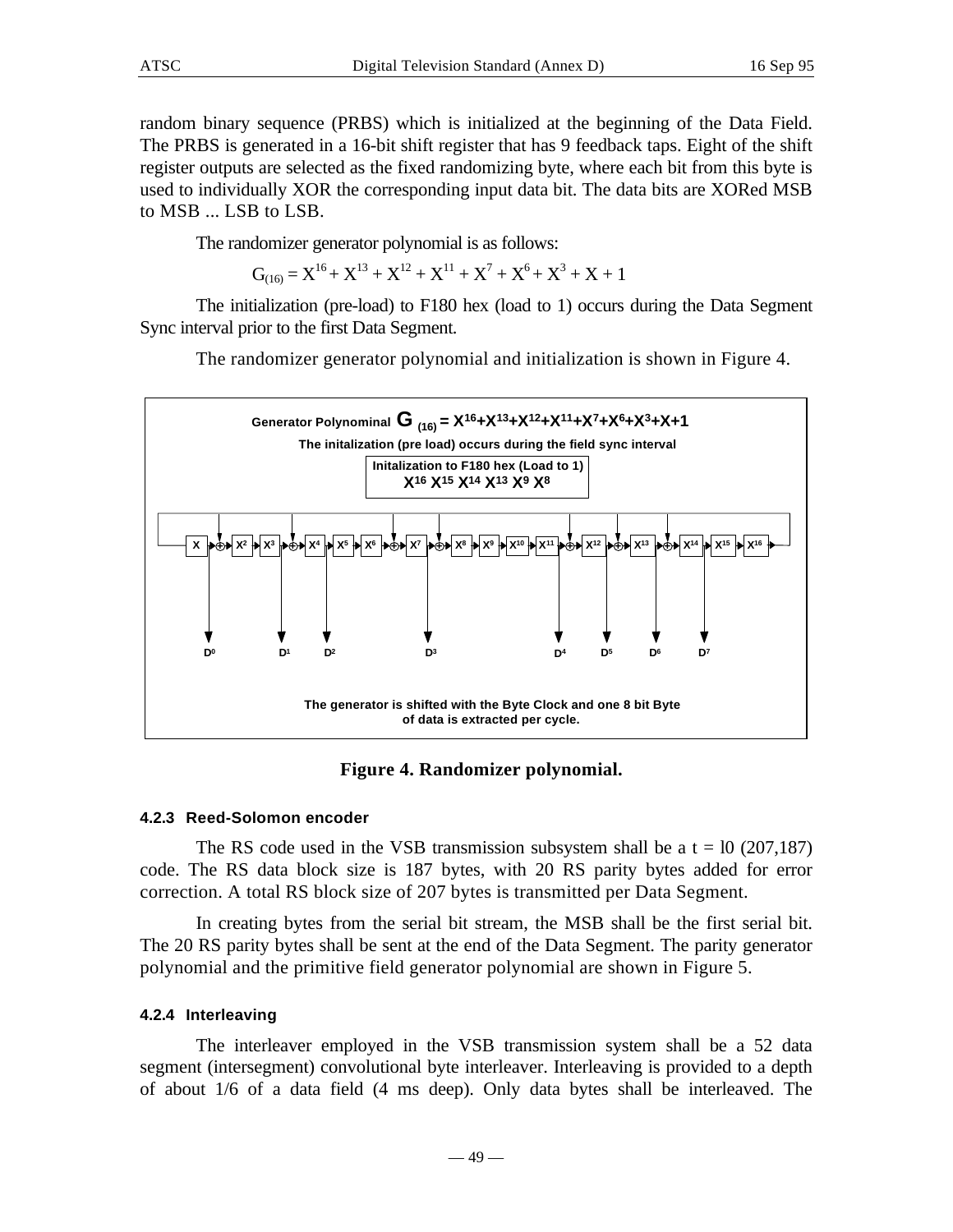random binary sequence (PRBS) which is initialized at the beginning of the Data Field. The PRBS is generated in a 16-bit shift register that has 9 feedback taps. Eight of the shift register outputs are selected as the fixed randomizing byte, where each bit from this byte is used to individually XOR the corresponding input data bit. The data bits are XORed MSB to MSB ... LSB to LSB.

The randomizer generator polynomial is as follows:

$$
G_{(16)} = X^{16} + X^{13} + X^{12} + X^{11} + X^7 + X^6 + X^3 + X + 1
$$

The initialization (pre-load) to F180 hex (load to 1) occurs during the Data Segment Sync interval prior to the first Data Segment.

The randomizer generator polynomial and initialization is shown in Figure 4.



**Figure 4. Randomizer polynomial.**

## **4.2.3 Reed-Solomon encoder**

The RS code used in the VSB transmission subsystem shall be a  $t = 10$  (207,187) code. The RS data block size is 187 bytes, with 20 RS parity bytes added for error correction. A total RS block size of 207 bytes is transmitted per Data Segment.

In creating bytes from the serial bit stream, the MSB shall be the first serial bit. The 20 RS parity bytes shall be sent at the end of the Data Segment. The parity generator polynomial and the primitive field generator polynomial are shown in Figure 5.

## **4.2.4 Interleaving**

The interleaver employed in the VSB transmission system shall be a 52 data segment (intersegment) convolutional byte interleaver. Interleaving is provided to a depth of about 1/6 of a data field (4 ms deep). Only data bytes shall be interleaved. The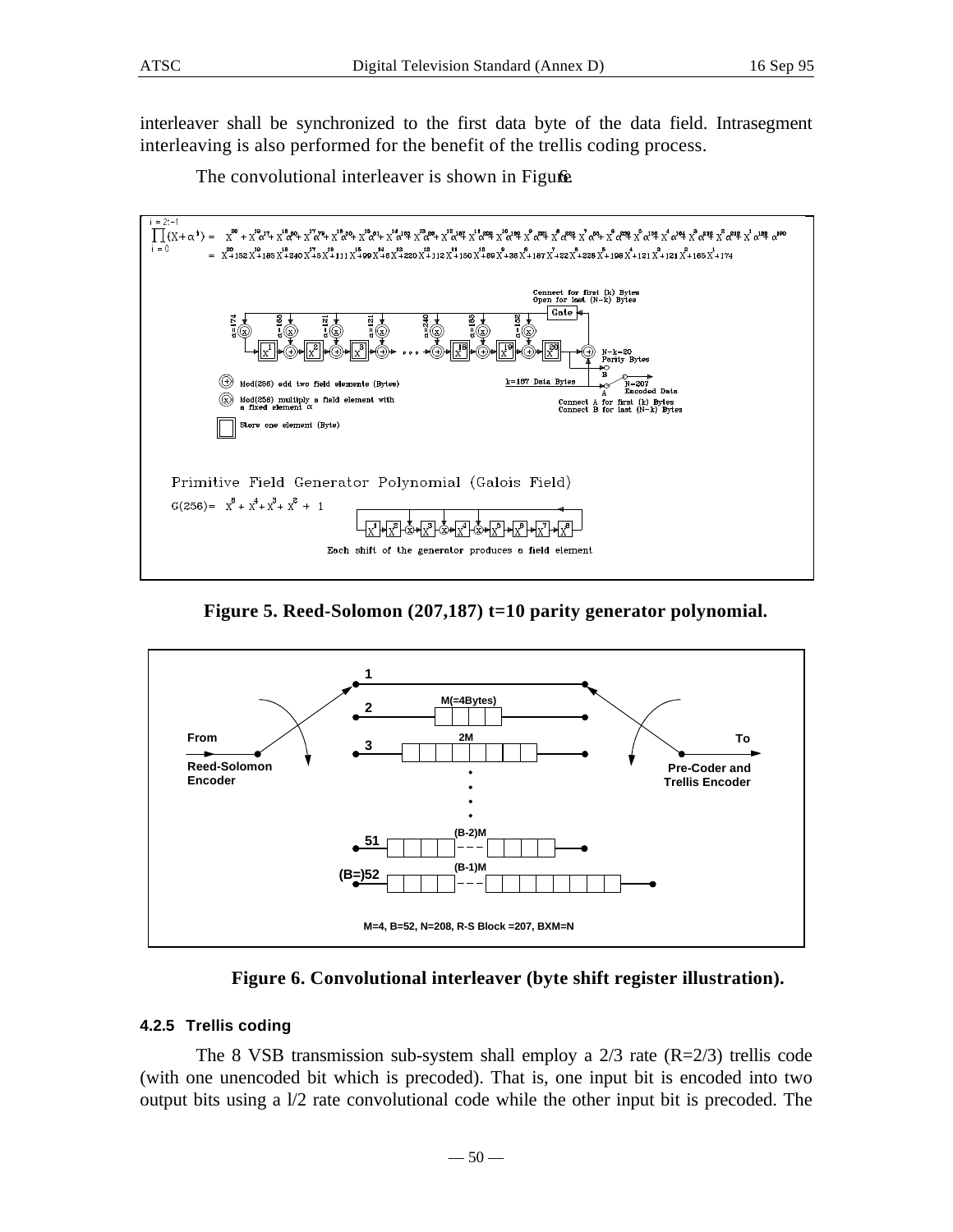interleaver shall be synchronized to the first data byte of the data field. Intrasegment interleaving is also performed for the benefit of the trellis coding process.



The convolutional interleaver is shown in Figure.

**Figure 5. Reed-Solomon (207,187) t=10 parity generator polynomial.**



**Figure 6. Convolutional interleaver (byte shift register illustration).**

#### **4.2.5 Trellis coding**

The 8 VSB transmission sub-system shall employ a  $2/3$  rate  $(R=2/3)$  trellis code (with one unencoded bit which is precoded). That is, one input bit is encoded into two output bits using a l/2 rate convolutional code while the other input bit is precoded. The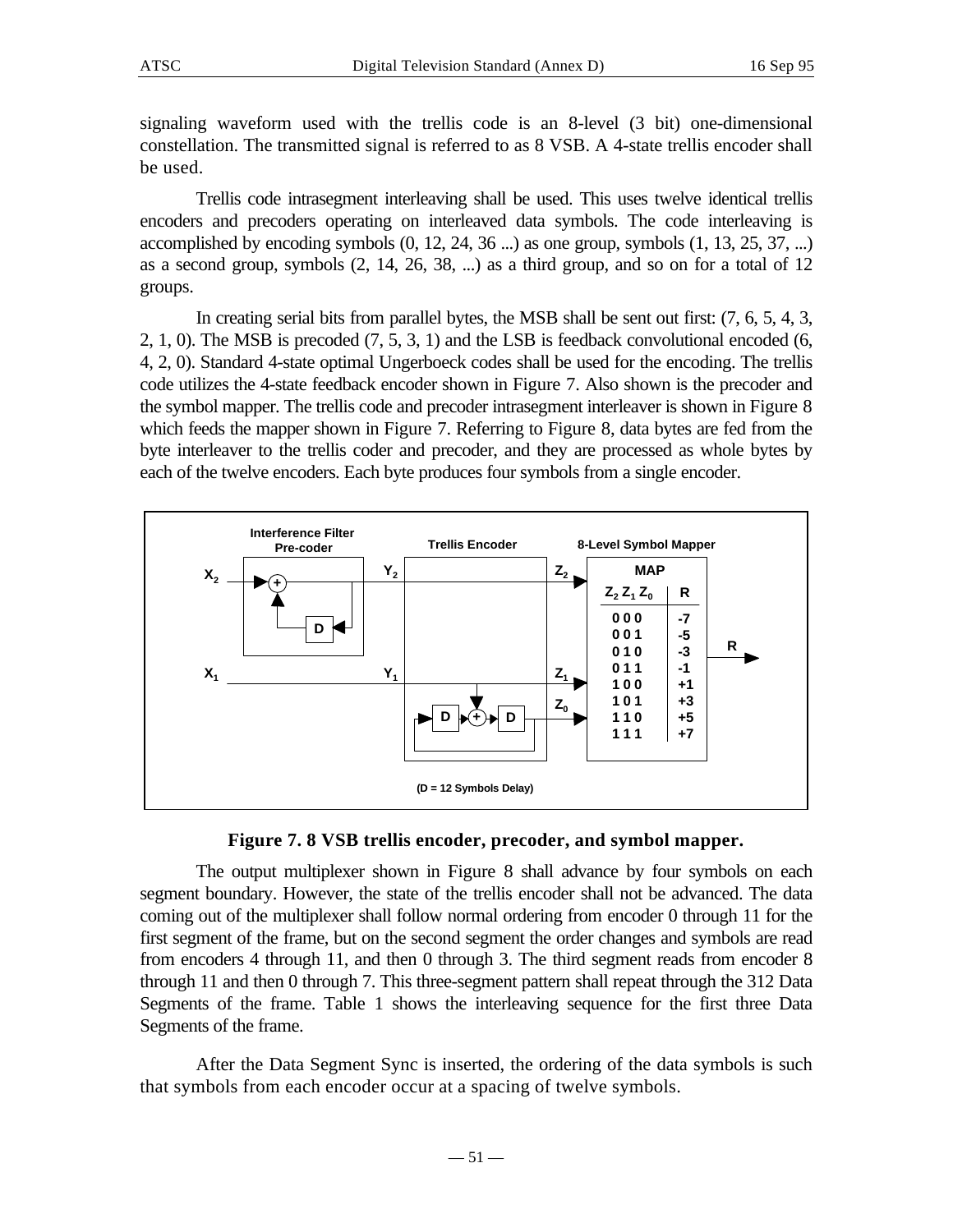signaling waveform used with the trellis code is an 8-level (3 bit) one-dimensional constellation. The transmitted signal is referred to as 8 VSB. A 4-state trellis encoder shall be used.

Trellis code intrasegment interleaving shall be used. This uses twelve identical trellis encoders and precoders operating on interleaved data symbols. The code interleaving is accomplished by encoding symbols  $(0, 12, 24, 36)$  ...) as one group, symbols  $(1, 13, 25, 37, ...)$ as a second group, symbols (2, 14, 26, 38, ...) as a third group, and so on for a total of 12 groups.

In creating serial bits from parallel bytes, the MSB shall be sent out first: (7, 6, 5, 4, 3, 2, 1, 0). The MSB is precoded (7, 5, 3, 1) and the LSB is feedback convolutional encoded (6, 4, 2, 0). Standard 4-state optimal Ungerboeck codes shall be used for the encoding. The trellis code utilizes the 4-state feedback encoder shown in Figure 7. Also shown is the precoder and the symbol mapper. The trellis code and precoder intrasegment interleaver is shown in Figure 8 which feeds the mapper shown in Figure 7. Referring to Figure 8, data bytes are fed from the byte interleaver to the trellis coder and precoder, and they are processed as whole bytes by each of the twelve encoders. Each byte produces four symbols from a single encoder.



**Figure 7. 8 VSB trellis encoder, precoder, and symbol mapper.**

The output multiplexer shown in Figure 8 shall advance by four symbols on each segment boundary. However, the state of the trellis encoder shall not be advanced. The data coming out of the multiplexer shall follow normal ordering from encoder 0 through 11 for the first segment of the frame, but on the second segment the order changes and symbols are read from encoders 4 through 11, and then 0 through 3. The third segment reads from encoder 8 through 11 and then 0 through 7. This three-segment pattern shall repeat through the 312 Data Segments of the frame. Table 1 shows the interleaving sequence for the first three Data Segments of the frame.

After the Data Segment Sync is inserted, the ordering of the data symbols is such that symbols from each encoder occur at a spacing of twelve symbols.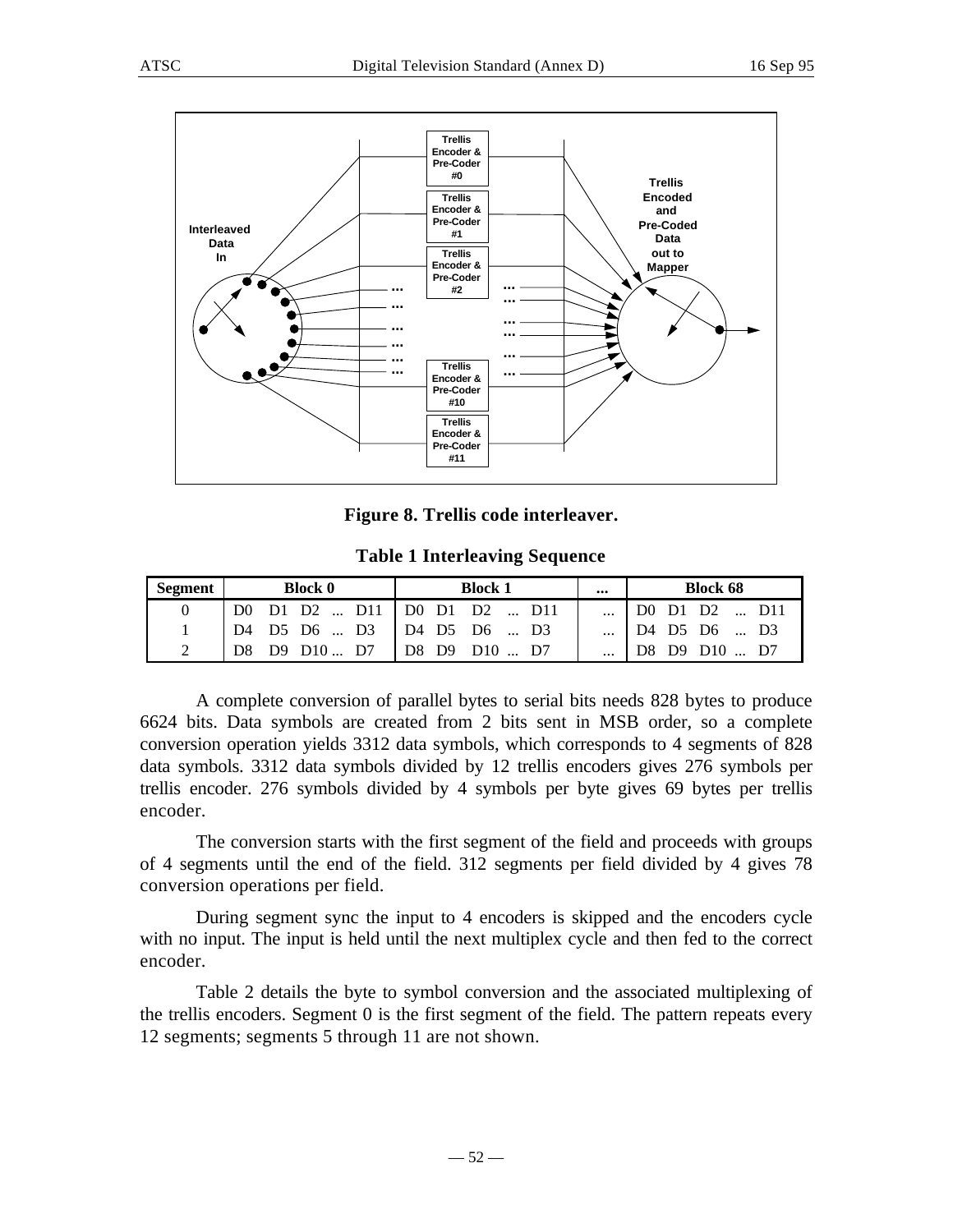

**Figure 8. Trellis code interleaver.**

**Table 1 Interleaving Sequence**

| <b>Segment</b> | Block 0                     | <b>Block 1</b>                | $\cdots$ | Block 68              |  |  |  |
|----------------|-----------------------------|-------------------------------|----------|-----------------------|--|--|--|
|                |                             | D0 D1 D2  D11   D0 D1 D2  D11 |          | $D0$ $D1$ $D2$ $D11$  |  |  |  |
|                | D4 D5 D6  D3   D4 D5 D6  D3 |                               |          | $D4$ $D5$ $D6$ $D3$   |  |  |  |
|                |                             | D8 D9 D10  D7   D8 D9 D10  D7 |          | $\vert$ D8 D9 D10  D7 |  |  |  |

A complete conversion of parallel bytes to serial bits needs 828 bytes to produce 6624 bits. Data symbols are created from 2 bits sent in MSB order, so a complete conversion operation yields 3312 data symbols, which corresponds to 4 segments of 828 data symbols. 3312 data symbols divided by 12 trellis encoders gives 276 symbols per trellis encoder. 276 symbols divided by 4 symbols per byte gives 69 bytes per trellis encoder.

The conversion starts with the first segment of the field and proceeds with groups of 4 segments until the end of the field. 312 segments per field divided by 4 gives 78 conversion operations per field.

During segment sync the input to 4 encoders is skipped and the encoders cycle with no input. The input is held until the next multiplex cycle and then fed to the correct encoder.

Table 2 details the byte to symbol conversion and the associated multiplexing of the trellis encoders. Segment 0 is the first segment of the field. The pattern repeats every 12 segments; segments 5 through 11 are not shown.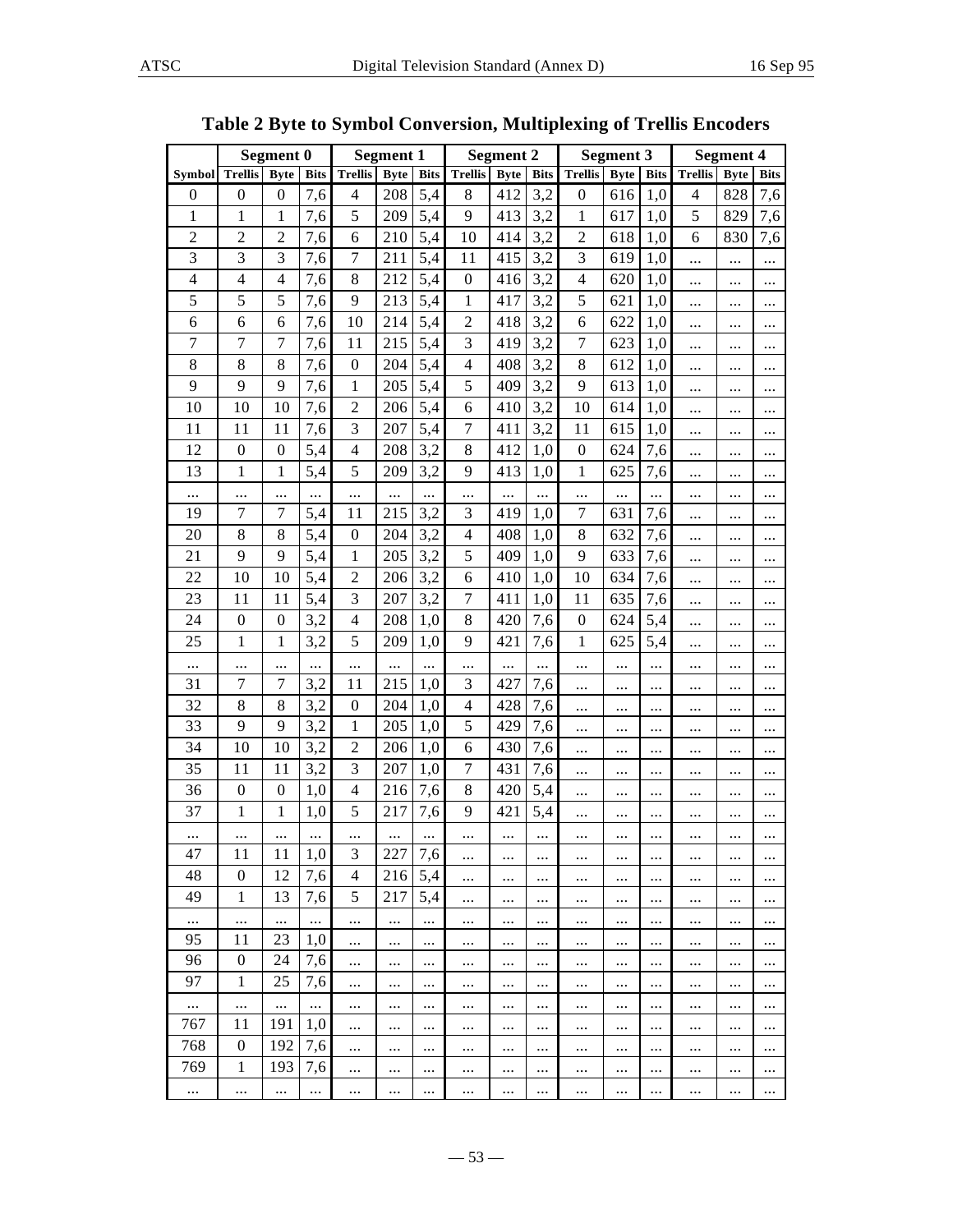|                       | Segment 0        |                          |             | <b>Segment 1</b> |             |             | <b>Segment 2</b> |             | Segment 3   |                  |             | <b>Segment 4</b> |                |             |             |
|-----------------------|------------------|--------------------------|-------------|------------------|-------------|-------------|------------------|-------------|-------------|------------------|-------------|------------------|----------------|-------------|-------------|
| <b>Symbol</b> Trellis |                  | <b>Byte</b>              | <b>Bits</b> | <b>Trellis</b>   | <b>Byte</b> | <b>Bits</b> | <b>Trellis</b>   | <b>Byte</b> | <b>Bits</b> | <b>Trellis</b>   | <b>Byte</b> | <b>Bits</b>      | <b>Trellis</b> | <b>Byte</b> | <b>Bits</b> |
| $\theta$              | $\boldsymbol{0}$ | $\boldsymbol{0}$         | 7,6         | $\overline{4}$   | 208         | 5,4         | $\,8\,$          | 412         | 3,2         | $\boldsymbol{0}$ | 616         | 1,0              | $\overline{4}$ | 828         | 7,6         |
| $\mathbf{1}$          | 1                | 1                        | 7,6         | 5                | 209         | 5,4         | 9                | 413         | 3,2         | 1                | 617         | 1,0              | 5              | 829         | 7,6         |
| $\overline{2}$        | $\overline{2}$   | 2                        | 7,6         | 6                | 210         | 5,4         | 10               | 414         | 3,2         | $\overline{2}$   | 618         | 1,0              | 6              | 830         | 7,6         |
| 3                     | 3                | 3                        | 7,6         | $\tau$           | 211         | 5,4         | 11               | 415         | 3,2         | 3                | 619         | 1,0              |                | $\cdots$    |             |
| $\overline{4}$        | 4                | $\overline{\mathcal{L}}$ | 7,6         | 8                | 212         | 5,4         | $\boldsymbol{0}$ | 416         | 3,2         | $\overline{4}$   | 620         | 1,0              |                |             |             |
| 5                     | 5                | 5                        | 7,6         | 9                | 213         | 5,4         | $\,1\,$          | 417         | 3,2         | 5                | 621         | 1,0              | $\cdots$       | $\cdots$    | $\cdots$    |
| 6                     | 6                | 6                        | 7,6         | 10               | 214         | 5,4         | $\overline{2}$   | 418         | 3,2         | 6                | 622         | 1,0              |                |             |             |
| $\tau$                | $\overline{7}$   | 7                        | 7,6         | 11               | 215         | 5,4         | 3                | 419         | 3,2         | 7                | 623         | 1,0              |                |             |             |
| $\,8$                 | 8                | 8                        | 7,6         | $\boldsymbol{0}$ | 204         | 5,4         | $\overline{4}$   | 408         | 3,2         | 8                | 612         | 1,0              |                |             |             |
| 9                     | 9                | 9                        | 7,6         | 1                | 205         | 5,4         | 5                | 409         | 3,2         | 9                | 613         | 1,0              |                | .           |             |
| 10                    | 10               | 10                       | 7,6         | $\overline{2}$   | 206         | 5,4         | 6                | 410         | 3,2         | 10               | 614         | 1,0              |                |             |             |
| 11                    | 11               | 11                       | 7,6         | 3                | 207         | 5,4         | $\overline{7}$   | 411         | 3,2         | 11               | 615         | 1,0              |                |             |             |
| 12                    | $\boldsymbol{0}$ | $\boldsymbol{0}$         | 5,4         | 4                | 208         | 3,2         | $\,8\,$          | 412         | 1,0         | $\boldsymbol{0}$ | 624         | 7,6              | $\cdots$       | $\cdots$    |             |
| 13                    | 1                | 1                        | 5,4         | 5                | 209         | 3,2         | 9                | 413         | 1,0         | $\mathbf{1}$     | 625         | 7,6              | $\cdots$       |             |             |
| $\cdots$              |                  |                          |             | $\cdots$         | $\ldots$    | $\cdots$    |                  |             |             |                  | $\cdots$    |                  |                |             |             |
| 19                    | 7                | 7                        | 5,4         | 11               | 215         | 3,2         | 3                | 419         | 1,0         | 7                | 631         | 7,6              |                |             |             |
| 20                    | 8                | 8                        | 5,4         | $\boldsymbol{0}$ | 204         | 3,2         | $\overline{4}$   | 408         | 1,0         | 8                | 632         | 7,6              | $\cdots$       |             |             |
| 21                    | 9                | 9                        | 5,4         | $\mathbf{1}$     | 205         | 3,2         | 5                | 409         | 1,0         | 9                | 633         | 7,6              |                |             |             |
| 22                    | 10               | 10                       | 5,4         | $\overline{2}$   | 206         | 3,2         | 6                | 410         | 1,0         | 10               | 634         | 7,6              |                |             | .           |
| 23                    | 11               | 11                       | 5,4         | 3                | 207         | 3,2         | $\overline{7}$   | 411         | 1,0         | 11               | 635         | 7,6              | $\cdots$       |             |             |
| 24                    | $\boldsymbol{0}$ | $\boldsymbol{0}$         | 3,2         | 4                | 208         | 1,0         | $\,8\,$          | 420         | 7,6         | $\boldsymbol{0}$ | 624         | 5,4              |                |             |             |
| 25                    | $\mathbf{1}$     | 1                        | 3,2         | 5                | 209         | 1,0         | 9                | 421         | 7,6         | 1                | 625         | 5,4              |                | $\cdots$    |             |
|                       |                  |                          | $\cdots$    | $\cdots$         | $\cdots$    | $\cdots$    | $\cdots$         |             | $\cdots$    |                  | $\cdots$    | $\cdots$         | $\cdots$       | $\cdots$    |             |
| 31                    | 7                | 7                        | 3,2         | 11               | 215         | 1,0         | 3                | 427         | 7,6         |                  |             | $\ldots$         | $\cdots$       | $\cdots$    | $\cdots$    |
| 32                    | $\,8$            | 8                        | 3,2         | $\boldsymbol{0}$ | 204         | 1,0         | $\overline{4}$   | 428         | 7,6         |                  | $\ddotsc$   |                  |                |             |             |
| 33                    | 9                | 9                        | 3,2         | $\mathbf{1}$     | 205         | 1,0         | 5                | 429         | 7,6         |                  |             |                  |                |             |             |
| 34                    | 10               | 10                       | 3,2         | $\overline{2}$   | 206         | 1,0         | 6                | 430         | 7,6         |                  |             | $\cdots$         |                |             |             |
| 35                    | 11               | 11                       | 3,2         | 3                | 207         | 1,0         | $\tau$           | 431         | 7,6         |                  |             |                  |                | .           |             |
| 36                    | $\boldsymbol{0}$ | $\boldsymbol{0}$         | 1,0         | $\overline{4}$   | 216         | 7,6         | $\,8\,$          | 420         | 5,4         |                  |             |                  |                | $\cdots$    |             |
| 37                    | $\mathbf{1}$     | 1                        | 1,0         | 5                | 217         | 7,6         | 9                | 421         | 5,4         |                  | $\ddotsc$   |                  |                |             |             |
|                       |                  |                          | $\cdots$    |                  | $\ldots$    |             | $\cdots$         | $\cdots$    |             |                  |             |                  |                |             |             |
| 47                    | 11               | 11                       | 1,0         | 3                | 227         | 7,6         | $\cdots$         | $\cdots$    | $\cdots$    | $\cdots$         | $\cdots$    | $\cdots$         | $\cdots$       | $\cdots$    |             |
| 48                    | $\boldsymbol{0}$ | 12                       | 7,6         | 4                | 216         | 5,4         | $\cdots$         | $\cdots$    | $\cdots$    |                  |             | $\ldots$         | $\cdots$       |             |             |
| 49                    | 1                | 13                       | 7,6         | 5                | 217         | 5,4         | $\cdots$         | $\cdots$    | $\cdots$    | $\cdots$         | $\cdots$    | $\cdots$         | $\cdots$       | $\cdots$    |             |
| $\ldots$              | $\ldots$         | $\cdots$                 | $\cdots$    | $\cdots$         | $\cdots$    | $\cdots$    | $\cdots$         | $\cdots$    | $\cdots$    |                  |             | $\cdots$         | $\cdots$       |             | $\cdots$    |
| 95                    | 11               | 23                       | 1,0         | $\cdots$         | $\cdots$    | $\cdots$    | $\cdots$         | $\cdots$    | $\cdots$    | $\cdots$         | $\cdots$    | $\cdots$         | $\cdots$       | $\cdots$    | $\cdots$    |
| 96                    | $\mathbf{0}$     | 24                       | 7,6         | $\cdots$         | $\ldots$    | $\ldots$    | $\cdots$         | $\cdots$    | $\cdots$    |                  |             | $\ldots$         | $\cdots$       |             | $\ddotsc$   |
| 97                    | 1                | 25                       | 7,6         | $\ldots$         | $\cdots$    | $\ldots$    | $\ldots$         | $\ldots$    | $\cdots$    | $\cdots$         | $\cdots$    | $\ldots$         | $\cdots$       | $\cdots$    | $\cdots$    |
| $\ldots$              | $\ldots$         | $\ldots$                 | $\cdots$    | $\cdots$         | $\ldots$    | $\ldots$    | $\cdots$         | $\cdots$    | $\cdots$    | $\cdots$         | $\cdots$    | $\cdots$         | $\cdots$       | $\cdots$    | $\cdots$    |
| 767                   | 11               | 191                      | 1,0         | $\cdots$         | $\ldots$    | $\ldots$    | $\cdots$         | $\cdots$    | $\cdots$    | $\cdots$         | $\cdots$    | $\cdots$         | $\ldots$       | $\cdots$    | $\cdots$    |
| 768                   | $\mathbf{0}$     | 192                      | 7,6         | $\cdots$         | $\ldots$    | $\ldots$    | $\cdots$         | $\cdots$    | $\cdots$    | $\cdots$         | $\cdots$    | $\cdots$         | $\cdots$       | $\cdots$    | $\cdots$    |
| 769                   | 1                | 193                      | 7,6         | $\cdots$         | $\ldots$    | $\ldots$    | $\cdots$         | $\cdots$    | $\ddotsc$   |                  | $\cdots$    | $\cdots$         | $\cdots$       |             |             |
| $\ldots$              | $\cdots$         |                          | $\cdots$    | $\cdots$         | $\cdots$    | $\cdots$    | $\cdots$         | $\cdots$    | $\cdots$    | $\cdots$         | $\cdots$    | $\cdots$         | $\cdots$       | $\cdots$    |             |

## **Table 2 Byte to Symbol Conversion, Multiplexing of Trellis Encoders**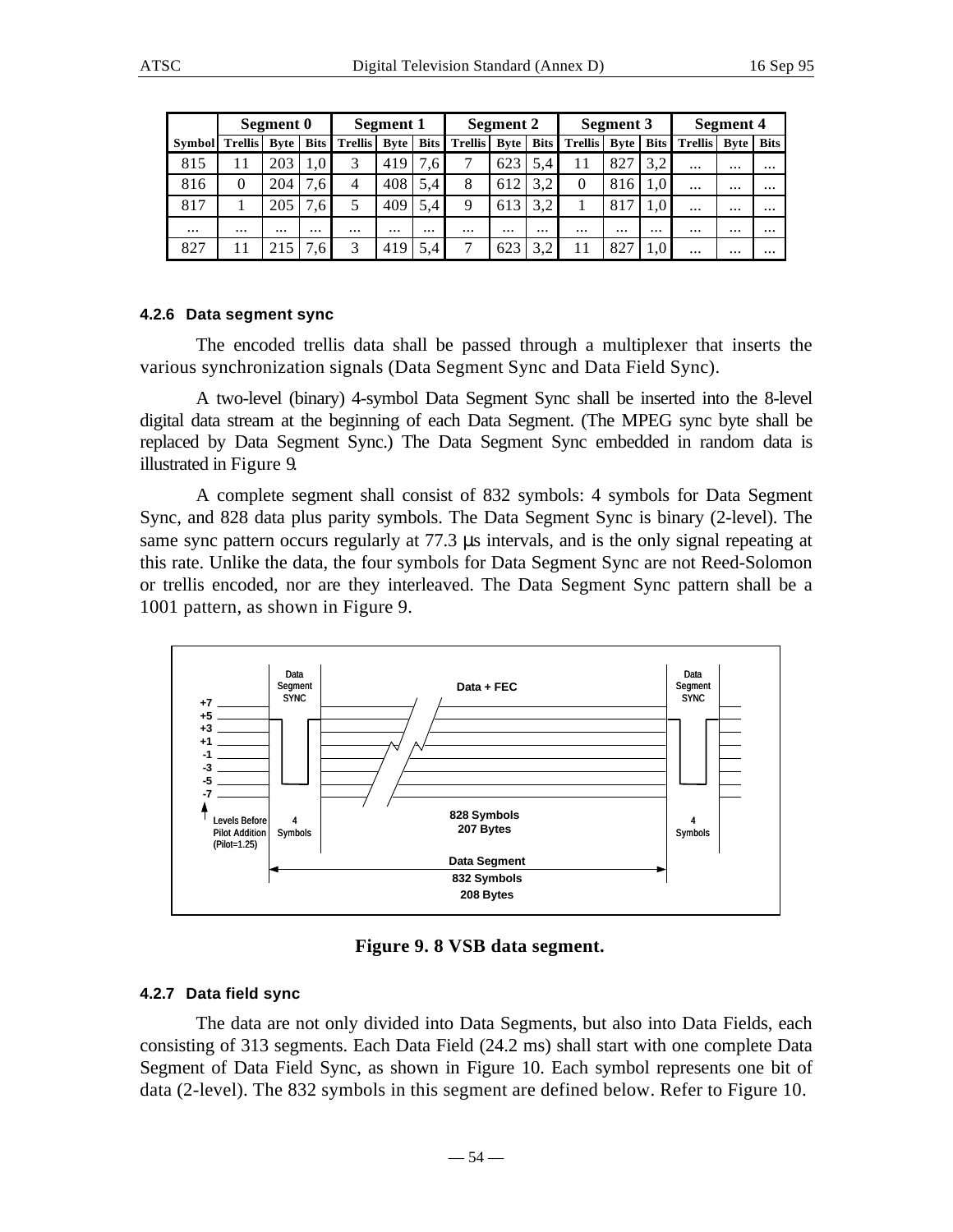|          | <b>Segment 1</b><br>Segment 0 |             |                 |                | <b>Segment 2</b> |              |                | Segment 3 |          |                              | <b>Segment 4</b> |                    |                |             |             |
|----------|-------------------------------|-------------|-----------------|----------------|------------------|--------------|----------------|-----------|----------|------------------------------|------------------|--------------------|----------------|-------------|-------------|
| Symbol   | <b>Trellis</b>                | <b>Byte</b> | <b>Bits</b>     | <b>Trellis</b> | <b>Byte</b>      | <b>Bits</b>  | <b>Trellis</b> |           |          | <b>Byte   Bits   Trellis</b> | <b>Byte</b>      | <b>Bits</b>        | <b>Trellis</b> | <b>Byte</b> | <b>Bits</b> |
| 815      |                               | 203         | $\Omega$ .      |                | 419              | $.6^{\circ}$ |                | 623       | 5.4      |                              | 827              | 3.2                | $\cdots$       | $\cdots$    | $\cdots$    |
| 816      | $\theta$                      | 204         | $.6^{\circ}$    | 4              | 408              | 5.4          | 8              | 612       | 3.2      | 0                            | 81<br>6          | 1,0                | $\cdots$       | $\cdots$    | $\cdots$    |
| 817      |                               | 205         | .6 <sup>1</sup> |                | 409              | 5.4          | 9              | 613       | 3.2      |                              | 81               | 1.0                | $\cdots$       | $\cdots$    | $\cdots$    |
| $\cdots$ | $\cdots$                      | $\cdots$    | $\cdots$        | $\cdots$       | $\cdots$         | $\cdots$     | $\cdots$       | $\cdots$  | $\cdots$ | $\cdots$                     | $\cdots$         | $\cdots$           | $\cdots$       | $\cdots$    | $\cdots$    |
| 827      |                               | 215         | $.6^{\circ}$    |                | 419              | 5.4          | ⇁              | 623       | 3.2      | 11                           | 82               | $1,0$ <sup>1</sup> | $\cdots$       | $\cdots$    | $\cdots$    |

#### **4.2.6 Data segment sync**

The encoded trellis data shall be passed through a multiplexer that inserts the various synchronization signals (Data Segment Sync and Data Field Sync).

A two-level (binary) 4-symbol Data Segment Sync shall be inserted into the 8-level digital data stream at the beginning of each Data Segment. (The MPEG sync byte shall be replaced by Data Segment Sync.) The Data Segment Sync embedded in random data is illustrated in Figure 9.

A complete segment shall consist of 832 symbols: 4 symbols for Data Segment Sync, and 828 data plus parity symbols. The Data Segment Sync is binary (2-level). The same sync pattern occurs regularly at 77.3 μs intervals, and is the only signal repeating at this rate. Unlike the data, the four symbols for Data Segment Sync are not Reed-Solomon or trellis encoded, nor are they interleaved. The Data Segment Sync pattern shall be a 1001 pattern, as shown in Figure 9.



**Figure 9. 8 VSB data segment.**

#### **4.2.7 Data field sync**

The data are not only divided into Data Segments, but also into Data Fields, each consisting of 313 segments. Each Data Field (24.2 ms) shall start with one complete Data Segment of Data Field Sync, as shown in Figure 10. Each symbol represents one bit of data (2-level). The 832 symbols in this segment are defined below. Refer to Figure 10.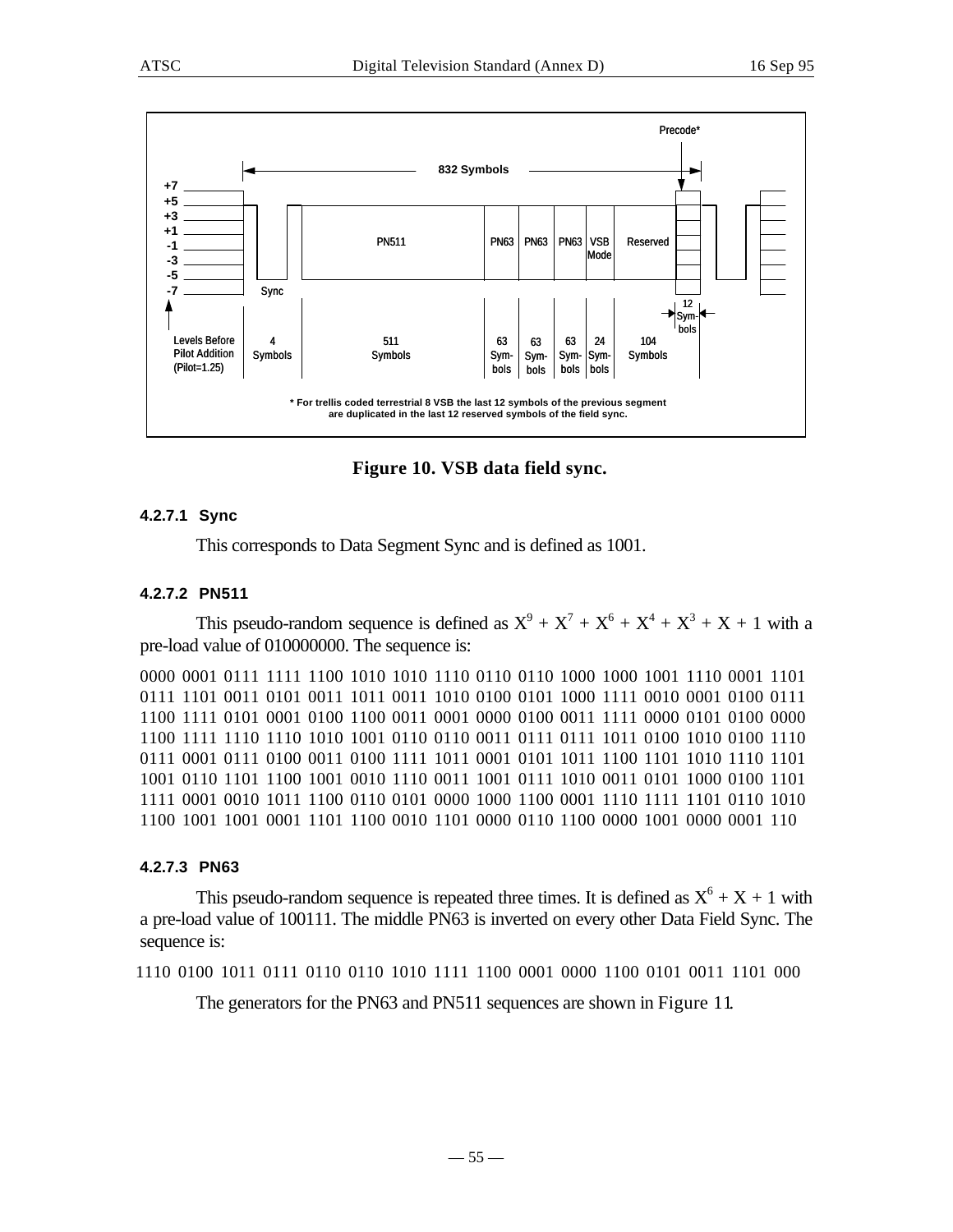



**Figure 10. VSB data field sync.**

#### **4.2.7.1 Sync**

This corresponds to Data Segment Sync and is defined as 1001.

#### **4.2.7.2 PN511**

This pseudo-random sequence is defined as  $X^9 + X^7 + X^6 + X^4 + X^3 + X + 1$  with a pre-load value of 010000000. The sequence is:

 0001 0111 1111 1100 1010 1010 1110 0110 0110 1000 1000 1001 1110 0001 1101 1101 0011 0101 0011 1011 0011 1010 0100 0101 1000 1111 0010 0001 0100 0111 1111 0101 0001 0100 1100 0011 0001 0000 0100 0011 1111 0000 0101 0100 0000 1111 1110 1110 1010 1001 0110 0110 0011 0111 0111 1011 0100 1010 0100 1110 0001 0111 0100 0011 0100 1111 1011 0001 0101 1011 1100 1101 1010 1110 1101 0110 1101 1100 1001 0010 1110 0011 1001 0111 1010 0011 0101 1000 0100 1101 0001 0010 1011 1100 0110 0101 0000 1000 1100 0001 1110 1111 1101 0110 1010 1001 1001 0001 1101 1100 0010 1101 0000 0110 1100 0000 1001 0000 0001 110

#### **4.2.7.3 PN63**

This pseudo-random sequence is repeated three times. It is defined as  $X^6 + X + 1$  with a pre-load value of 100111. The middle PN63 is inverted on every other Data Field Sync. The sequence is:

1110 0100 1011 0111 0110 0110 1010 1111 1100 0001 0000 1100 0101 0011 1101 000

The generators for the PN63 and PN511 sequences are shown in Figure 11.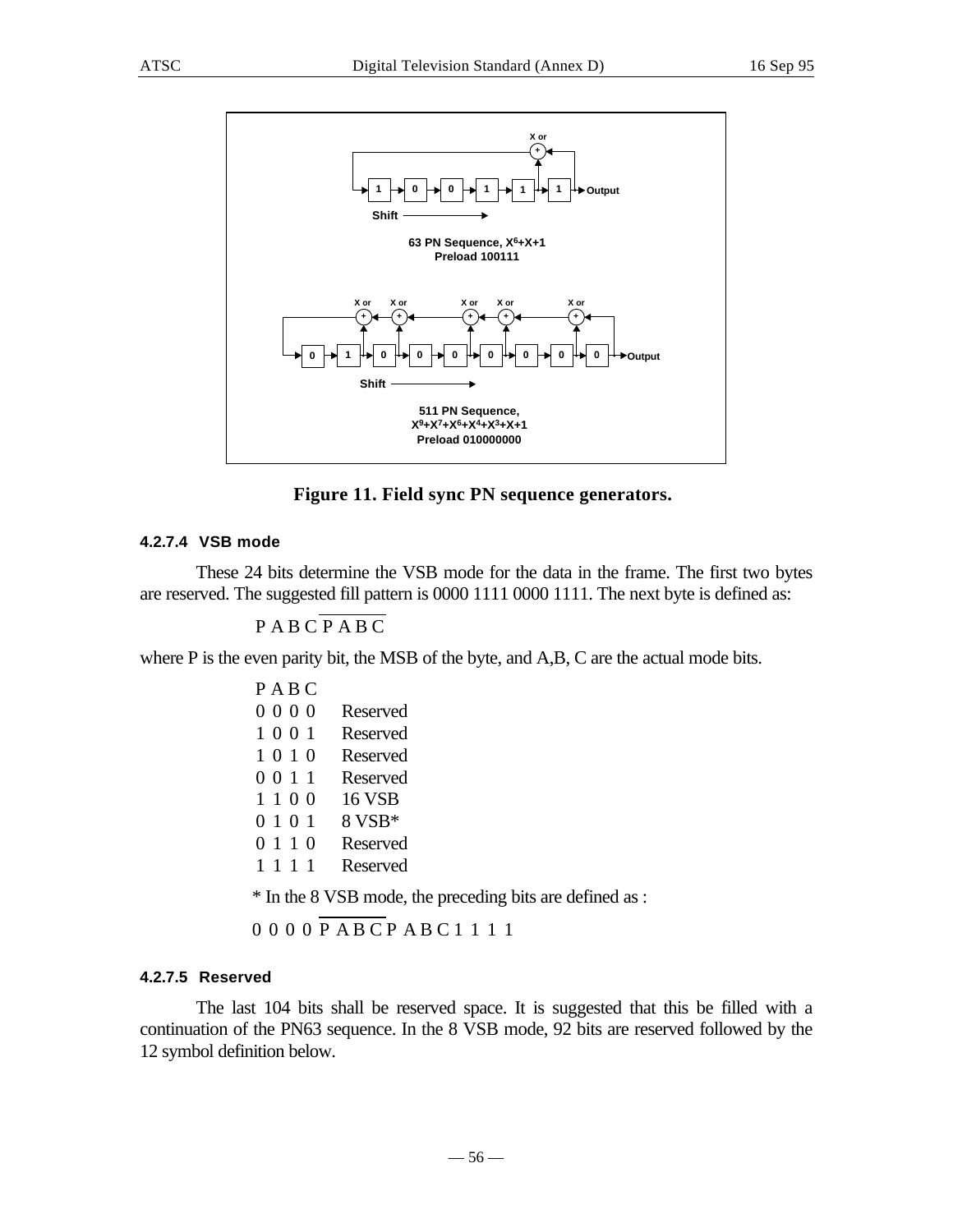

**Figure 11. Field sync PN sequence generators.**

#### **4.2.7.4 VSB mode**

These 24 bits determine the VSB mode for the data in the frame. The first two bytes are reserved. The suggested fill pattern is 0000 1111 0000 1111. The next byte is defined as:

## P A B C P A B C

where P is the even parity bit, the MSB of the byte, and A,B, C are the actual mode bits.

| $P$ A R C |               |
|-----------|---------------|
| 0000      | Reserved      |
| 1001      | Reserved      |
| 1010      | Reserved      |
| 0011      | Reserved      |
| 1100      | <b>16 VSB</b> |
| 0101      | 8 VSB*        |
| 0110      | Reserved      |
| 1 1 1 1   | Reserved      |
|           |               |

\* In the 8 VSB mode, the preceding bits are defined as :

```
0 0 0 0 P A B C P A B C 1 1 1 1
```
#### **4.2.7.5 Reserved**

The last 104 bits shall be reserved space. It is suggested that this be filled with a continuation of the PN63 sequence. In the 8 VSB mode, 92 bits are reserved followed by the 12 symbol definition below.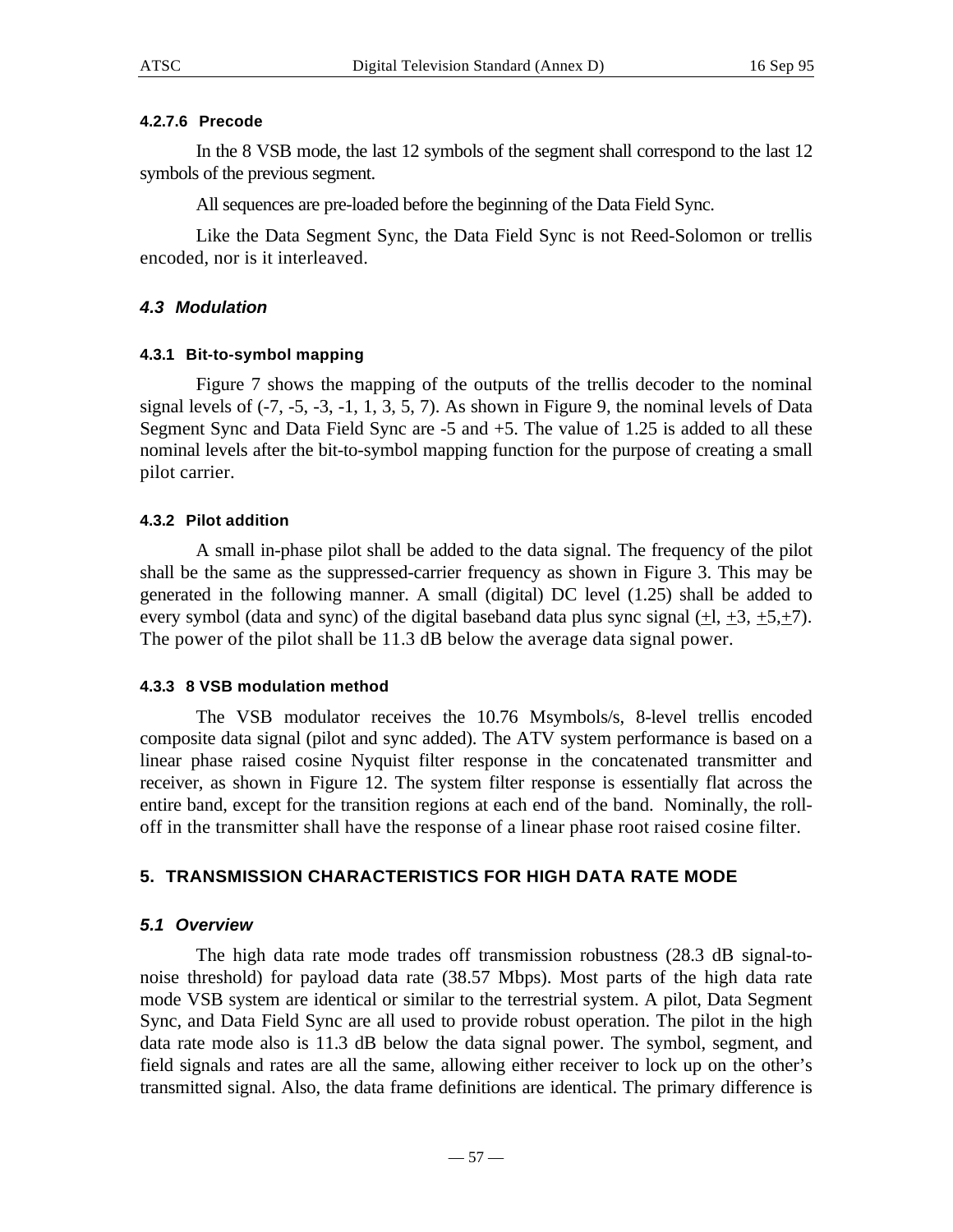#### **4.2.7.6 Precode**

In the 8 VSB mode, the last 12 symbols of the segment shall correspond to the last 12 symbols of the previous segment.

All sequences are pre-loaded before the beginning of the Data Field Sync.

Like the Data Segment Sync, the Data Field Sync is not Reed-Solomon or trellis encoded, nor is it interleaved.

## *4.3 Modulation*

#### **4.3.1 Bit-to-symbol mapping**

Figure 7 shows the mapping of the outputs of the trellis decoder to the nominal signal levels of  $(-7, -5, -3, -1, 1, 3, 5, 7)$ . As shown in Figure 9, the nominal levels of Data Segment Sync and Data Field Sync are -5 and +5. The value of 1.25 is added to all these nominal levels after the bit-to-symbol mapping function for the purpose of creating a small pilot carrier.

## **4.3.2 Pilot addition**

A small in-phase pilot shall be added to the data signal. The frequency of the pilot shall be the same as the suppressed-carrier frequency as shown in Figure 3. This may be generated in the following manner. A small (digital) DC level (1.25) shall be added to every symbol (data and sync) of the digital baseband data plus sync signal  $(+1, +3, +5, +7)$ . The power of the pilot shall be 11.3 dB below the average data signal power.

#### **4.3.3 8 VSB modulation method**

The VSB modulator receives the 10.76 Msymbols/s, 8-level trellis encoded composite data signal (pilot and sync added). The ATV system performance is based on a linear phase raised cosine Nyquist filter response in the concatenated transmitter and receiver, as shown in Figure 12. The system filter response is essentially flat across the entire band, except for the transition regions at each end of the band. Nominally, the rolloff in the transmitter shall have the response of a linear phase root raised cosine filter.

## **5. TRANSMISSION CHARACTERISTICS FOR HIGH DATA RATE MODE**

## *5.1 Overview*

The high data rate mode trades off transmission robustness (28.3 dB signal-tonoise threshold) for payload data rate (38.57 Mbps). Most parts of the high data rate mode VSB system are identical or similar to the terrestrial system. A pilot, Data Segment Sync, and Data Field Sync are all used to provide robust operation. The pilot in the high data rate mode also is 11.3 dB below the data signal power. The symbol, segment, and field signals and rates are all the same, allowing either receiver to lock up on the other's transmitted signal. Also, the data frame definitions are identical. The primary difference is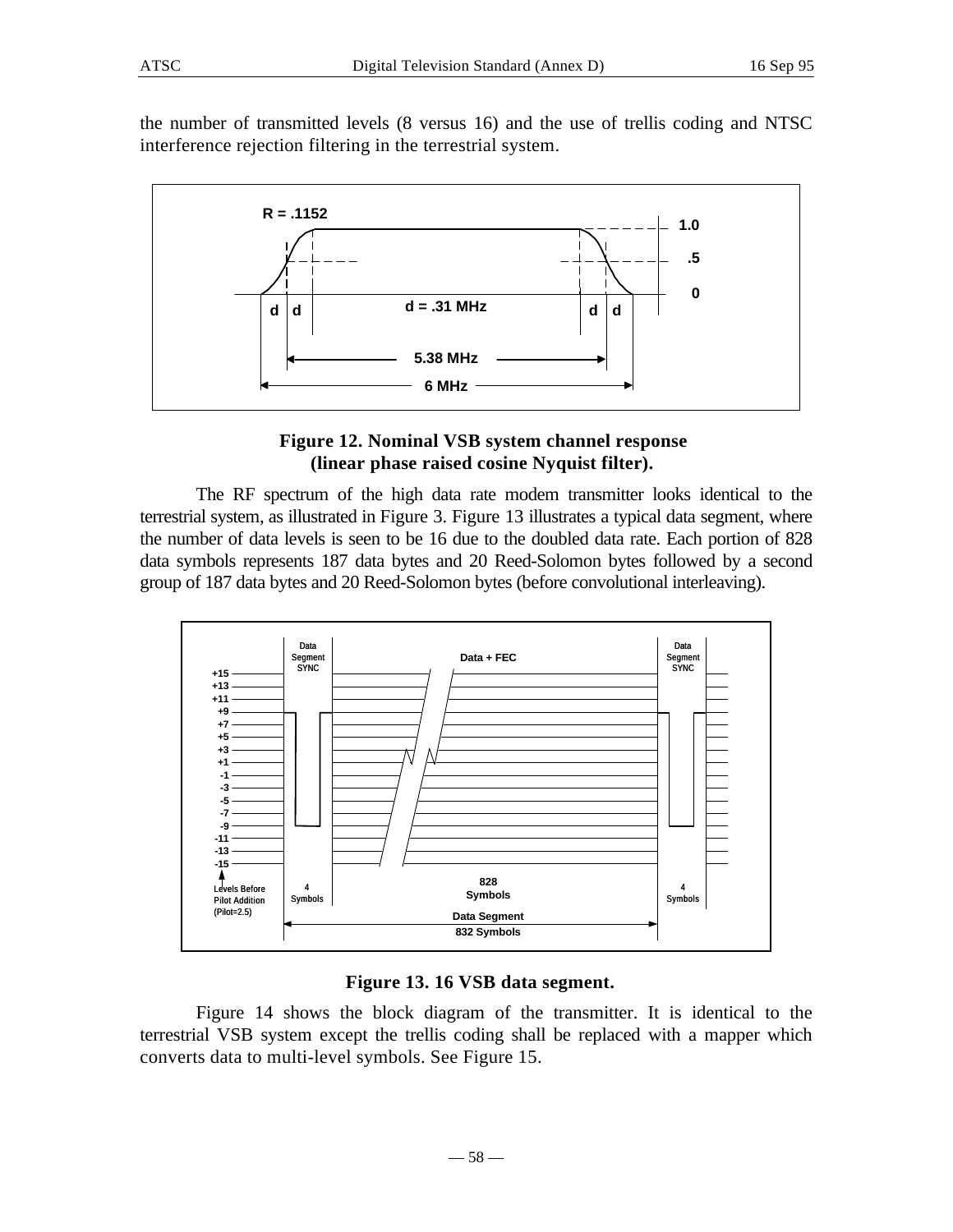the number of transmitted levels (8 versus 16) and the use of trellis coding and NTSC interference rejection filtering in the terrestrial system.



#### **Figure 12. Nominal VSB system channel response (linear phase raised cosine Nyquist filter).**

The RF spectrum of the high data rate modem transmitter looks identical to the terrestrial system, as illustrated in Figure 3. Figure 13 illustrates a typical data segment, where the number of data levels is seen to be 16 due to the doubled data rate. Each portion of 828 data symbols represents 187 data bytes and 20 Reed-Solomon bytes followed by a second group of 187 data bytes and 20 Reed-Solomon bytes (before convolutional interleaving).



#### **Figure 13. 16 VSB data segment.**

Figure 14 shows the block diagram of the transmitter. It is identical to the terrestrial VSB system except the trellis coding shall be replaced with a mapper which converts data to multi-level symbols. See Figure 15.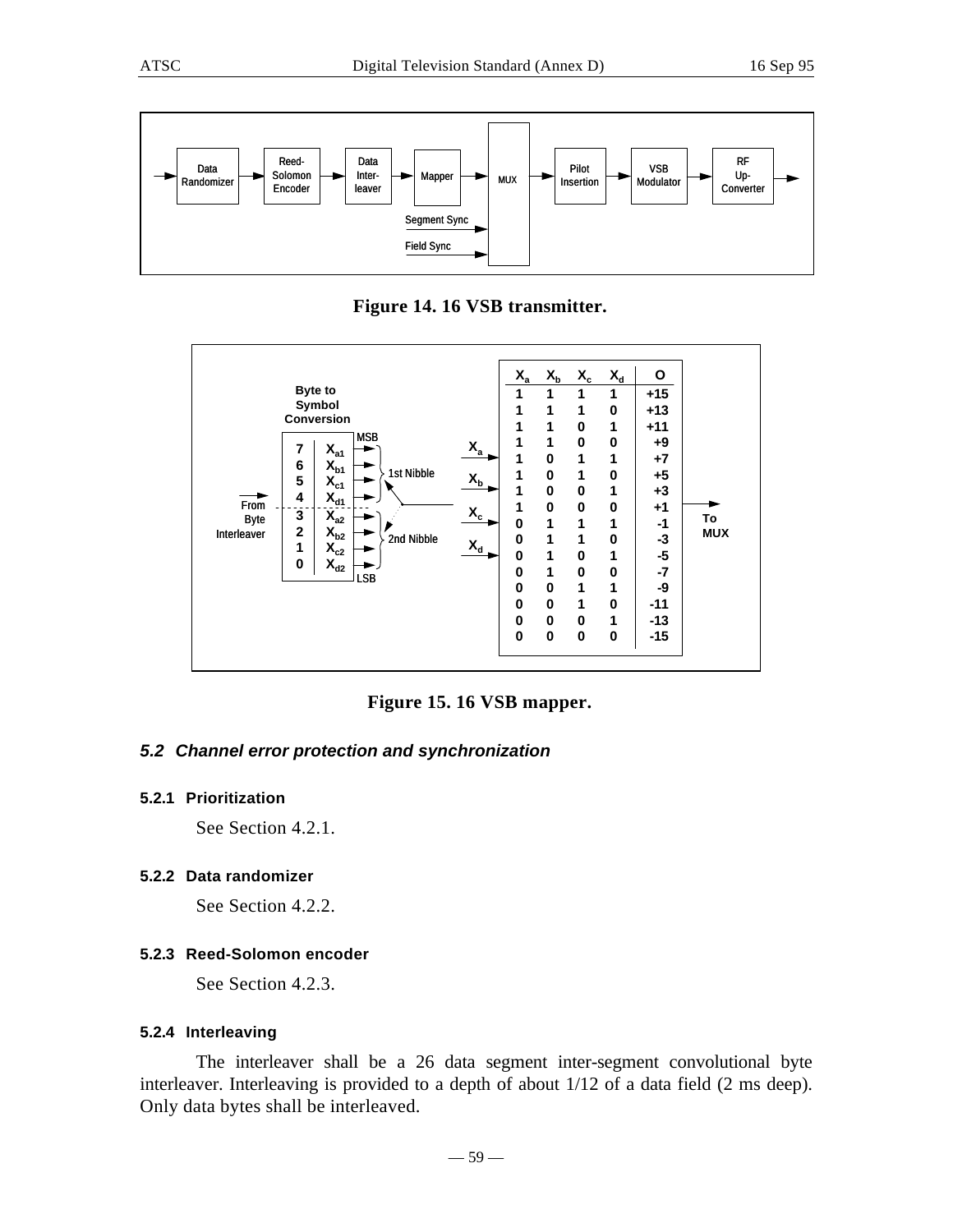



**Figure 14. 16 VSB transmitter.**



**Figure 15. 16 VSB mapper.**

#### *5.2 Channel error protection and synchronization*

#### **5.2.1 Prioritization**

See Section 4.2.1.

#### **5.2.2 Data randomizer**

See Section 4.2.2.

#### **5.2.3 Reed-Solomon encoder**

See Section 4.2.3.

#### **5.2.4 Interleaving**

The interleaver shall be a 26 data segment inter-segment convolutional byte interleaver. Interleaving is provided to a depth of about 1/12 of a data field (2 ms deep). Only data bytes shall be interleaved.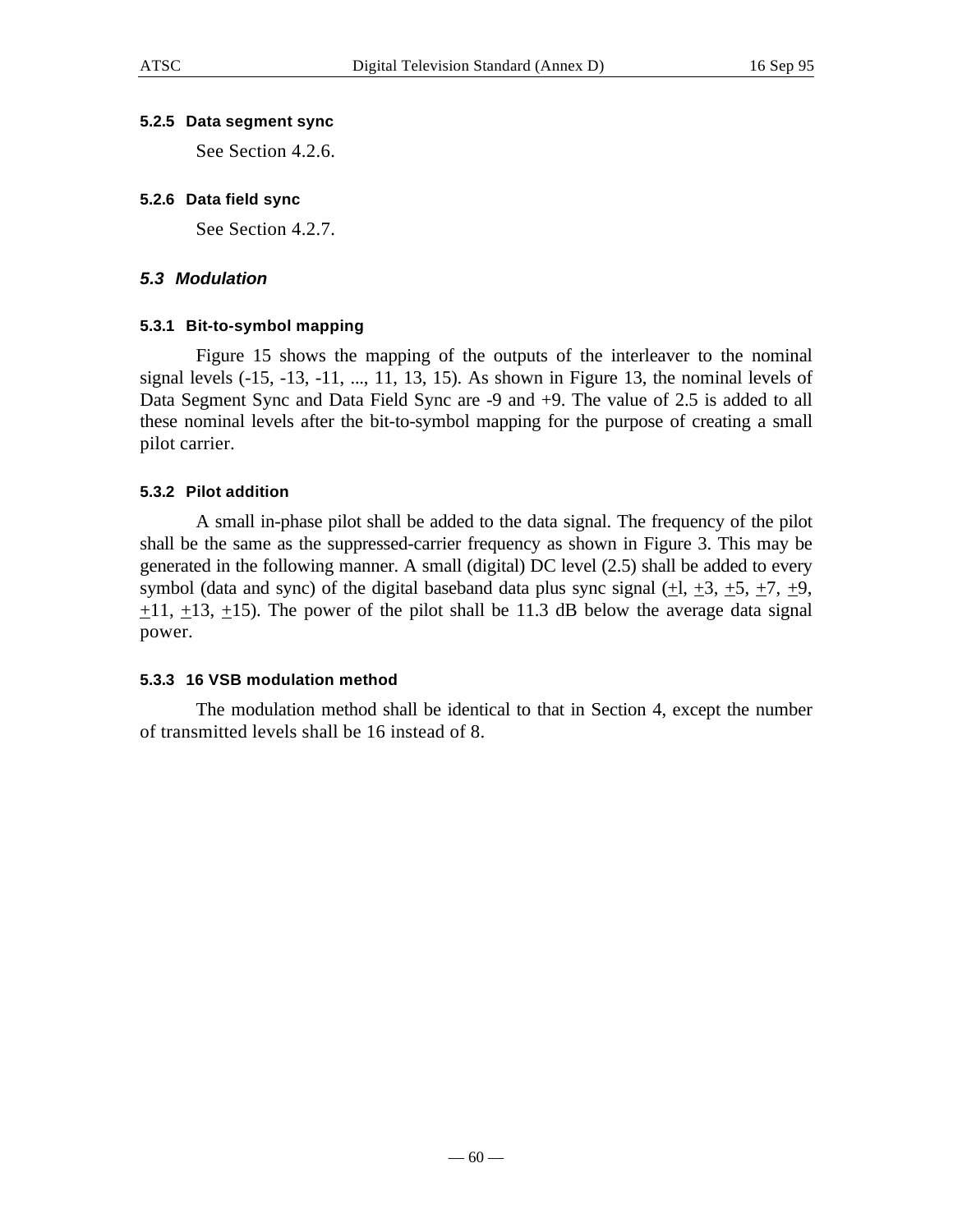#### **5.2.5 Data segment sync**

See Section 4.2.6.

#### **5.2.6 Data field sync**

See Section 4.2.7.

#### *5.3 Modulation*

#### **5.3.1 Bit-to-symbol mapping**

Figure 15 shows the mapping of the outputs of the interleaver to the nominal signal levels  $(-15, -13, -11, \ldots, 11, 13, 15)$ . As shown in Figure 13, the nominal levels of Data Segment Sync and Data Field Sync are -9 and +9. The value of 2.5 is added to all these nominal levels after the bit-to-symbol mapping for the purpose of creating a small pilot carrier.

#### **5.3.2 Pilot addition**

A small in-phase pilot shall be added to the data signal. The frequency of the pilot shall be the same as the suppressed-carrier frequency as shown in Figure 3. This may be generated in the following manner. A small (digital) DC level (2.5) shall be added to every symbol (data and sync) of the digital baseband data plus sync signal  $(+1, +3, +5, +7, +9,$  $+11$ ,  $+13$ ,  $+15$ ). The power of the pilot shall be 11.3 dB below the average data signal power.

#### **5.3.3 16 VSB modulation method**

The modulation method shall be identical to that in Section 4, except the number of transmitted levels shall be 16 instead of 8.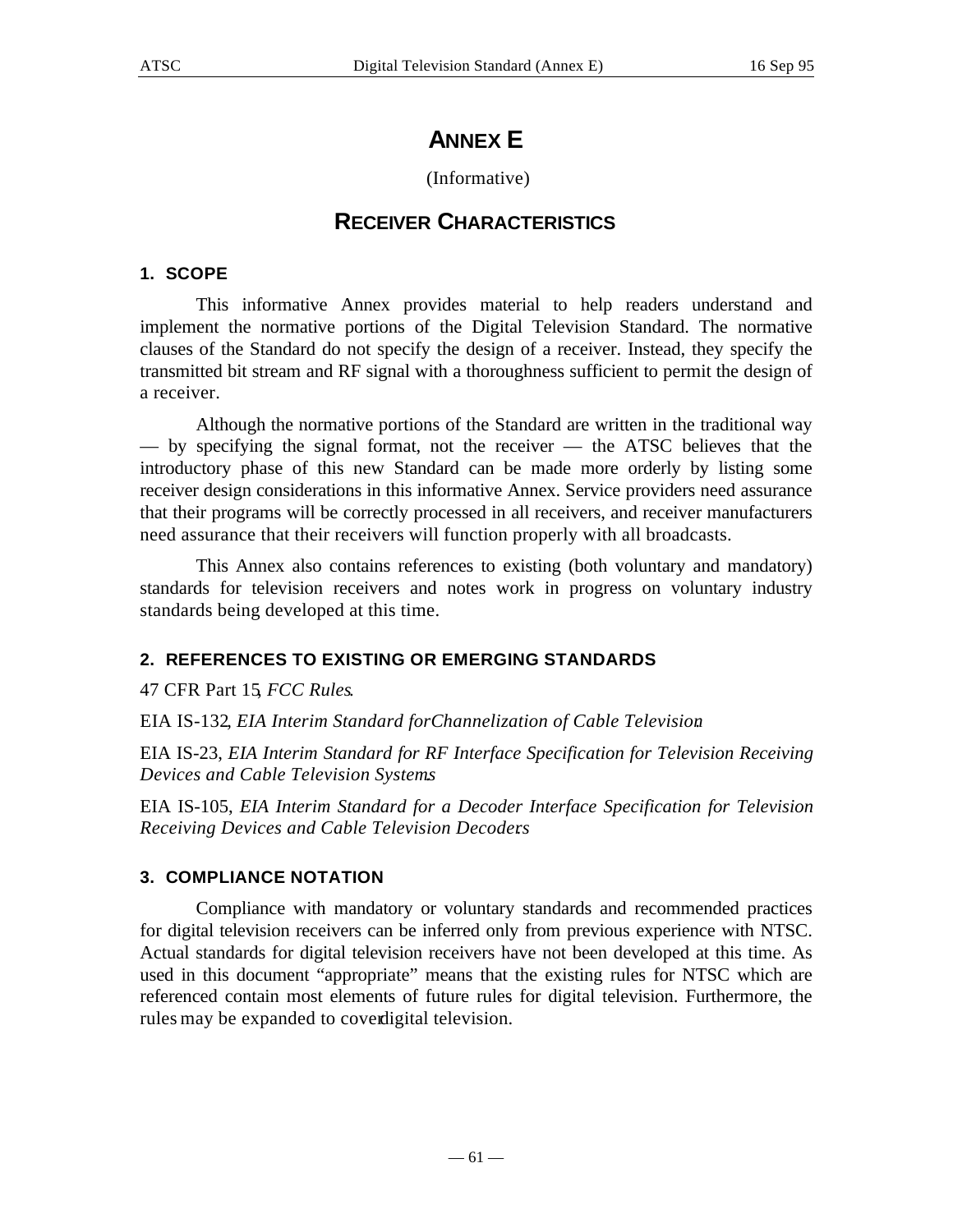# **ANNEX E**

### (Informative)

## **RECEIVER CHARACTERISTICS**

#### **1. SCOPE**

This informative Annex provides material to help readers understand and implement the normative portions of the Digital Television Standard. The normative clauses of the Standard do not specify the design of a receiver. Instead, they specify the transmitted bit stream and RF signal with a thoroughness sufficient to permit the design of a receiver.

Although the normative portions of the Standard are written in the traditional way — by specifying the signal format, not the receiver — the ATSC believes that the introductory phase of this new Standard can be made more orderly by listing some receiver design considerations in this informative Annex. Service providers need assurance that their programs will be correctly processed in all receivers, and receiver manufacturers need assurance that their receivers will function properly with all broadcasts.

This Annex also contains references to existing (both voluntary and mandatory) standards for television receivers and notes work in progress on voluntary industry standards being developed at this time.

#### **2. REFERENCES TO EXISTING OR EMERGING STANDARDS**

47 CFR Part 15, *FCC Rules*.

EIA IS-132, *EIA Interim Standard for Channelization of Cable Television*.

EIA IS-23, *EIA Interim Standard for RF Interface Specification for Television Receiving Devices and Cable Television Systems*.

EIA IS-105, *EIA Interim Standard for a Decoder Interface Specification for Television Receiving Devices and Cable Television Decoders*.

#### **3. COMPLIANCE NOTATION**

Compliance with mandatory or voluntary standards and recommended practices for digital television receivers can be inferred only from previous experience with NTSC. Actual standards for digital television receivers have not been developed at this time. As used in this document "appropriate" means that the existing rules for NTSC which are referenced contain most elements of future rules for digital television. Furthermore, the rules may be expanded to cover digital television.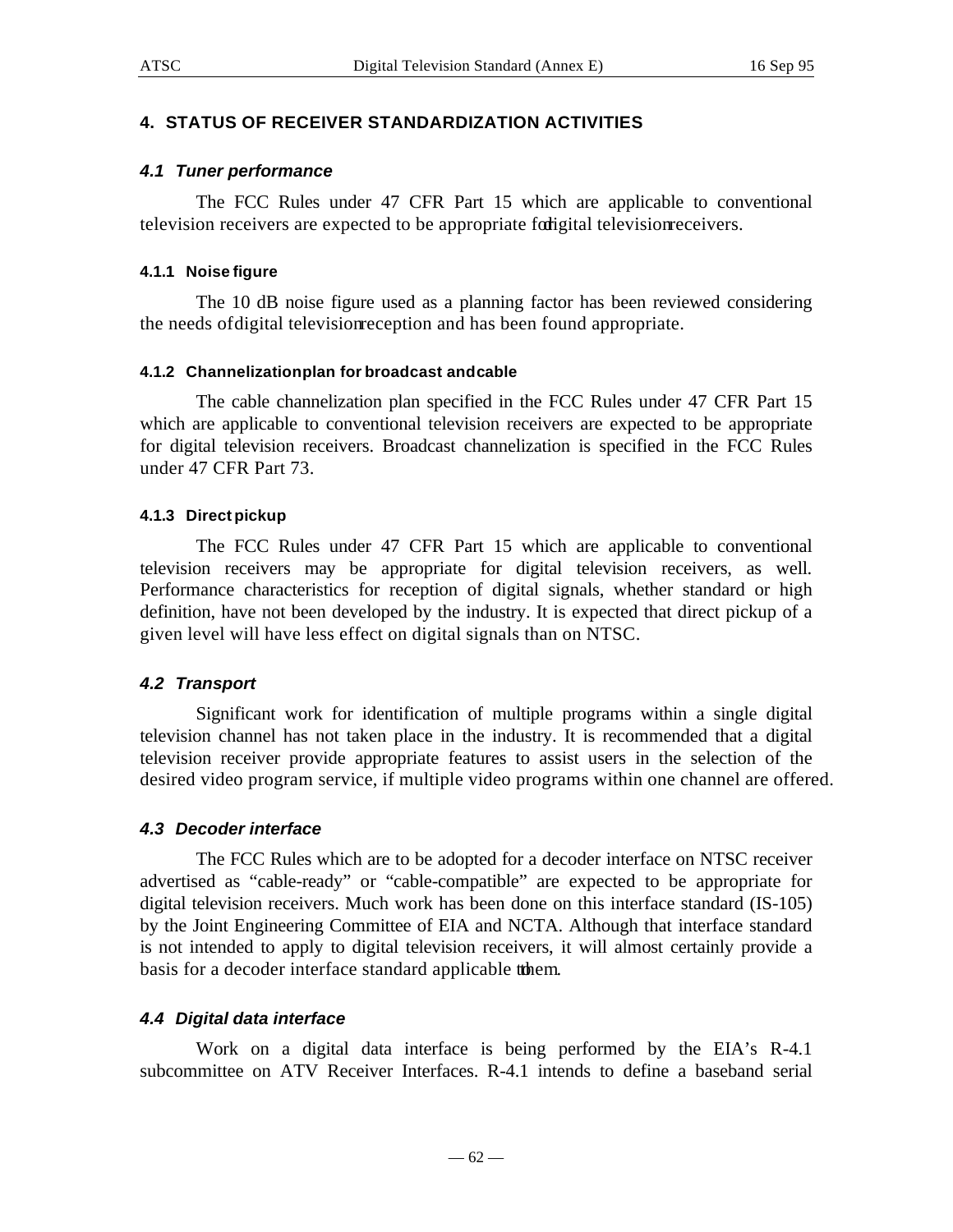## **4. STATUS OF RECEIVER STANDARDIZATION ACTIVITIES**

#### *4.1 Tuner performance*

The FCC Rules under 47 CFR Part 15 which are applicable to conventional television receivers are expected to be appropriate for digital television receivers.

### **4.1.1 Noise figure**

The 10 dB noise figure used as a planning factor has been reviewed considering the needs of digital television reception and has been found appropriate.

## **4.1.2 Channelization plan for broadcast and cable**

The cable channelization plan specified in the FCC Rules under 47 CFR Part 15 which are applicable to conventional television receivers are expected to be appropriate for digital television receivers. Broadcast channelization is specified in the FCC Rules under 47 CFR Part 73.

## **4.1.3 Direct pickup**

The FCC Rules under 47 CFR Part 15 which are applicable to conventional television receivers may be appropriate for digital television receivers, as well. Performance characteristics for reception of digital signals, whether standard or high definition, have not been developed by the industry. It is expected that direct pickup of a given level will have less effect on digital signals than on NTSC.

## *4.2 Transport*

Significant work for identification of multiple programs within a single digital television channel has not taken place in the industry. It is recommended that a digital television receiver provide appropriate features to assist users in the selection of the desired video program service, if multiple video programs within one channel are offered.

## *4.3 Decoder interface*

The FCC Rules which are to be adopted for a decoder interface on NTSC receiver advertised as "cable-ready" or "cable-compatible" are expected to be appropriate for digital television receivers. Much work has been done on this interface standard (IS-105) by the Joint Engineering Committee of EIA and NCTA. Although that interface standard is not intended to apply to digital television receivers, it will almost certainly provide a basis for a decoder interface standard applicable tthem.

## *4.4 Digital data interface*

Work on a digital data interface is being performed by the EIA's R-4.1 subcommittee on ATV Receiver Interfaces. R-4.1 intends to define a baseband serial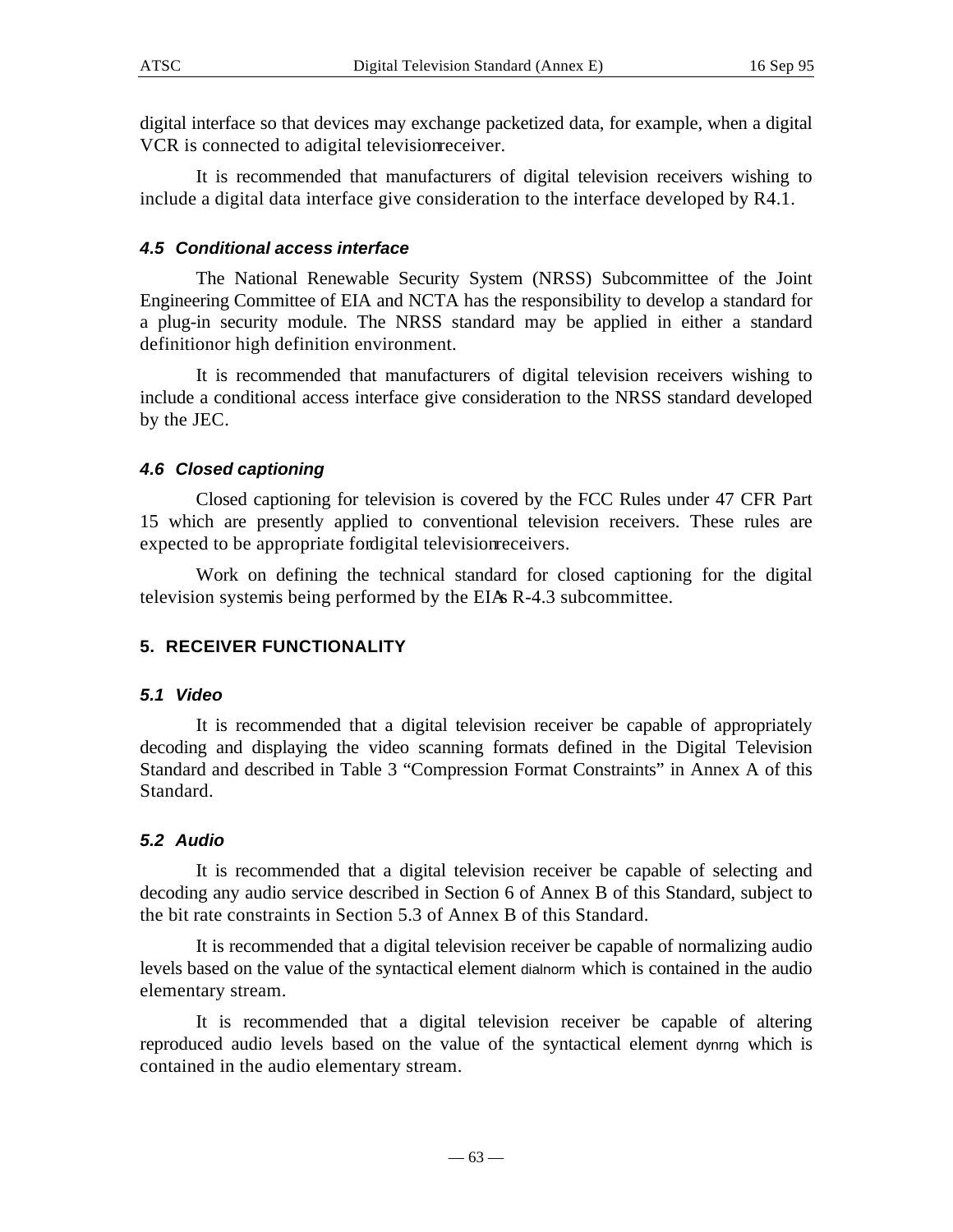digital interface so that devices may exchange packetized data, for example, when a digital VCR is connected to adigital television receiver.

It is recommended that manufacturers of digital television receivers wishing to include a digital data interface give consideration to the interface developed by R4.1.

## *4.5 Conditional access interface*

The National Renewable Security System (NRSS) Subcommittee of the Joint Engineering Committee of EIA and NCTA has the responsibility to develop a standard for a plug-in security module. The NRSS standard may be applied in either a standard definition or high definition environment.

It is recommended that manufacturers of digital television receivers wishing to include a conditional access interface give consideration to the NRSS standard developed by the JEC.

## *4.6 Closed captioning*

Closed captioning for television is covered by the FCC Rules under 47 CFR Part 15 which are presently applied to conventional television receivers. These rules are expected to be appropriate for digital television receivers.

Work on defining the technical standard for closed captioning for the digital television system is being performed by the EIA R-4.3 subcommittee.

# **5. RECEIVER FUNCTIONALITY**

### *5.1 Video*

It is recommended that a digital television receiver be capable of appropriately decoding and displaying the video scanning formats defined in the Digital Television Standard and described in Table 3 "Compression Format Constraints" in Annex A of this Standard.

# *5.2 Audio*

It is recommended that a digital television receiver be capable of selecting and decoding any audio service described in Section 6 of Annex B of this Standard, subject to the bit rate constraints in Section 5.3 of Annex B of this Standard.

It is recommended that a digital television receiver be capable of normalizing audio levels based on the value of the syntactical element dialnorm which is contained in the audio elementary stream.

It is recommended that a digital television receiver be capable of altering reproduced audio levels based on the value of the syntactical element dynrng which is contained in the audio elementary stream.